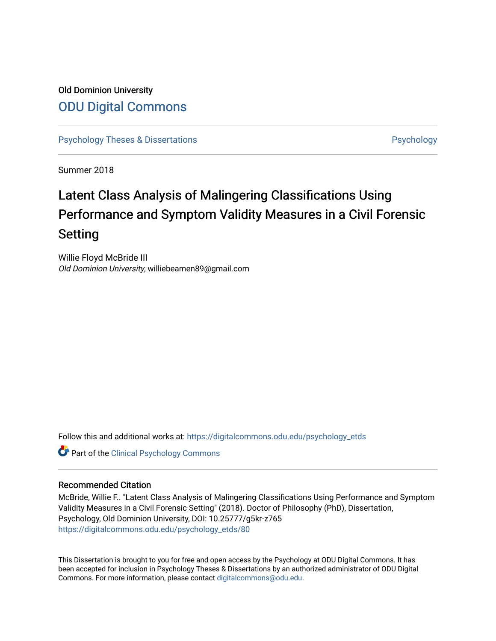## Old Dominion University [ODU Digital Commons](https://digitalcommons.odu.edu/)

[Psychology Theses & Dissertations](https://digitalcommons.odu.edu/psychology_etds) **Psychology** [Psychology](https://digitalcommons.odu.edu/psychology) **Psychology** 

Summer 2018

# Latent Class Analysis of Malingering Classifications Using Performance and Symptom Validity Measures in a Civil Forensic Setting

Willie Floyd McBride III Old Dominion University, williebeamen89@gmail.com

Follow this and additional works at: [https://digitalcommons.odu.edu/psychology\\_etds](https://digitalcommons.odu.edu/psychology_etds?utm_source=digitalcommons.odu.edu%2Fpsychology_etds%2F80&utm_medium=PDF&utm_campaign=PDFCoverPages)

Part of the [Clinical Psychology Commons](http://network.bepress.com/hgg/discipline/406?utm_source=digitalcommons.odu.edu%2Fpsychology_etds%2F80&utm_medium=PDF&utm_campaign=PDFCoverPages) 

#### Recommended Citation

McBride, Willie F.. "Latent Class Analysis of Malingering Classifications Using Performance and Symptom Validity Measures in a Civil Forensic Setting" (2018). Doctor of Philosophy (PhD), Dissertation, Psychology, Old Dominion University, DOI: 10.25777/g5kr-z765 [https://digitalcommons.odu.edu/psychology\\_etds/80](https://digitalcommons.odu.edu/psychology_etds/80?utm_source=digitalcommons.odu.edu%2Fpsychology_etds%2F80&utm_medium=PDF&utm_campaign=PDFCoverPages) 

This Dissertation is brought to you for free and open access by the Psychology at ODU Digital Commons. It has been accepted for inclusion in Psychology Theses & Dissertations by an authorized administrator of ODU Digital Commons. For more information, please contact [digitalcommons@odu.edu](mailto:digitalcommons@odu.edu).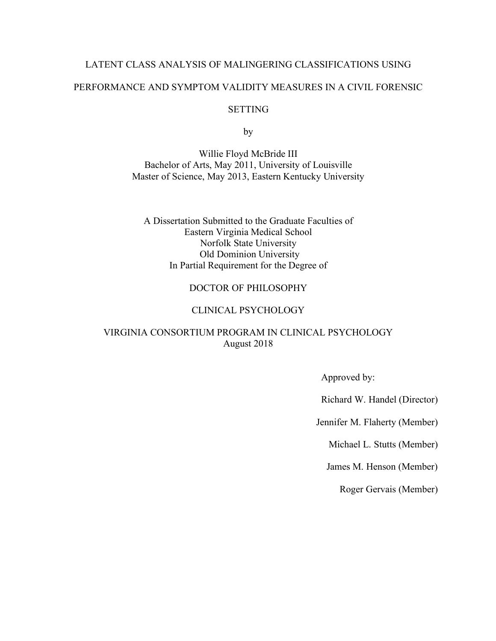# LATENT CLASS ANALYSIS OF MALINGERING CLASSIFICATIONS USING PERFORMANCE AND SYMPTOM VALIDITY MEASURES IN A CIVIL FORENSIC

#### **SETTING**

by

Willie Floyd McBride III Bachelor of Arts, May 2011, University of Louisville Master of Science, May 2013, Eastern Kentucky University

A Dissertation Submitted to the Graduate Faculties of Eastern Virginia Medical School Norfolk State University Old Dominion University In Partial Requirement for the Degree of

#### DOCTOR OF PHILOSOPHY

#### CLINICAL PSYCHOLOGY

#### VIRGINIA CONSORTIUM PROGRAM IN CLINICAL PSYCHOLOGY August 2018

Approved by:

Richard W. Handel (Director)

Jennifer M. Flaherty (Member)

Michael L. Stutts (Member)

James M. Henson (Member)

Roger Gervais (Member)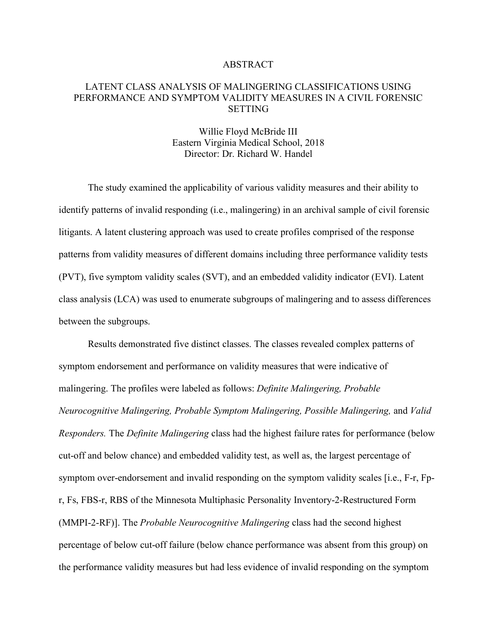#### ABSTRACT

#### LATENT CLASS ANALYSIS OF MALINGERING CLASSIFICATIONS USING PERFORMANCE AND SYMPTOM VALIDITY MEASURES IN A CIVIL FORENSIC **SETTING**

#### Willie Floyd McBride III Eastern Virginia Medical School, 2018 Director: Dr. Richard W. Handel

The study examined the applicability of various validity measures and their ability to identify patterns of invalid responding (i.e., malingering) in an archival sample of civil forensic litigants. A latent clustering approach was used to create profiles comprised of the response patterns from validity measures of different domains including three performance validity tests (PVT), five symptom validity scales (SVT), and an embedded validity indicator (EVI). Latent class analysis (LCA) was used to enumerate subgroups of malingering and to assess differences between the subgroups.

Results demonstrated five distinct classes. The classes revealed complex patterns of symptom endorsement and performance on validity measures that were indicative of malingering. The profiles were labeled as follows: *Definite Malingering, Probable Neurocognitive Malingering, Probable Symptom Malingering, Possible Malingering,* and *Valid Responders.* The *Definite Malingering* class had the highest failure rates for performance (below cut-off and below chance) and embedded validity test, as well as, the largest percentage of symptom over-endorsement and invalid responding on the symptom validity scales [i.e., F-r, Fpr, Fs, FBS-r, RBS of the Minnesota Multiphasic Personality Inventory-2-Restructured Form (MMPI-2-RF)]. The *Probable Neurocognitive Malingering* class had the second highest percentage of below cut-off failure (below chance performance was absent from this group) on the performance validity measures but had less evidence of invalid responding on the symptom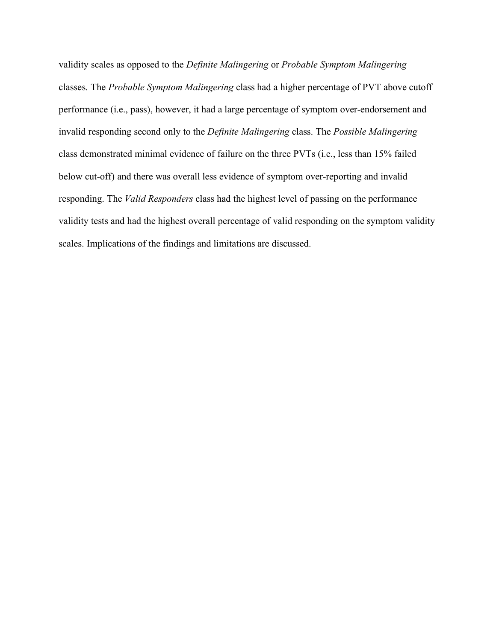validity scales as opposed to the *Definite Malingering* or *Probable Symptom Malingering*  classes. The *Probable Symptom Malingering* class had a higher percentage of PVT above cutoff performance (i.e., pass), however, it had a large percentage of symptom over-endorsement and invalid responding second only to the *Definite Malingering* class. The *Possible Malingering*  class demonstrated minimal evidence of failure on the three PVTs (i.e., less than 15% failed below cut-off) and there was overall less evidence of symptom over-reporting and invalid responding. The *Valid Responders* class had the highest level of passing on the performance validity tests and had the highest overall percentage of valid responding on the symptom validity scales. Implications of the findings and limitations are discussed.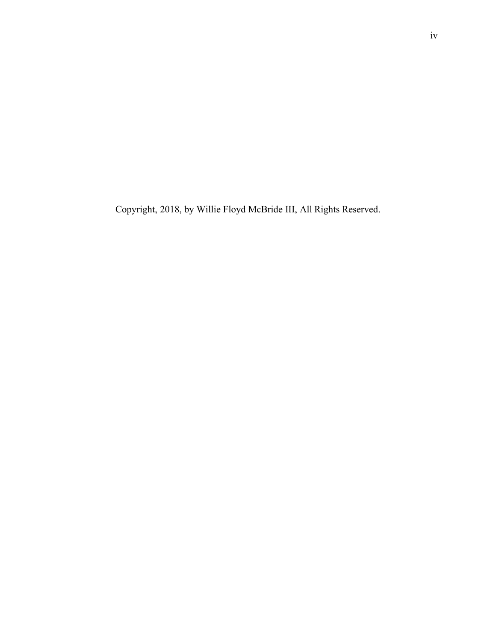Copyright, 2018, by Willie Floyd McBride III, All Rights Reserved.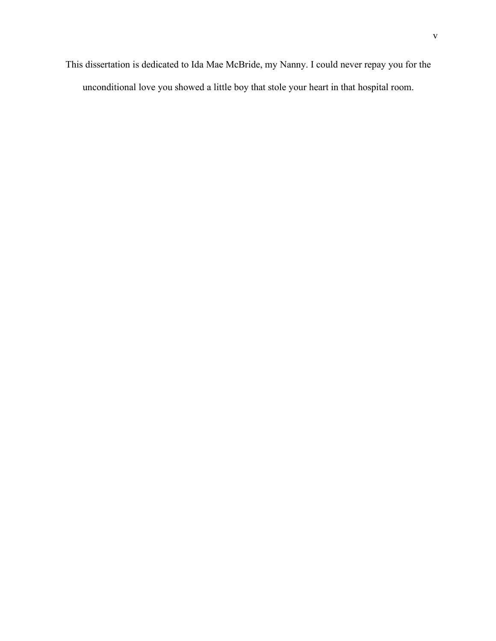This dissertation is dedicated to Ida Mae McBride, my Nanny. I could never repay you for the unconditional love you showed a little boy that stole your heart in that hospital room.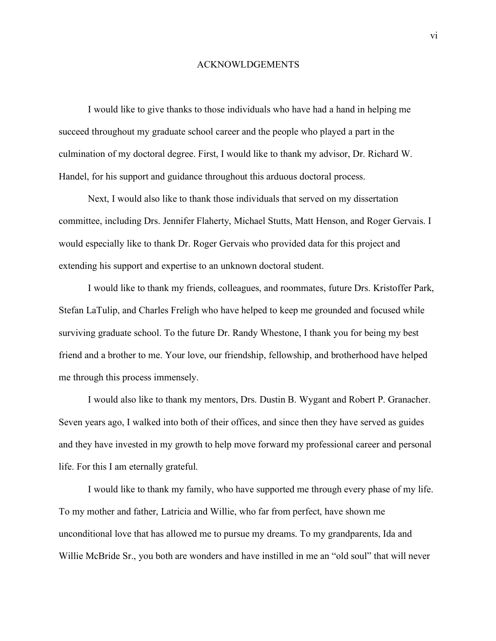#### ACKNOWLDGEMENTS

I would like to give thanks to those individuals who have had a hand in helping me succeed throughout my graduate school career and the people who played a part in the culmination of my doctoral degree. First, I would like to thank my advisor, Dr. Richard W. Handel, for his support and guidance throughout this arduous doctoral process.

Next, I would also like to thank those individuals that served on my dissertation committee, including Drs. Jennifer Flaherty, Michael Stutts, Matt Henson, and Roger Gervais. I would especially like to thank Dr. Roger Gervais who provided data for this project and extending his support and expertise to an unknown doctoral student.

I would like to thank my friends, colleagues, and roommates, future Drs. Kristoffer Park, Stefan LaTulip, and Charles Freligh who have helped to keep me grounded and focused while surviving graduate school. To the future Dr. Randy Whestone, I thank you for being my best friend and a brother to me. Your love, our friendship, fellowship, and brotherhood have helped me through this process immensely.

I would also like to thank my mentors, Drs. Dustin B. Wygant and Robert P. Granacher. Seven years ago, I walked into both of their offices, and since then they have served as guides and they have invested in my growth to help move forward my professional career and personal life. For this I am eternally grateful.

I would like to thank my family, who have supported me through every phase of my life. To my mother and father, Latricia and Willie, who far from perfect, have shown me unconditional love that has allowed me to pursue my dreams. To my grandparents, Ida and Willie McBride Sr., you both are wonders and have instilled in me an "old soul" that will never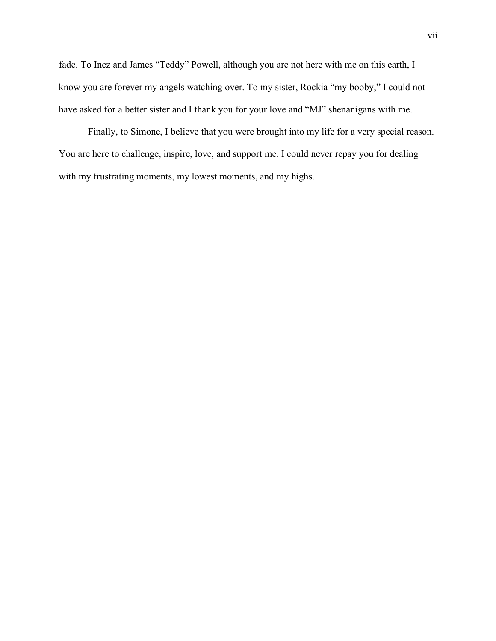fade. To Inez and James "Teddy" Powell, although you are not here with me on this earth, I know you are forever my angels watching over. To my sister, Rockia "my booby," I could not have asked for a better sister and I thank you for your love and "MJ" shenanigans with me.

Finally, to Simone, I believe that you were brought into my life for a very special reason. You are here to challenge, inspire, love, and support me. I could never repay you for dealing with my frustrating moments, my lowest moments, and my highs.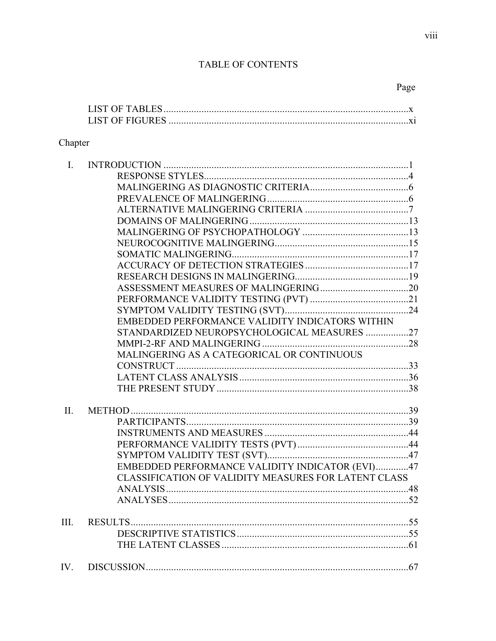## TABLE OF CONTENTS

| Page |
|------|
|------|

### Chapter

| $\mathbf{I}$ . |                                                      |  |
|----------------|------------------------------------------------------|--|
|                |                                                      |  |
|                |                                                      |  |
|                |                                                      |  |
|                |                                                      |  |
|                |                                                      |  |
|                |                                                      |  |
|                |                                                      |  |
|                |                                                      |  |
|                |                                                      |  |
|                |                                                      |  |
|                |                                                      |  |
|                |                                                      |  |
|                |                                                      |  |
|                | EMBEDDED PERFORMANCE VALIDITY INDICATORS WITHIN      |  |
|                | STANDARDIZED NEUROPSYCHOLOGICAL MEASURES 27          |  |
|                |                                                      |  |
|                | MALINGERING AS A CATEGORICAL OR CONTINUOUS           |  |
|                |                                                      |  |
|                |                                                      |  |
|                |                                                      |  |
| II.            |                                                      |  |
|                |                                                      |  |
|                |                                                      |  |
|                |                                                      |  |
|                |                                                      |  |
|                | EMBEDDED PERFORMANCE VALIDITY INDICATOR (EVI)47      |  |
|                | CLASSIFICATION OF VALIDITY MEASURES FOR LATENT CLASS |  |
|                |                                                      |  |
|                |                                                      |  |
| III.           |                                                      |  |
|                |                                                      |  |
|                |                                                      |  |
|                |                                                      |  |
|                |                                                      |  |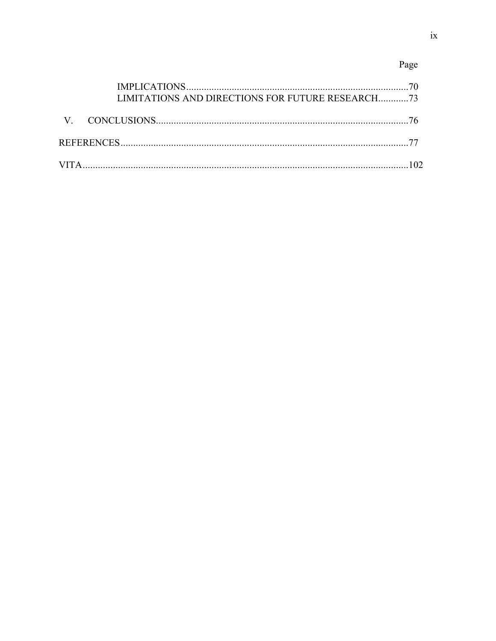## Page

| LIMITATIONS AND DIRECTIONS FOR FUTURE RESEARCH73 |  |
|--------------------------------------------------|--|
|                                                  |  |
|                                                  |  |
|                                                  |  |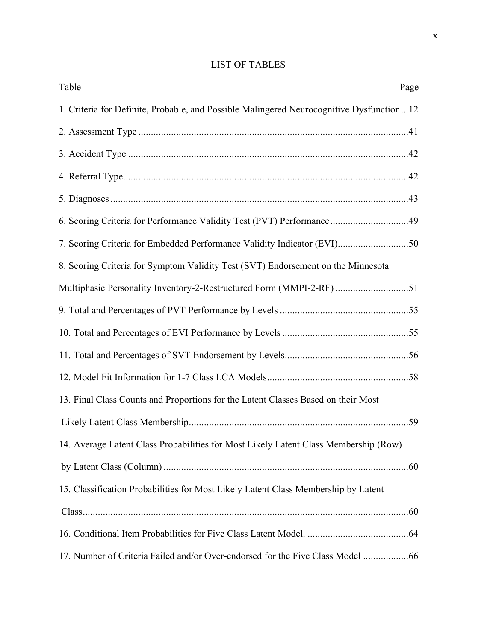## LIST OF TABLES

| Table                                                                                    | Page |
|------------------------------------------------------------------------------------------|------|
| 1. Criteria for Definite, Probable, and Possible Malingered Neurocognitive Dysfunction12 |      |
|                                                                                          |      |
|                                                                                          |      |
|                                                                                          |      |
|                                                                                          |      |
| 6. Scoring Criteria for Performance Validity Test (PVT) Performance49                    |      |
| 7. Scoring Criteria for Embedded Performance Validity Indicator (EVI)50                  |      |
| 8. Scoring Criteria for Symptom Validity Test (SVT) Endorsement on the Minnesota         |      |
| Multiphasic Personality Inventory-2-Restructured Form (MMPI-2-RF) 51                     |      |
|                                                                                          |      |
|                                                                                          |      |
|                                                                                          |      |
|                                                                                          |      |
| 13. Final Class Counts and Proportions for the Latent Classes Based on their Most        |      |
|                                                                                          |      |
| 14. Average Latent Class Probabilities for Most Likely Latent Class Membership (Row)     |      |
|                                                                                          |      |
| 15. Classification Probabilities for Most Likely Latent Class Membership by Latent       |      |
|                                                                                          |      |
|                                                                                          |      |
| 17. Number of Criteria Failed and/or Over-endorsed for the Five Class Model              |      |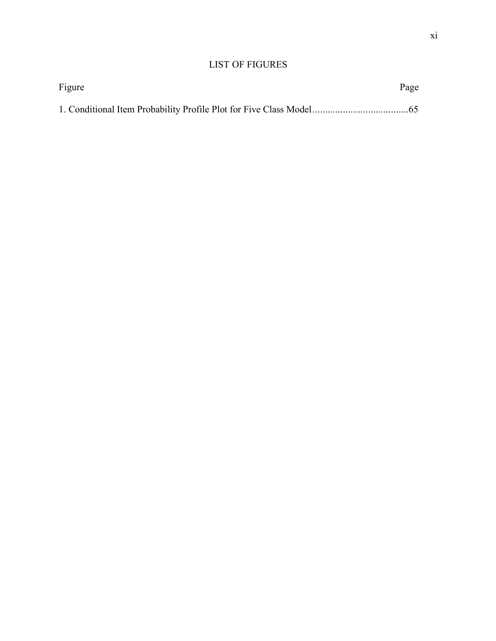### LIST OF FIGURES

| Figure | Page |
|--------|------|
|        |      |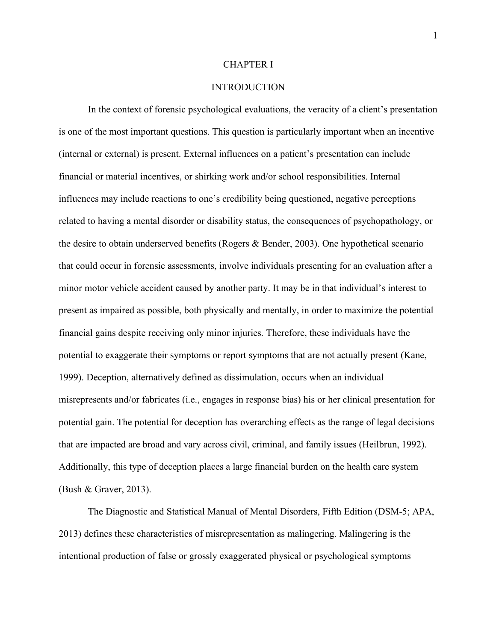#### CHAPTER I

#### INTRODUCTION

In the context of forensic psychological evaluations, the veracity of a client's presentation is one of the most important questions. This question is particularly important when an incentive (internal or external) is present. External influences on a patient's presentation can include financial or material incentives, or shirking work and/or school responsibilities. Internal influences may include reactions to one's credibility being questioned, negative perceptions related to having a mental disorder or disability status, the consequences of psychopathology, or the desire to obtain underserved benefits (Rogers & Bender, 2003). One hypothetical scenario that could occur in forensic assessments, involve individuals presenting for an evaluation after a minor motor vehicle accident caused by another party. It may be in that individual's interest to present as impaired as possible, both physically and mentally, in order to maximize the potential financial gains despite receiving only minor injuries. Therefore, these individuals have the potential to exaggerate their symptoms or report symptoms that are not actually present (Kane, 1999). Deception, alternatively defined as dissimulation, occurs when an individual misrepresents and/or fabricates (i.e., engages in response bias) his or her clinical presentation for potential gain. The potential for deception has overarching effects as the range of legal decisions that are impacted are broad and vary across civil, criminal, and family issues (Heilbrun, 1992). Additionally, this type of deception places a large financial burden on the health care system (Bush & Graver, 2013).

The Diagnostic and Statistical Manual of Mental Disorders, Fifth Edition (DSM-5; APA, 2013) defines these characteristics of misrepresentation as malingering. Malingering is the intentional production of false or grossly exaggerated physical or psychological symptoms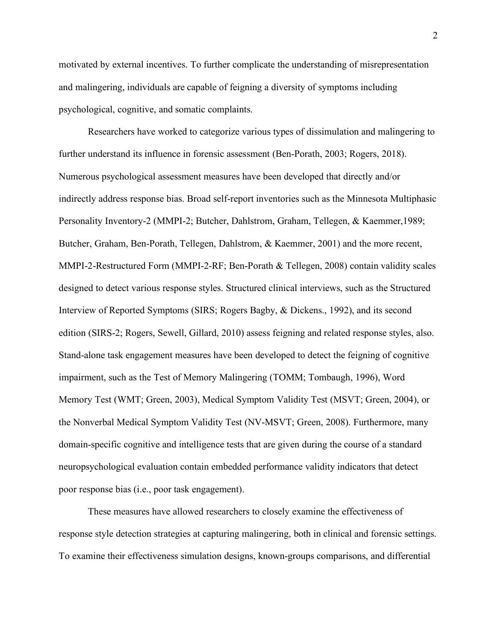motivated by external incentives. To further complicate the understanding of misrepresentation and malingering, individuals are capable of feigning a diversity of symptoms including psychological, cognitive, and somatic complaints.

Researchers have worked to categorize various types of dissimulation and malingering to further understand its influence in forensic assessment (Ben-Porath, 2003; Rogers, 2018). Numerous psychological assessment measures have been developed that directly and/or indirectly address response bias. Broad self-report inventories such as the Minnesota Multiphasic Personality Inventory-2 (MMPI-2; Butcher, Dahlstrom, Graham, Tellegen, & Kaemmer,1989; Butcher, Graham, Ben-Porath, Tellegen, Dahlstrom, & Kaemmer, 2001) and the more recent, MMPI-2-Restructured Form (MMPI-2-RF; Ben-Porath & Tellegen, 2008) contain validity scales designed to detect various response styles. Structured clinical interviews, such as the Structured Interview of Reported Symptoms (SIRS; Rogers Bagby, & Dickens., 1992), and its second edition (SIRS-2; Rogers, Sewell, Gillard, 2010) assess feigning and related response styles, also. Stand-alone task engagement measures have been developed to detect the feigning of cognitive impairment, such as the Test of Memory Malingering (TOMM; Tombaugh, 1996), Word Memory Test (WMT; Green, 2003), Medical Symptom Validity Test (MSVT; Green, 2004), or the Nonverbal Medical Symptom Validity Test (NV-MSVT; Green, 2008). Furthermore, many domain-specific cognitive and intelligence tests that are given during the course of a standard neuropsychological evaluation contain embedded performance validity indicators that detect poor response bias (i.e., poor task engagement).

These measures have allowed researchers to closely examine the effectiveness of response style detection strategies at capturing malingering, both in clinical and forensic settings. To examine their effectiveness simulation designs, known-groups comparisons, and differential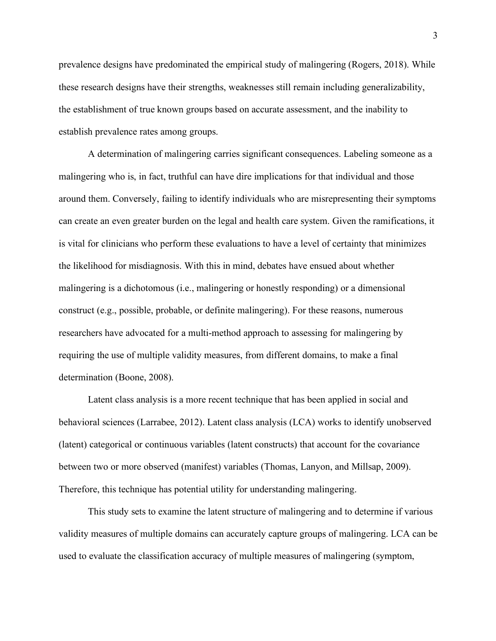prevalence designs have predominated the empirical study of malingering (Rogers, 2018). While these research designs have their strengths, weaknesses still remain including generalizability, the establishment of true known groups based on accurate assessment, and the inability to establish prevalence rates among groups.

A determination of malingering carries significant consequences. Labeling someone as a malingering who is, in fact, truthful can have dire implications for that individual and those around them. Conversely, failing to identify individuals who are misrepresenting their symptoms can create an even greater burden on the legal and health care system. Given the ramifications, it is vital for clinicians who perform these evaluations to have a level of certainty that minimizes the likelihood for misdiagnosis. With this in mind, debates have ensued about whether malingering is a dichotomous (i.e., malingering or honestly responding) or a dimensional construct (e.g., possible, probable, or definite malingering). For these reasons, numerous researchers have advocated for a multi-method approach to assessing for malingering by requiring the use of multiple validity measures, from different domains, to make a final determination (Boone, 2008).

Latent class analysis is a more recent technique that has been applied in social and behavioral sciences (Larrabee, 2012). Latent class analysis (LCA) works to identify unobserved (latent) categorical or continuous variables (latent constructs) that account for the covariance between two or more observed (manifest) variables (Thomas, Lanyon, and Millsap, 2009). Therefore, this technique has potential utility for understanding malingering.

This study sets to examine the latent structure of malingering and to determine if various validity measures of multiple domains can accurately capture groups of malingering. LCA can be used to evaluate the classification accuracy of multiple measures of malingering (symptom,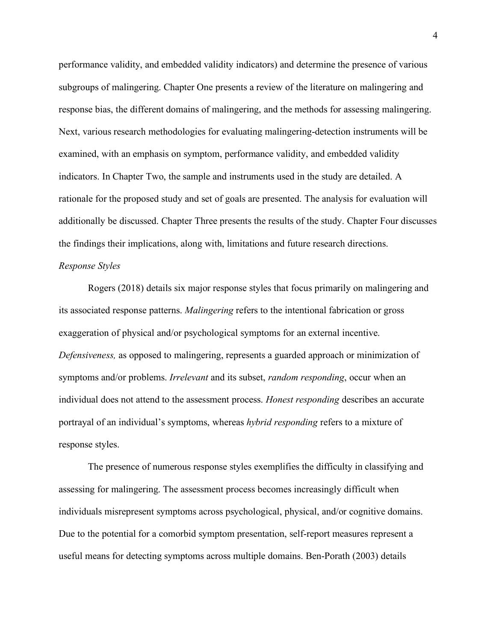performance validity, and embedded validity indicators) and determine the presence of various subgroups of malingering. Chapter One presents a review of the literature on malingering and response bias, the different domains of malingering, and the methods for assessing malingering. Next, various research methodologies for evaluating malingering-detection instruments will be examined, with an emphasis on symptom, performance validity, and embedded validity indicators. In Chapter Two, the sample and instruments used in the study are detailed. A rationale for the proposed study and set of goals are presented. The analysis for evaluation will additionally be discussed. Chapter Three presents the results of the study. Chapter Four discusses the findings their implications, along with, limitations and future research directions.

#### *Response Styles*

Rogers (2018) details six major response styles that focus primarily on malingering and its associated response patterns. *Malingering* refers to the intentional fabrication or gross exaggeration of physical and/or psychological symptoms for an external incentive. *Defensiveness,* as opposed to malingering, represents a guarded approach or minimization of symptoms and/or problems. *Irrelevant* and its subset, *random responding*, occur when an individual does not attend to the assessment process. *Honest responding* describes an accurate portrayal of an individual's symptoms, whereas *hybrid responding* refers to a mixture of response styles.

The presence of numerous response styles exemplifies the difficulty in classifying and assessing for malingering. The assessment process becomes increasingly difficult when individuals misrepresent symptoms across psychological, physical, and/or cognitive domains. Due to the potential for a comorbid symptom presentation, self-report measures represent a useful means for detecting symptoms across multiple domains. Ben-Porath (2003) details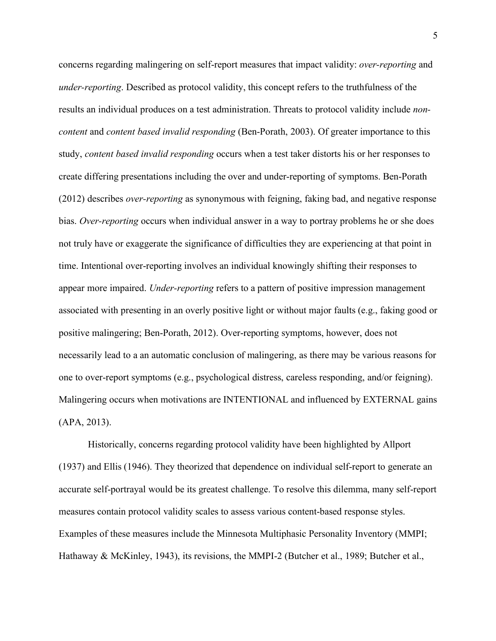concerns regarding malingering on self-report measures that impact validity: *over-reporting* and *under-reporting*. Described as protocol validity, this concept refers to the truthfulness of the results an individual produces on a test administration. Threats to protocol validity include *noncontent* and *content based invalid responding* (Ben-Porath, 2003). Of greater importance to this study, *content based invalid responding* occurs when a test taker distorts his or her responses to create differing presentations including the over and under-reporting of symptoms. Ben-Porath (2012) describes *over-reporting* as synonymous with feigning, faking bad, and negative response bias. *Over-reporting* occurs when individual answer in a way to portray problems he or she does not truly have or exaggerate the significance of difficulties they are experiencing at that point in time. Intentional over-reporting involves an individual knowingly shifting their responses to appear more impaired. *Under-reporting* refers to a pattern of positive impression management associated with presenting in an overly positive light or without major faults (e.g., faking good or positive malingering; Ben-Porath, 2012). Over-reporting symptoms, however, does not necessarily lead to a an automatic conclusion of malingering, as there may be various reasons for one to over-report symptoms (e.g., psychological distress, careless responding, and/or feigning). Malingering occurs when motivations are INTENTIONAL and influenced by EXTERNAL gains (APA, 2013).

Historically, concerns regarding protocol validity have been highlighted by Allport (1937) and Ellis (1946). They theorized that dependence on individual self-report to generate an accurate self-portrayal would be its greatest challenge. To resolve this dilemma, many self-report measures contain protocol validity scales to assess various content-based response styles. Examples of these measures include the Minnesota Multiphasic Personality Inventory (MMPI; Hathaway & McKinley, 1943), its revisions, the MMPI-2 (Butcher et al., 1989; Butcher et al.,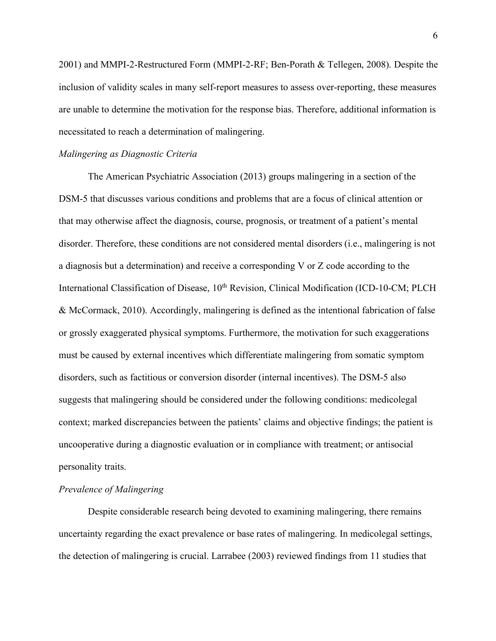2001) and MMPI-2-Restructured Form (MMPI-2-RF; Ben-Porath & Tellegen, 2008). Despite the inclusion of validity scales in many self-report measures to assess over-reporting, these measures are unable to determine the motivation for the response bias. Therefore, additional information is necessitated to reach a determination of malingering.

#### *Malingering as Diagnostic Criteria*

The American Psychiatric Association (2013) groups malingering in a section of the DSM-5 that discusses various conditions and problems that are a focus of clinical attention or that may otherwise affect the diagnosis, course, prognosis, or treatment of a patient's mental disorder. Therefore, these conditions are not considered mental disorders (i.e., malingering is not a diagnosis but a determination) and receive a corresponding V or Z code according to the International Classification of Disease, 10<sup>th</sup> Revision, Clinical Modification (ICD-10-CM; PLCH & McCormack, 2010). Accordingly, malingering is defined as the intentional fabrication of false or grossly exaggerated physical symptoms. Furthermore, the motivation for such exaggerations must be caused by external incentives which differentiate malingering from somatic symptom disorders, such as factitious or conversion disorder (internal incentives). The DSM-5 also suggests that malingering should be considered under the following conditions: medicolegal context; marked discrepancies between the patients' claims and objective findings; the patient is uncooperative during a diagnostic evaluation or in compliance with treatment; or antisocial personality traits.

#### *Prevalence of Malingering*

Despite considerable research being devoted to examining malingering, there remains uncertainty regarding the exact prevalence or base rates of malingering. In medicolegal settings, the detection of malingering is crucial. Larrabee (2003) reviewed findings from 11 studies that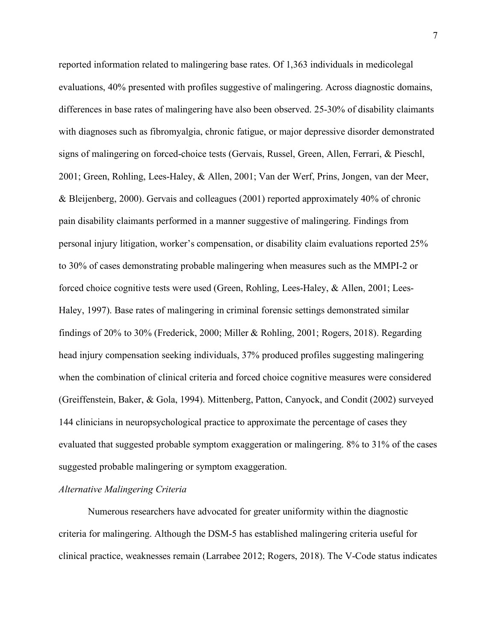reported information related to malingering base rates. Of 1,363 individuals in medicolegal evaluations, 40% presented with profiles suggestive of malingering. Across diagnostic domains, differences in base rates of malingering have also been observed. 25-30% of disability claimants with diagnoses such as fibromyalgia, chronic fatigue, or major depressive disorder demonstrated signs of malingering on forced-choice tests (Gervais, Russel, Green, Allen, Ferrari, & Pieschl, 2001; Green, Rohling, Lees-Haley, & Allen, 2001; Van der Werf, Prins, Jongen, van der Meer, & Bleijenberg, 2000). Gervais and colleagues (2001) reported approximately 40% of chronic pain disability claimants performed in a manner suggestive of malingering. Findings from personal injury litigation, worker's compensation, or disability claim evaluations reported 25% to 30% of cases demonstrating probable malingering when measures such as the MMPI-2 or forced choice cognitive tests were used (Green, Rohling, Lees-Haley, & Allen, 2001; Lees-Haley, 1997). Base rates of malingering in criminal forensic settings demonstrated similar findings of 20% to 30% (Frederick, 2000; Miller & Rohling, 2001; Rogers, 2018). Regarding head injury compensation seeking individuals, 37% produced profiles suggesting malingering when the combination of clinical criteria and forced choice cognitive measures were considered (Greiffenstein, Baker, & Gola, 1994). Mittenberg, Patton, Canyock, and Condit (2002) surveyed 144 clinicians in neuropsychological practice to approximate the percentage of cases they evaluated that suggested probable symptom exaggeration or malingering. 8% to 31% of the cases suggested probable malingering or symptom exaggeration.

#### *Alternative Malingering Criteria*

Numerous researchers have advocated for greater uniformity within the diagnostic criteria for malingering. Although the DSM-5 has established malingering criteria useful for clinical practice, weaknesses remain (Larrabee 2012; Rogers, 2018). The V-Code status indicates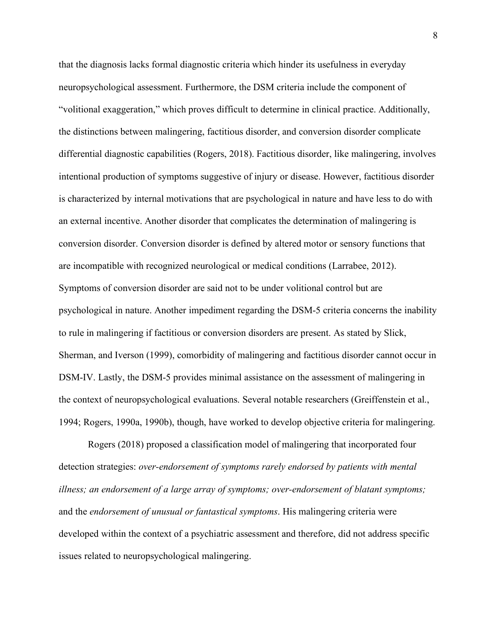that the diagnosis lacks formal diagnostic criteria which hinder its usefulness in everyday neuropsychological assessment. Furthermore, the DSM criteria include the component of "volitional exaggeration," which proves difficult to determine in clinical practice. Additionally, the distinctions between malingering, factitious disorder, and conversion disorder complicate differential diagnostic capabilities (Rogers, 2018). Factitious disorder, like malingering, involves intentional production of symptoms suggestive of injury or disease. However, factitious disorder is characterized by internal motivations that are psychological in nature and have less to do with an external incentive. Another disorder that complicates the determination of malingering is conversion disorder. Conversion disorder is defined by altered motor or sensory functions that are incompatible with recognized neurological or medical conditions (Larrabee, 2012). Symptoms of conversion disorder are said not to be under volitional control but are psychological in nature. Another impediment regarding the DSM-5 criteria concerns the inability to rule in malingering if factitious or conversion disorders are present. As stated by Slick, Sherman, and Iverson (1999), comorbidity of malingering and factitious disorder cannot occur in DSM-IV. Lastly, the DSM-5 provides minimal assistance on the assessment of malingering in the context of neuropsychological evaluations. Several notable researchers (Greiffenstein et al., 1994; Rogers, 1990a, 1990b), though, have worked to develop objective criteria for malingering.

Rogers (2018) proposed a classification model of malingering that incorporated four detection strategies: *over-endorsement of symptoms rarely endorsed by patients with mental illness; an endorsement of a large array of symptoms; over-endorsement of blatant symptoms;* and the *endorsement of unusual or fantastical symptoms*. His malingering criteria were developed within the context of a psychiatric assessment and therefore, did not address specific issues related to neuropsychological malingering.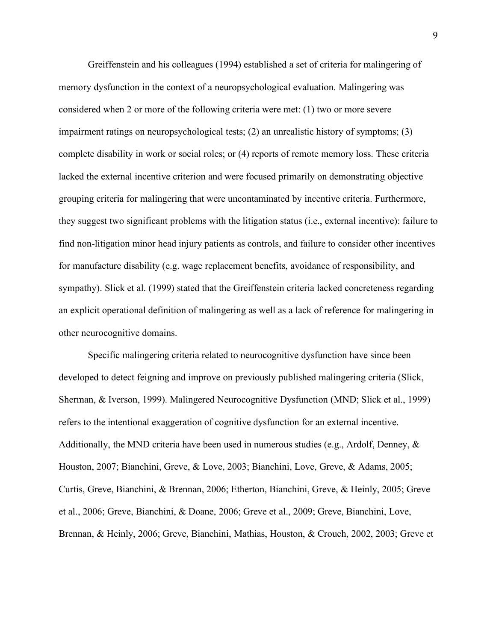Greiffenstein and his colleagues (1994) established a set of criteria for malingering of memory dysfunction in the context of a neuropsychological evaluation. Malingering was considered when 2 or more of the following criteria were met: (1) two or more severe impairment ratings on neuropsychological tests; (2) an unrealistic history of symptoms; (3) complete disability in work or social roles; or (4) reports of remote memory loss. These criteria lacked the external incentive criterion and were focused primarily on demonstrating objective grouping criteria for malingering that were uncontaminated by incentive criteria. Furthermore, they suggest two significant problems with the litigation status (i.e., external incentive): failure to find non-litigation minor head injury patients as controls, and failure to consider other incentives for manufacture disability (e.g. wage replacement benefits, avoidance of responsibility, and sympathy). Slick et al. (1999) stated that the Greiffenstein criteria lacked concreteness regarding an explicit operational definition of malingering as well as a lack of reference for malingering in other neurocognitive domains.

Specific malingering criteria related to neurocognitive dysfunction have since been developed to detect feigning and improve on previously published malingering criteria (Slick, Sherman, & Iverson, 1999). Malingered Neurocognitive Dysfunction (MND; Slick et al., 1999) refers to the intentional exaggeration of cognitive dysfunction for an external incentive. Additionally, the MND criteria have been used in numerous studies (e.g., Ardolf, Denney,  $\&$ Houston, 2007; Bianchini, Greve, & Love, 2003; Bianchini, Love, Greve, & Adams, 2005; Curtis, Greve, Bianchini, & Brennan, 2006; Etherton, Bianchini, Greve, & Heinly, 2005; Greve et al., 2006; Greve, Bianchini, & Doane, 2006; Greve et al., 2009; Greve, Bianchini, Love, Brennan, & Heinly, 2006; Greve, Bianchini, Mathias, Houston, & Crouch, 2002, 2003; Greve et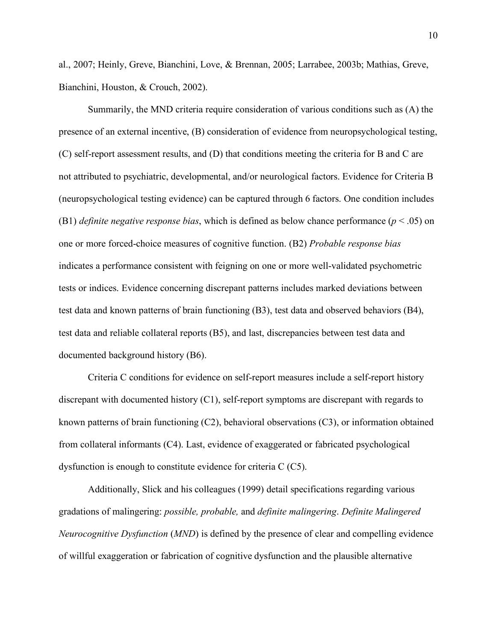al., 2007; Heinly, Greve, Bianchini, Love, & Brennan, 2005; Larrabee, 2003b; Mathias, Greve, Bianchini, Houston, & Crouch, 2002).

Summarily, the MND criteria require consideration of various conditions such as (A) the presence of an external incentive, (B) consideration of evidence from neuropsychological testing, (C) self-report assessment results, and (D) that conditions meeting the criteria for B and C are not attributed to psychiatric, developmental, and/or neurological factors. Evidence for Criteria B (neuropsychological testing evidence) can be captured through 6 factors. One condition includes (B1) *definite negative response bias*, which is defined as below chance performance (*p* < .05) on one or more forced-choice measures of cognitive function. (B2) *Probable response bias* indicates a performance consistent with feigning on one or more well-validated psychometric tests or indices. Evidence concerning discrepant patterns includes marked deviations between test data and known patterns of brain functioning (B3), test data and observed behaviors (B4), test data and reliable collateral reports (B5), and last, discrepancies between test data and documented background history (B6).

Criteria C conditions for evidence on self-report measures include a self-report history discrepant with documented history (C1), self-report symptoms are discrepant with regards to known patterns of brain functioning (C2), behavioral observations (C3), or information obtained from collateral informants (C4). Last, evidence of exaggerated or fabricated psychological dysfunction is enough to constitute evidence for criteria C (C5).

Additionally, Slick and his colleagues (1999) detail specifications regarding various gradations of malingering: *possible, probable,* and *definite malingering*. *Definite Malingered Neurocognitive Dysfunction* (*MND*) is defined by the presence of clear and compelling evidence of willful exaggeration or fabrication of cognitive dysfunction and the plausible alternative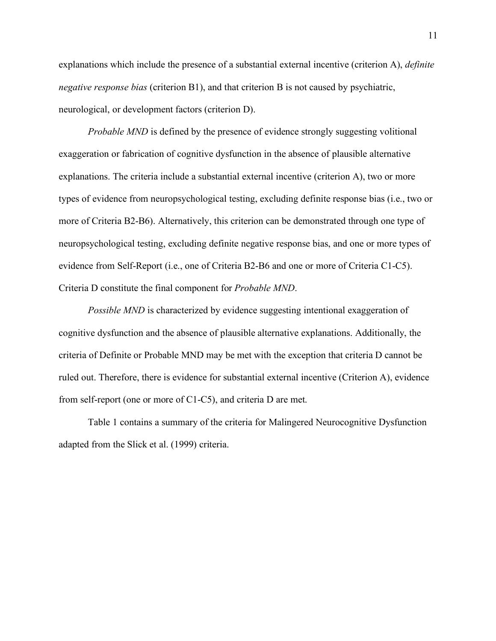explanations which include the presence of a substantial external incentive (criterion A), *definite negative response bias* (criterion B1), and that criterion B is not caused by psychiatric, neurological, or development factors (criterion D).

*Probable MND* is defined by the presence of evidence strongly suggesting volitional exaggeration or fabrication of cognitive dysfunction in the absence of plausible alternative explanations. The criteria include a substantial external incentive (criterion A), two or more types of evidence from neuropsychological testing, excluding definite response bias (i.e., two or more of Criteria B2-B6). Alternatively, this criterion can be demonstrated through one type of neuropsychological testing, excluding definite negative response bias, and one or more types of evidence from Self-Report (i.e., one of Criteria B2-B6 and one or more of Criteria C1-C5). Criteria D constitute the final component for *Probable MND*.

*Possible MND* is characterized by evidence suggesting intentional exaggeration of cognitive dysfunction and the absence of plausible alternative explanations. Additionally, the criteria of Definite or Probable MND may be met with the exception that criteria D cannot be ruled out. Therefore, there is evidence for substantial external incentive (Criterion A), evidence from self-report (one or more of C1-C5), and criteria D are met.

Table 1 contains a summary of the criteria for Malingered Neurocognitive Dysfunction adapted from the Slick et al. (1999) criteria.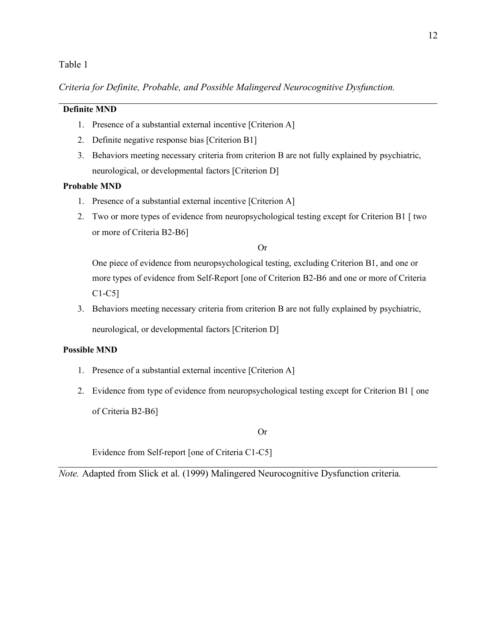#### Table 1

*Criteria for Definite, Probable, and Possible Malingered Neurocognitive Dysfunction.*

#### **Definite MND**

- 1. Presence of a substantial external incentive [Criterion A]
- 2. Definite negative response bias [Criterion B1]
- 3. Behaviors meeting necessary criteria from criterion B are not fully explained by psychiatric, neurological, or developmental factors [Criterion D]

#### **Probable MND**

- 1. Presence of a substantial external incentive [Criterion A]
- 2. Two or more types of evidence from neuropsychological testing except for Criterion B1 [ two or more of Criteria B2-B6]

Or

One piece of evidence from neuropsychological testing, excluding Criterion B1, and one or more types of evidence from Self-Report [one of Criterion B2-B6 and one or more of Criteria C1-C5]

3. Behaviors meeting necessary criteria from criterion B are not fully explained by psychiatric, neurological, or developmental factors [Criterion D]

#### **Possible MND**

- 1. Presence of a substantial external incentive [Criterion A]
- 2. Evidence from type of evidence from neuropsychological testing except for Criterion B1 [ one of Criteria B2-B6]

Or

Evidence from Self-report [one of Criteria C1-C5]

*Note.* Adapted from Slick et al. (1999) Malingered Neurocognitive Dysfunction criteria*.*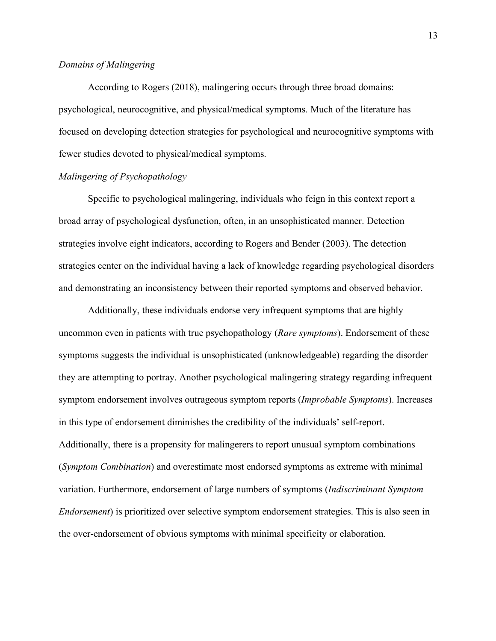#### *Domains of Malingering*

According to Rogers (2018), malingering occurs through three broad domains: psychological, neurocognitive, and physical/medical symptoms. Much of the literature has focused on developing detection strategies for psychological and neurocognitive symptoms with fewer studies devoted to physical/medical symptoms.

#### *Malingering of Psychopathology*

Specific to psychological malingering, individuals who feign in this context report a broad array of psychological dysfunction, often, in an unsophisticated manner. Detection strategies involve eight indicators, according to Rogers and Bender (2003). The detection strategies center on the individual having a lack of knowledge regarding psychological disorders and demonstrating an inconsistency between their reported symptoms and observed behavior.

Additionally, these individuals endorse very infrequent symptoms that are highly uncommon even in patients with true psychopathology (*Rare symptoms*). Endorsement of these symptoms suggests the individual is unsophisticated (unknowledgeable) regarding the disorder they are attempting to portray. Another psychological malingering strategy regarding infrequent symptom endorsement involves outrageous symptom reports (*Improbable Symptoms*). Increases in this type of endorsement diminishes the credibility of the individuals' self-report. Additionally, there is a propensity for malingerers to report unusual symptom combinations (*Symptom Combination*) and overestimate most endorsed symptoms as extreme with minimal variation. Furthermore, endorsement of large numbers of symptoms (*Indiscriminant Symptom Endorsement*) is prioritized over selective symptom endorsement strategies. This is also seen in the over-endorsement of obvious symptoms with minimal specificity or elaboration.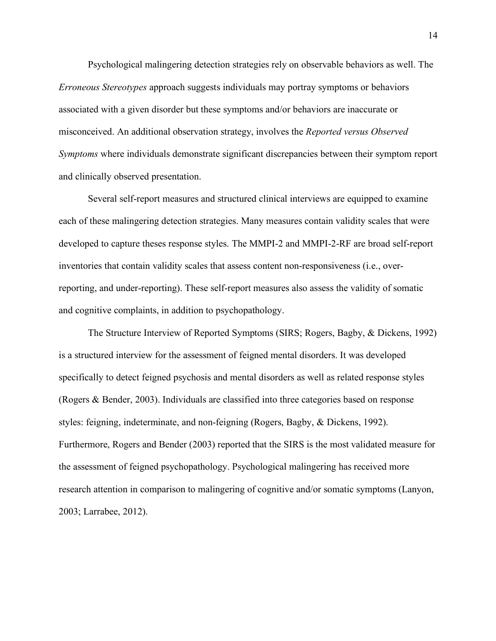Psychological malingering detection strategies rely on observable behaviors as well. The *Erroneous Stereotypes* approach suggests individuals may portray symptoms or behaviors associated with a given disorder but these symptoms and/or behaviors are inaccurate or misconceived. An additional observation strategy, involves the *Reported versus Observed Symptoms* where individuals demonstrate significant discrepancies between their symptom report and clinically observed presentation.

Several self-report measures and structured clinical interviews are equipped to examine each of these malingering detection strategies. Many measures contain validity scales that were developed to capture theses response styles. The MMPI-2 and MMPI-2-RF are broad self-report inventories that contain validity scales that assess content non-responsiveness (i.e., overreporting, and under-reporting). These self-report measures also assess the validity of somatic and cognitive complaints, in addition to psychopathology.

The Structure Interview of Reported Symptoms (SIRS; Rogers, Bagby, & Dickens, 1992) is a structured interview for the assessment of feigned mental disorders. It was developed specifically to detect feigned psychosis and mental disorders as well as related response styles (Rogers & Bender, 2003). Individuals are classified into three categories based on response styles: feigning, indeterminate, and non-feigning (Rogers, Bagby, & Dickens, 1992). Furthermore, Rogers and Bender (2003) reported that the SIRS is the most validated measure for the assessment of feigned psychopathology. Psychological malingering has received more research attention in comparison to malingering of cognitive and/or somatic symptoms (Lanyon, 2003; Larrabee, 2012).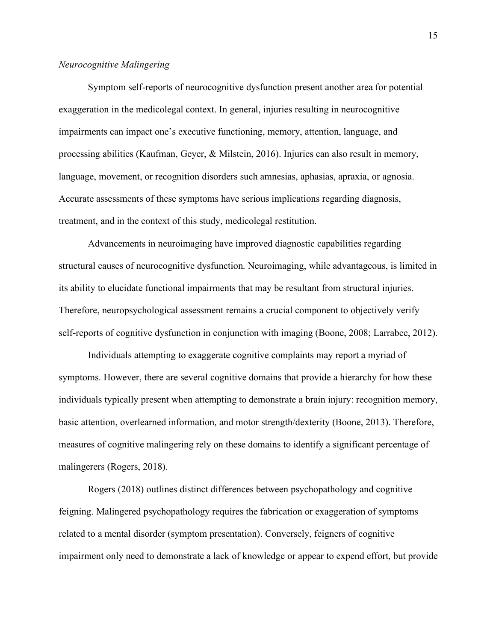#### *Neurocognitive Malingering*

Symptom self-reports of neurocognitive dysfunction present another area for potential exaggeration in the medicolegal context. In general, injuries resulting in neurocognitive impairments can impact one's executive functioning, memory, attention, language, and processing abilities (Kaufman, Geyer, & Milstein, 2016). Injuries can also result in memory, language, movement, or recognition disorders such amnesias, aphasias, apraxia, or agnosia. Accurate assessments of these symptoms have serious implications regarding diagnosis, treatment, and in the context of this study, medicolegal restitution.

Advancements in neuroimaging have improved diagnostic capabilities regarding structural causes of neurocognitive dysfunction. Neuroimaging, while advantageous, is limited in its ability to elucidate functional impairments that may be resultant from structural injuries. Therefore, neuropsychological assessment remains a crucial component to objectively verify self-reports of cognitive dysfunction in conjunction with imaging (Boone, 2008; Larrabee, 2012).

Individuals attempting to exaggerate cognitive complaints may report a myriad of symptoms. However, there are several cognitive domains that provide a hierarchy for how these individuals typically present when attempting to demonstrate a brain injury: recognition memory, basic attention, overlearned information, and motor strength/dexterity (Boone, 2013). Therefore, measures of cognitive malingering rely on these domains to identify a significant percentage of malingerers (Rogers, 2018).

Rogers (2018) outlines distinct differences between psychopathology and cognitive feigning. Malingered psychopathology requires the fabrication or exaggeration of symptoms related to a mental disorder (symptom presentation). Conversely, feigners of cognitive impairment only need to demonstrate a lack of knowledge or appear to expend effort, but provide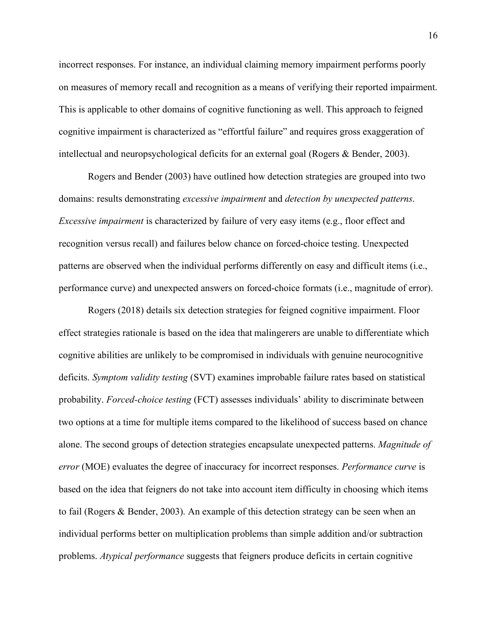incorrect responses. For instance, an individual claiming memory impairment performs poorly on measures of memory recall and recognition as a means of verifying their reported impairment. This is applicable to other domains of cognitive functioning as well. This approach to feigned cognitive impairment is characterized as "effortful failure" and requires gross exaggeration of intellectual and neuropsychological deficits for an external goal (Rogers & Bender, 2003).

Rogers and Bender (2003) have outlined how detection strategies are grouped into two domains: results demonstrating *excessive impairment* and *detection by unexpected patterns*. *Excessive impairment* is characterized by failure of very easy items (e.g., floor effect and recognition versus recall) and failures below chance on forced-choice testing. Unexpected patterns are observed when the individual performs differently on easy and difficult items (i.e., performance curve) and unexpected answers on forced-choice formats (i.e., magnitude of error).

Rogers (2018) details six detection strategies for feigned cognitive impairment. Floor effect strategies rationale is based on the idea that malingerers are unable to differentiate which cognitive abilities are unlikely to be compromised in individuals with genuine neurocognitive deficits. *Symptom validity testing* (SVT) examines improbable failure rates based on statistical probability. *Forced-choice testing* (FCT) assesses individuals' ability to discriminate between two options at a time for multiple items compared to the likelihood of success based on chance alone. The second groups of detection strategies encapsulate unexpected patterns. *Magnitude of error* (MOE) evaluates the degree of inaccuracy for incorrect responses. *Performance curve* is based on the idea that feigners do not take into account item difficulty in choosing which items to fail (Rogers & Bender, 2003). An example of this detection strategy can be seen when an individual performs better on multiplication problems than simple addition and/or subtraction problems. *Atypical performance* suggests that feigners produce deficits in certain cognitive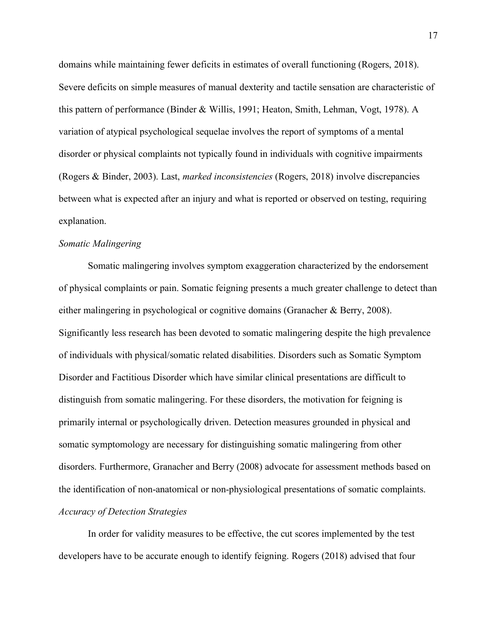domains while maintaining fewer deficits in estimates of overall functioning (Rogers, 2018). Severe deficits on simple measures of manual dexterity and tactile sensation are characteristic of this pattern of performance (Binder & Willis, 1991; Heaton, Smith, Lehman, Vogt, 1978). A variation of atypical psychological sequelae involves the report of symptoms of a mental disorder or physical complaints not typically found in individuals with cognitive impairments (Rogers & Binder, 2003). Last, *marked inconsistencies* (Rogers, 2018) involve discrepancies between what is expected after an injury and what is reported or observed on testing, requiring explanation.

#### *Somatic Malingering*

Somatic malingering involves symptom exaggeration characterized by the endorsement of physical complaints or pain. Somatic feigning presents a much greater challenge to detect than either malingering in psychological or cognitive domains (Granacher & Berry, 2008). Significantly less research has been devoted to somatic malingering despite the high prevalence of individuals with physical/somatic related disabilities. Disorders such as Somatic Symptom Disorder and Factitious Disorder which have similar clinical presentations are difficult to distinguish from somatic malingering. For these disorders, the motivation for feigning is primarily internal or psychologically driven. Detection measures grounded in physical and somatic symptomology are necessary for distinguishing somatic malingering from other disorders. Furthermore, Granacher and Berry (2008) advocate for assessment methods based on the identification of non-anatomical or non-physiological presentations of somatic complaints. *Accuracy of Detection Strategies*

In order for validity measures to be effective, the cut scores implemented by the test developers have to be accurate enough to identify feigning. Rogers (2018) advised that four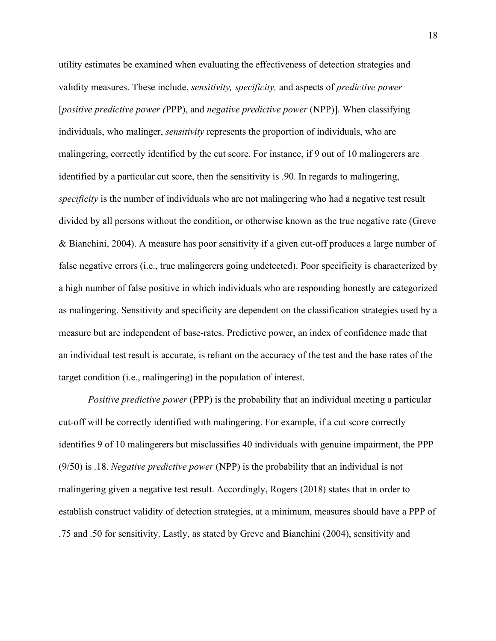utility estimates be examined when evaluating the effectiveness of detection strategies and validity measures. These include, *sensitivity, specificity,* and aspects of *predictive power*  [*positive predictive power (*PPP), and *negative predictive power* (NPP)]. When classifying individuals, who malinger, *sensitivity* represents the proportion of individuals, who are malingering, correctly identified by the cut score. For instance, if 9 out of 10 malingerers are identified by a particular cut score, then the sensitivity is .90. In regards to malingering, *specificity* is the number of individuals who are not malingering who had a negative test result divided by all persons without the condition, or otherwise known as the true negative rate (Greve & Bianchini, 2004). A measure has poor sensitivity if a given cut-off produces a large number of false negative errors (i.e., true malingerers going undetected). Poor specificity is characterized by a high number of false positive in which individuals who are responding honestly are categorized as malingering. Sensitivity and specificity are dependent on the classification strategies used by a measure but are independent of base-rates. Predictive power, an index of confidence made that an individual test result is accurate, is reliant on the accuracy of the test and the base rates of the target condition (i.e., malingering) in the population of interest.

*Positive predictive power* (PPP) is the probability that an individual meeting a particular cut-off will be correctly identified with malingering. For example, if a cut score correctly identifies 9 of 10 malingerers but misclassifies 40 individuals with genuine impairment, the PPP (9/50) is .18. *Negative predictive power* (NPP) is the probability that an individual is not malingering given a negative test result. Accordingly, Rogers (2018) states that in order to establish construct validity of detection strategies, at a minimum, measures should have a PPP of .75 and .50 for sensitivity. Lastly, as stated by Greve and Bianchini (2004), sensitivity and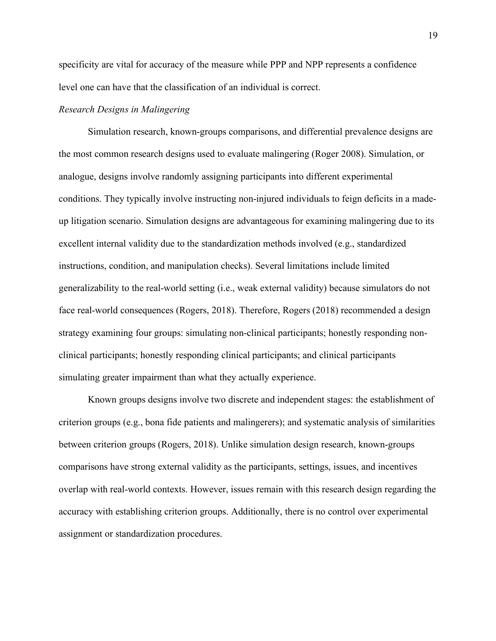specificity are vital for accuracy of the measure while PPP and NPP represents a confidence level one can have that the classification of an individual is correct.

#### *Research Designs in Malingering*

Simulation research, known-groups comparisons, and differential prevalence designs are the most common research designs used to evaluate malingering (Roger 2008). Simulation, or analogue, designs involve randomly assigning participants into different experimental conditions. They typically involve instructing non-injured individuals to feign deficits in a madeup litigation scenario. Simulation designs are advantageous for examining malingering due to its excellent internal validity due to the standardization methods involved (e.g., standardized instructions, condition, and manipulation checks). Several limitations include limited generalizability to the real-world setting (i.e., weak external validity) because simulators do not face real-world consequences (Rogers, 2018). Therefore, Rogers (2018) recommended a design strategy examining four groups: simulating non-clinical participants; honestly responding nonclinical participants; honestly responding clinical participants; and clinical participants simulating greater impairment than what they actually experience.

Known groups designs involve two discrete and independent stages: the establishment of criterion groups (e.g., bona fide patients and malingerers); and systematic analysis of similarities between criterion groups (Rogers, 2018). Unlike simulation design research, known-groups comparisons have strong external validity as the participants, settings, issues, and incentives overlap with real-world contexts. However, issues remain with this research design regarding the accuracy with establishing criterion groups. Additionally, there is no control over experimental assignment or standardization procedures.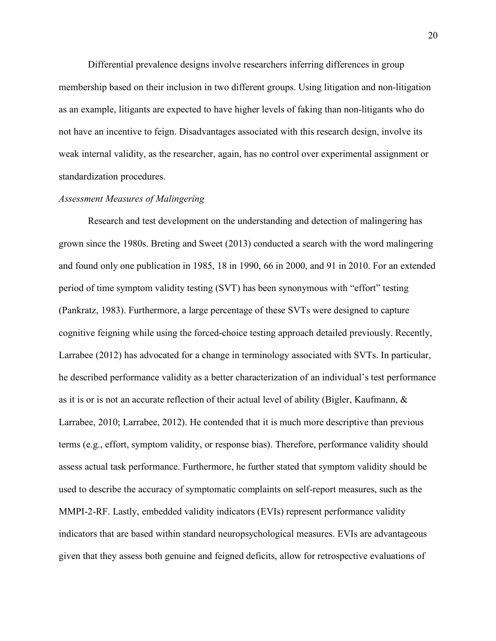Differential prevalence designs involve researchers inferring differences in group membership based on their inclusion in two different groups. Using litigation and non-litigation as an example, litigants are expected to have higher levels of faking than non-litigants who do not have an incentive to feign. Disadvantages associated with this research design, involve its weak internal validity, as the researcher, again, has no control over experimental assignment or standardization procedures.

#### *Assessment Measures of Malingering*

Research and test development on the understanding and detection of malingering has grown since the 1980s. Breting and Sweet (2013) conducted a search with the word malingering and found only one publication in 1985, 18 in 1990, 66 in 2000, and 91 in 2010. For an extended period of time symptom validity testing (SVT) has been synonymous with "effort" testing (Pankratz, 1983). Furthermore, a large percentage of these SVTs were designed to capture cognitive feigning while using the forced-choice testing approach detailed previously. Recently, Larrabee (2012) has advocated for a change in terminology associated with SVTs. In particular, he described performance validity as a better characterization of an individual's test performance as it is or is not an accurate reflection of their actual level of ability (Bigler, Kaufmann, & Larrabee, 2010; Larrabee, 2012). He contended that it is much more descriptive than previous terms (e.g., effort, symptom validity, or response bias). Therefore, performance validity should assess actual task performance. Furthermore, he further stated that symptom validity should be used to describe the accuracy of symptomatic complaints on self-report measures, such as the MMPI-2-RF. Lastly, embedded validity indicators (EVIs) represent performance validity indicators that are based within standard neuropsychological measures. EVIs are advantageous given that they assess both genuine and feigned deficits, allow for retrospective evaluations of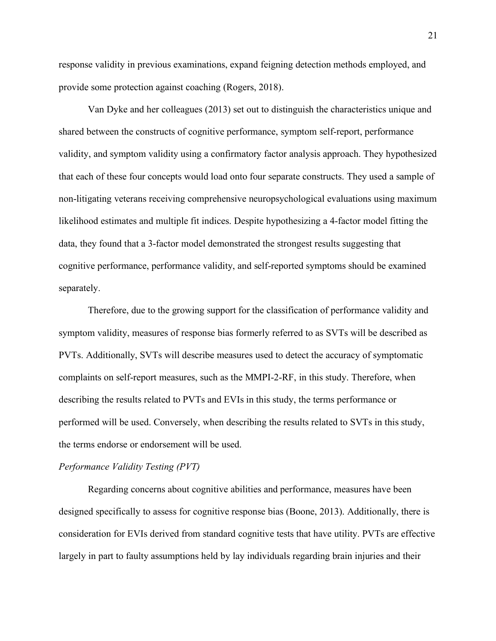response validity in previous examinations, expand feigning detection methods employed, and provide some protection against coaching (Rogers, 2018).

Van Dyke and her colleagues (2013) set out to distinguish the characteristics unique and shared between the constructs of cognitive performance, symptom self-report, performance validity, and symptom validity using a confirmatory factor analysis approach. They hypothesized that each of these four concepts would load onto four separate constructs. They used a sample of non-litigating veterans receiving comprehensive neuropsychological evaluations using maximum likelihood estimates and multiple fit indices. Despite hypothesizing a 4-factor model fitting the data, they found that a 3-factor model demonstrated the strongest results suggesting that cognitive performance, performance validity, and self-reported symptoms should be examined separately.

Therefore, due to the growing support for the classification of performance validity and symptom validity, measures of response bias formerly referred to as SVTs will be described as PVTs. Additionally, SVTs will describe measures used to detect the accuracy of symptomatic complaints on self-report measures, such as the MMPI-2-RF, in this study. Therefore, when describing the results related to PVTs and EVIs in this study, the terms performance or performed will be used. Conversely, when describing the results related to SVTs in this study, the terms endorse or endorsement will be used.

#### *Performance Validity Testing (PVT)*

Regarding concerns about cognitive abilities and performance, measures have been designed specifically to assess for cognitive response bias (Boone, 2013). Additionally, there is consideration for EVIs derived from standard cognitive tests that have utility. PVTs are effective largely in part to faulty assumptions held by lay individuals regarding brain injuries and their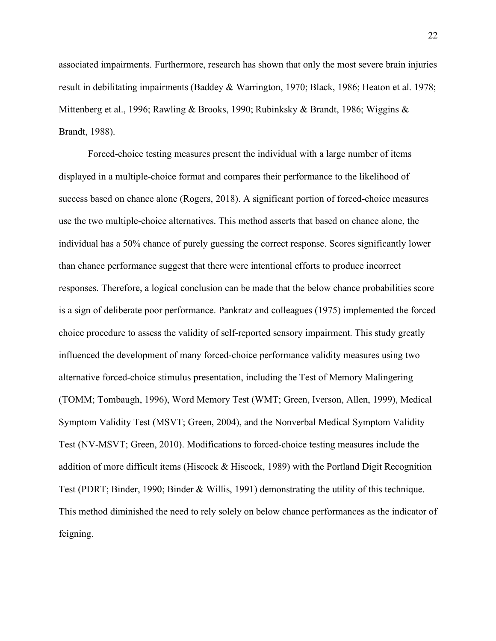associated impairments. Furthermore, research has shown that only the most severe brain injuries result in debilitating impairments (Baddey & Warrington, 1970; Black, 1986; Heaton et al. 1978; Mittenberg et al., 1996; Rawling & Brooks, 1990; Rubinksky & Brandt, 1986; Wiggins & Brandt, 1988).

Forced-choice testing measures present the individual with a large number of items displayed in a multiple-choice format and compares their performance to the likelihood of success based on chance alone (Rogers, 2018). A significant portion of forced-choice measures use the two multiple-choice alternatives. This method asserts that based on chance alone, the individual has a 50% chance of purely guessing the correct response. Scores significantly lower than chance performance suggest that there were intentional efforts to produce incorrect responses. Therefore, a logical conclusion can be made that the below chance probabilities score is a sign of deliberate poor performance. Pankratz and colleagues (1975) implemented the forced choice procedure to assess the validity of self-reported sensory impairment. This study greatly influenced the development of many forced-choice performance validity measures using two alternative forced-choice stimulus presentation, including the Test of Memory Malingering (TOMM; Tombaugh, 1996), Word Memory Test (WMT; Green, Iverson, Allen, 1999), Medical Symptom Validity Test (MSVT; Green, 2004), and the Nonverbal Medical Symptom Validity Test (NV-MSVT; Green, 2010). Modifications to forced-choice testing measures include the addition of more difficult items (Hiscock  $\&$  Hiscock, 1989) with the Portland Digit Recognition Test (PDRT; Binder, 1990; Binder & Willis, 1991) demonstrating the utility of this technique. This method diminished the need to rely solely on below chance performances as the indicator of feigning.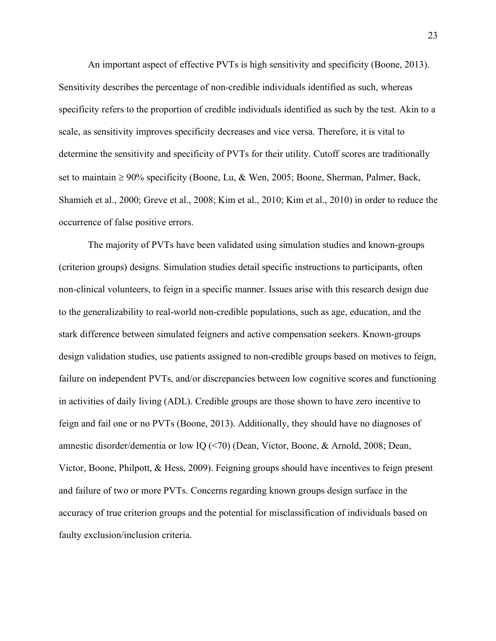An important aspect of effective PVTs is high sensitivity and specificity (Boone, 2013). Sensitivity describes the percentage of non-credible individuals identified as such, whereas specificity refers to the proportion of credible individuals identified as such by the test. Akin to a scale, as sensitivity improves specificity decreases and vice versa. Therefore, it is vital to determine the sensitivity and specificity of PVTs for their utility. Cutoff scores are traditionally set to maintain  $\geq 90\%$  specificity (Boone, Lu, & Wen, 2005; Boone, Sherman, Palmer, Back, Shamieh et al., 2000; Greve et al., 2008; Kim et al., 2010; Kim et al., 2010) in order to reduce the occurrence of false positive errors.

The majority of PVTs have been validated using simulation studies and known-groups (criterion groups) designs. Simulation studies detail specific instructions to participants, often non-clinical volunteers, to feign in a specific manner. Issues arise with this research design due to the generalizability to real-world non-credible populations, such as age, education, and the stark difference between simulated feigners and active compensation seekers. Known-groups design validation studies, use patients assigned to non-credible groups based on motives to feign, failure on independent PVTs, and/or discrepancies between low cognitive scores and functioning in activities of daily living (ADL). Credible groups are those shown to have zero incentive to feign and fail one or no PVTs (Boone, 2013). Additionally, they should have no diagnoses of amnestic disorder/dementia or low IQ (<70) (Dean, Victor, Boone, & Arnold, 2008; Dean, Victor, Boone, Philpott, & Hess, 2009). Feigning groups should have incentives to feign present and failure of two or more PVTs. Concerns regarding known groups design surface in the accuracy of true criterion groups and the potential for misclassification of individuals based on faulty exclusion/inclusion criteria.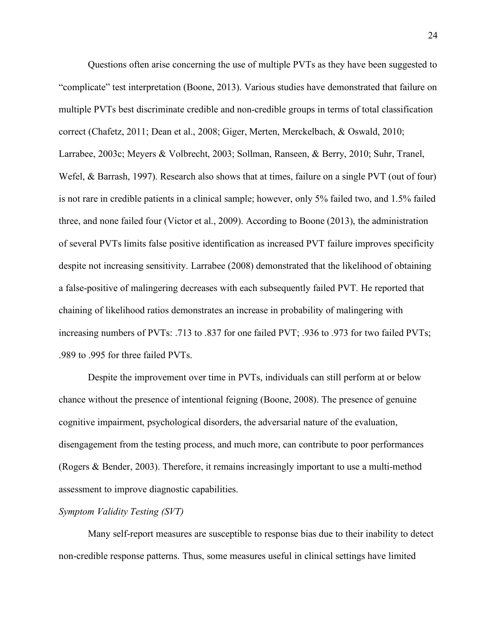Questions often arise concerning the use of multiple PVTs as they have been suggested to "complicate" test interpretation (Boone, 2013). Various studies have demonstrated that failure on multiple PVTs best discriminate credible and non-credible groups in terms of total classification correct (Chafetz, 2011; Dean et al., 2008; Giger, Merten, Merckelbach, & Oswald, 2010; Larrabee, 2003c; Meyers & Volbrecht, 2003; Sollman, Ranseen, & Berry, 2010; Suhr, Tranel, Wefel, & Barrash, 1997). Research also shows that at times, failure on a single PVT (out of four) is not rare in credible patients in a clinical sample; however, only 5% failed two, and 1.5% failed three, and none failed four (Victor et al., 2009). According to Boone (2013), the administration of several PVTs limits false positive identification as increased PVT failure improves specificity despite not increasing sensitivity. Larrabee (2008) demonstrated that the likelihood of obtaining a false-positive of malingering decreases with each subsequently failed PVT. He reported that chaining of likelihood ratios demonstrates an increase in probability of malingering with increasing numbers of PVTs: .713 to .837 for one failed PVT; .936 to .973 for two failed PVTs; .989 to .995 for three failed PVTs.

Despite the improvement over time in PVTs, individuals can still perform at or below chance without the presence of intentional feigning (Boone, 2008). The presence of genuine cognitive impairment, psychological disorders, the adversarial nature of the evaluation, disengagement from the testing process, and much more, can contribute to poor performances (Rogers & Bender, 2003). Therefore, it remains increasingly important to use a multi-method assessment to improve diagnostic capabilities.

#### *Symptom Validity Testing (SVT)*

Many self-report measures are susceptible to response bias due to their inability to detect non-credible response patterns. Thus, some measures useful in clinical settings have limited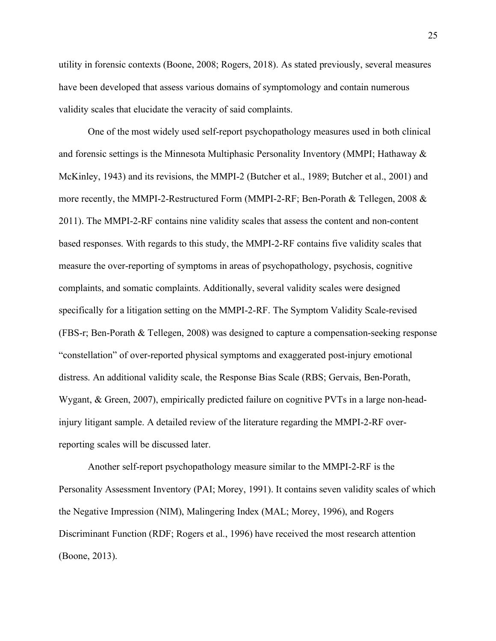utility in forensic contexts (Boone, 2008; Rogers, 2018). As stated previously, several measures have been developed that assess various domains of symptomology and contain numerous validity scales that elucidate the veracity of said complaints.

One of the most widely used self-report psychopathology measures used in both clinical and forensic settings is the Minnesota Multiphasic Personality Inventory (MMPI; Hathaway & McKinley, 1943) and its revisions, the MMPI-2 (Butcher et al., 1989; Butcher et al., 2001) and more recently, the MMPI-2-Restructured Form (MMPI-2-RF; Ben-Porath & Tellegen, 2008  $\&$ 2011). The MMPI-2-RF contains nine validity scales that assess the content and non-content based responses. With regards to this study, the MMPI-2-RF contains five validity scales that measure the over-reporting of symptoms in areas of psychopathology, psychosis, cognitive complaints, and somatic complaints. Additionally, several validity scales were designed specifically for a litigation setting on the MMPI-2-RF. The Symptom Validity Scale-revised (FBS-r; Ben-Porath & Tellegen, 2008) was designed to capture a compensation-seeking response "constellation" of over-reported physical symptoms and exaggerated post-injury emotional distress. An additional validity scale, the Response Bias Scale (RBS; Gervais, Ben-Porath, Wygant, & Green, 2007), empirically predicted failure on cognitive PVTs in a large non-headinjury litigant sample. A detailed review of the literature regarding the MMPI-2-RF overreporting scales will be discussed later.

Another self-report psychopathology measure similar to the MMPI-2-RF is the Personality Assessment Inventory (PAI; Morey, 1991). It contains seven validity scales of which the Negative Impression (NIM), Malingering Index (MAL; Morey, 1996), and Rogers Discriminant Function (RDF; Rogers et al., 1996) have received the most research attention (Boone, 2013).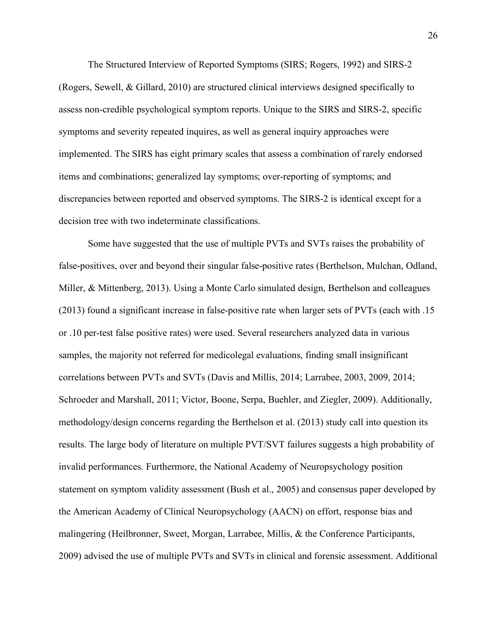The Structured Interview of Reported Symptoms (SIRS; Rogers, 1992) and SIRS-2 (Rogers, Sewell, & Gillard, 2010) are structured clinical interviews designed specifically to assess non-credible psychological symptom reports. Unique to the SIRS and SIRS-2, specific symptoms and severity repeated inquires, as well as general inquiry approaches were implemented. The SIRS has eight primary scales that assess a combination of rarely endorsed items and combinations; generalized lay symptoms; over-reporting of symptoms; and discrepancies between reported and observed symptoms. The SIRS-2 is identical except for a decision tree with two indeterminate classifications.

Some have suggested that the use of multiple PVTs and SVTs raises the probability of false-positives, over and beyond their singular false-positive rates (Berthelson, Mulchan, Odland, Miller, & Mittenberg, 2013). Using a Monte Carlo simulated design, Berthelson and colleagues (2013) found a significant increase in false-positive rate when larger sets of PVTs (each with .15 or .10 per-test false positive rates) were used. Several researchers analyzed data in various samples, the majority not referred for medicolegal evaluations, finding small insignificant correlations between PVTs and SVTs (Davis and Millis, 2014; Larrabee, 2003, 2009, 2014; Schroeder and Marshall, 2011; Victor, Boone, Serpa, Buehler, and Ziegler, 2009). Additionally, methodology/design concerns regarding the Berthelson et al. (2013) study call into question its results. The large body of literature on multiple PVT/SVT failures suggests a high probability of invalid performances. Furthermore, the National Academy of Neuropsychology position statement on symptom validity assessment (Bush et al., 2005) and consensus paper developed by the American Academy of Clinical Neuropsychology (AACN) on effort, response bias and malingering (Heilbronner, Sweet, Morgan, Larrabee, Millis, & the Conference Participants, 2009) advised the use of multiple PVTs and SVTs in clinical and forensic assessment. Additional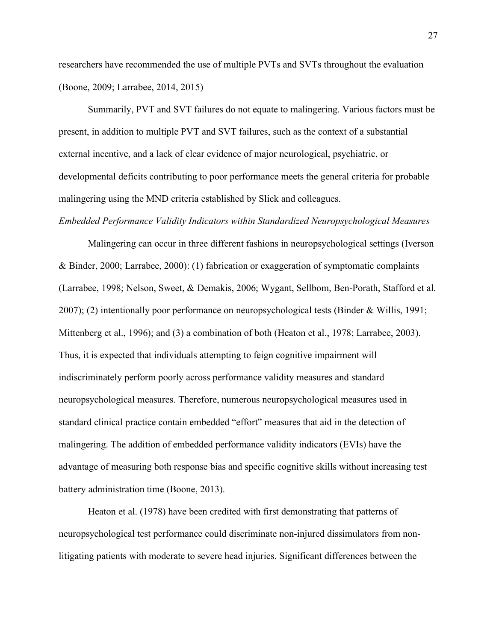researchers have recommended the use of multiple PVTs and SVTs throughout the evaluation (Boone, 2009; Larrabee, 2014, 2015)

Summarily, PVT and SVT failures do not equate to malingering. Various factors must be present, in addition to multiple PVT and SVT failures, such as the context of a substantial external incentive, and a lack of clear evidence of major neurological, psychiatric, or developmental deficits contributing to poor performance meets the general criteria for probable malingering using the MND criteria established by Slick and colleagues.

#### *Embedded Performance Validity Indicators within Standardized Neuropsychological Measures*

Malingering can occur in three different fashions in neuropsychological settings (Iverson & Binder, 2000; Larrabee, 2000): (1) fabrication or exaggeration of symptomatic complaints (Larrabee, 1998; Nelson, Sweet, & Demakis, 2006; Wygant, Sellbom, Ben-Porath, Stafford et al. 2007); (2) intentionally poor performance on neuropsychological tests (Binder & Willis, 1991; Mittenberg et al., 1996); and (3) a combination of both (Heaton et al., 1978; Larrabee, 2003). Thus, it is expected that individuals attempting to feign cognitive impairment will indiscriminately perform poorly across performance validity measures and standard neuropsychological measures. Therefore, numerous neuropsychological measures used in standard clinical practice contain embedded "effort" measures that aid in the detection of malingering. The addition of embedded performance validity indicators (EVIs) have the advantage of measuring both response bias and specific cognitive skills without increasing test battery administration time (Boone, 2013).

Heaton et al. (1978) have been credited with first demonstrating that patterns of neuropsychological test performance could discriminate non-injured dissimulators from nonlitigating patients with moderate to severe head injuries. Significant differences between the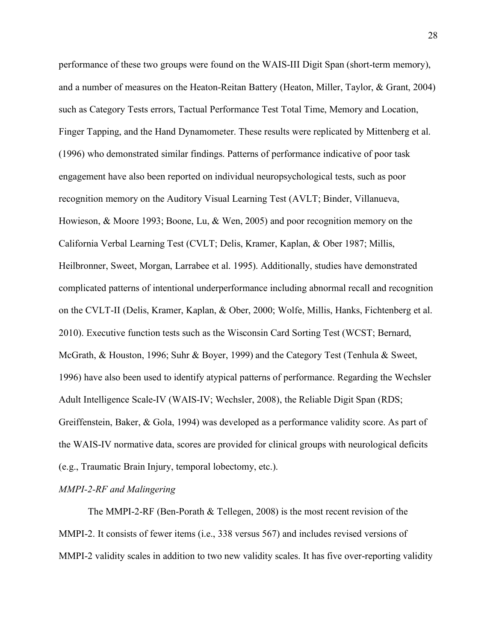performance of these two groups were found on the WAIS-III Digit Span (short-term memory), and a number of measures on the Heaton-Reitan Battery (Heaton, Miller, Taylor, & Grant, 2004) such as Category Tests errors, Tactual Performance Test Total Time, Memory and Location, Finger Tapping, and the Hand Dynamometer. These results were replicated by Mittenberg et al. (1996) who demonstrated similar findings. Patterns of performance indicative of poor task engagement have also been reported on individual neuropsychological tests, such as poor recognition memory on the Auditory Visual Learning Test (AVLT; Binder, Villanueva, Howieson, & Moore 1993; Boone, Lu, & Wen, 2005) and poor recognition memory on the California Verbal Learning Test (CVLT; Delis, Kramer, Kaplan, & Ober 1987; Millis, Heilbronner, Sweet, Morgan, Larrabee et al. 1995). Additionally, studies have demonstrated complicated patterns of intentional underperformance including abnormal recall and recognition on the CVLT-II (Delis, Kramer, Kaplan, & Ober, 2000; Wolfe, Millis, Hanks, Fichtenberg et al. 2010). Executive function tests such as the Wisconsin Card Sorting Test (WCST; Bernard, McGrath, & Houston, 1996; Suhr & Boyer, 1999) and the Category Test (Tenhula & Sweet, 1996) have also been used to identify atypical patterns of performance. Regarding the Wechsler Adult Intelligence Scale-IV (WAIS-IV; Wechsler, 2008), the Reliable Digit Span (RDS; Greiffenstein, Baker, & Gola, 1994) was developed as a performance validity score. As part of the WAIS-IV normative data, scores are provided for clinical groups with neurological deficits (e.g., Traumatic Brain Injury, temporal lobectomy, etc.).

*MMPI-2-RF and Malingering*

The MMPI-2-RF (Ben-Porath & Tellegen, 2008) is the most recent revision of the MMPI-2. It consists of fewer items (i.e., 338 versus 567) and includes revised versions of MMPI-2 validity scales in addition to two new validity scales. It has five over-reporting validity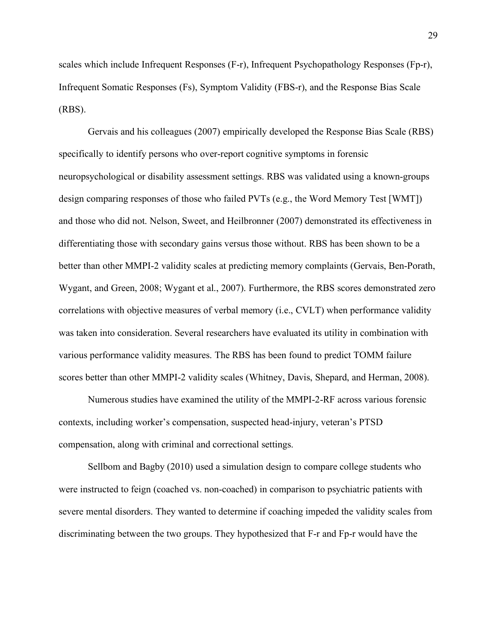scales which include Infrequent Responses (F-r), Infrequent Psychopathology Responses (Fp-r), Infrequent Somatic Responses (Fs), Symptom Validity (FBS-r), and the Response Bias Scale (RBS).

Gervais and his colleagues (2007) empirically developed the Response Bias Scale (RBS) specifically to identify persons who over-report cognitive symptoms in forensic neuropsychological or disability assessment settings. RBS was validated using a known-groups design comparing responses of those who failed PVTs (e.g., the Word Memory Test [WMT]) and those who did not. Nelson, Sweet, and Heilbronner (2007) demonstrated its effectiveness in differentiating those with secondary gains versus those without. RBS has been shown to be a better than other MMPI-2 validity scales at predicting memory complaints (Gervais, Ben-Porath, Wygant, and Green, 2008; Wygant et al., 2007). Furthermore, the RBS scores demonstrated zero correlations with objective measures of verbal memory (i.e., CVLT) when performance validity was taken into consideration. Several researchers have evaluated its utility in combination with various performance validity measures. The RBS has been found to predict TOMM failure scores better than other MMPI-2 validity scales (Whitney, Davis, Shepard, and Herman, 2008).

Numerous studies have examined the utility of the MMPI-2-RF across various forensic contexts, including worker's compensation, suspected head-injury, veteran's PTSD compensation, along with criminal and correctional settings.

Sellbom and Bagby (2010) used a simulation design to compare college students who were instructed to feign (coached vs. non-coached) in comparison to psychiatric patients with severe mental disorders. They wanted to determine if coaching impeded the validity scales from discriminating between the two groups. They hypothesized that F-r and Fp-r would have the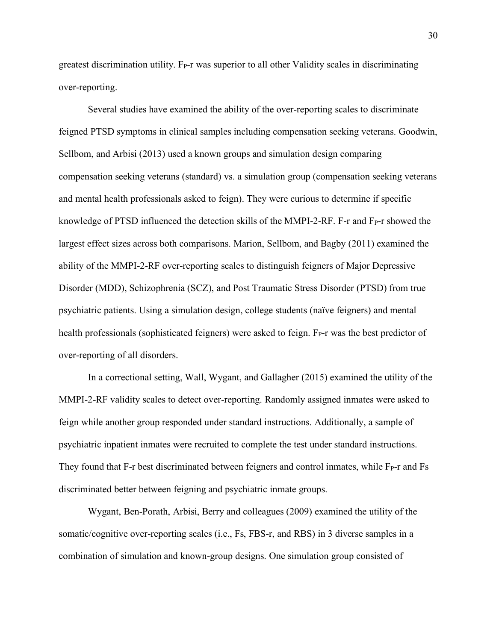greatest discrimination utility. F<sub>P</sub>-r was superior to all other Validity scales in discriminating over-reporting.

Several studies have examined the ability of the over-reporting scales to discriminate feigned PTSD symptoms in clinical samples including compensation seeking veterans. Goodwin, Sellbom, and Arbisi (2013) used a known groups and simulation design comparing compensation seeking veterans (standard) vs. a simulation group (compensation seeking veterans and mental health professionals asked to feign). They were curious to determine if specific knowledge of PTSD influenced the detection skills of the MMPI-2-RF. F-r and  $F_{P}$ -r showed the largest effect sizes across both comparisons. Marion, Sellbom, and Bagby (2011) examined the ability of the MMPI-2-RF over-reporting scales to distinguish feigners of Major Depressive Disorder (MDD), Schizophrenia (SCZ), and Post Traumatic Stress Disorder (PTSD) from true psychiatric patients. Using a simulation design, college students (naïve feigners) and mental health professionals (sophisticated feigners) were asked to feign. F<sub>P</sub>-r was the best predictor of over-reporting of all disorders.

In a correctional setting, Wall, Wygant, and Gallagher (2015) examined the utility of the MMPI-2-RF validity scales to detect over-reporting. Randomly assigned inmates were asked to feign while another group responded under standard instructions. Additionally, a sample of psychiatric inpatient inmates were recruited to complete the test under standard instructions. They found that  $F$ -r best discriminated between feigners and control inmates, while  $F<sub>P</sub>$ -r and  $Fs$ discriminated better between feigning and psychiatric inmate groups.

Wygant, Ben-Porath, Arbisi, Berry and colleagues (2009) examined the utility of the somatic/cognitive over-reporting scales (i.e., Fs, FBS-r, and RBS) in 3 diverse samples in a combination of simulation and known-group designs. One simulation group consisted of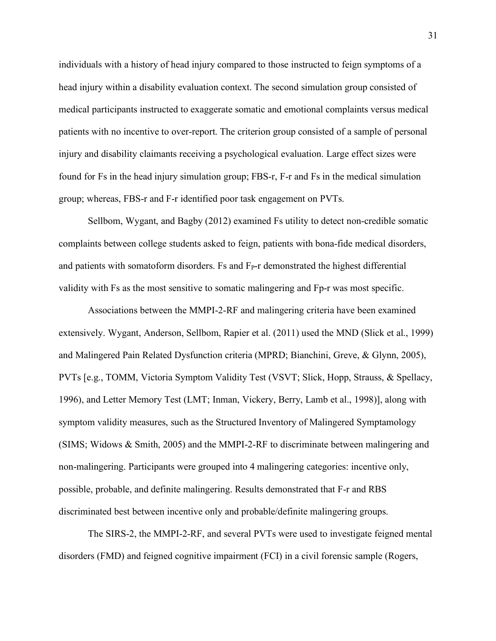individuals with a history of head injury compared to those instructed to feign symptoms of a head injury within a disability evaluation context. The second simulation group consisted of medical participants instructed to exaggerate somatic and emotional complaints versus medical patients with no incentive to over-report. The criterion group consisted of a sample of personal injury and disability claimants receiving a psychological evaluation. Large effect sizes were found for Fs in the head injury simulation group; FBS-r, F-r and Fs in the medical simulation group; whereas, FBS-r and F-r identified poor task engagement on PVTs.

Sellbom, Wygant, and Bagby (2012) examined Fs utility to detect non-credible somatic complaints between college students asked to feign, patients with bona-fide medical disorders, and patients with somatoform disorders. Fs and  $F_{P}$ -r demonstrated the highest differential validity with Fs as the most sensitive to somatic malingering and Fp-r was most specific.

Associations between the MMPI-2-RF and malingering criteria have been examined extensively. Wygant, Anderson, Sellbom, Rapier et al. (2011) used the MND (Slick et al., 1999) and Malingered Pain Related Dysfunction criteria (MPRD; Bianchini, Greve, & Glynn, 2005), PVTs [e.g., TOMM, Victoria Symptom Validity Test (VSVT; Slick, Hopp, Strauss, & Spellacy, 1996), and Letter Memory Test (LMT; Inman, Vickery, Berry, Lamb et al., 1998)], along with symptom validity measures, such as the Structured Inventory of Malingered Symptamology (SIMS; Widows & Smith, 2005) and the MMPI-2-RF to discriminate between malingering and non-malingering. Participants were grouped into 4 malingering categories: incentive only, possible, probable, and definite malingering. Results demonstrated that F-r and RBS discriminated best between incentive only and probable/definite malingering groups.

The SIRS-2, the MMPI-2-RF, and several PVTs were used to investigate feigned mental disorders (FMD) and feigned cognitive impairment (FCI) in a civil forensic sample (Rogers,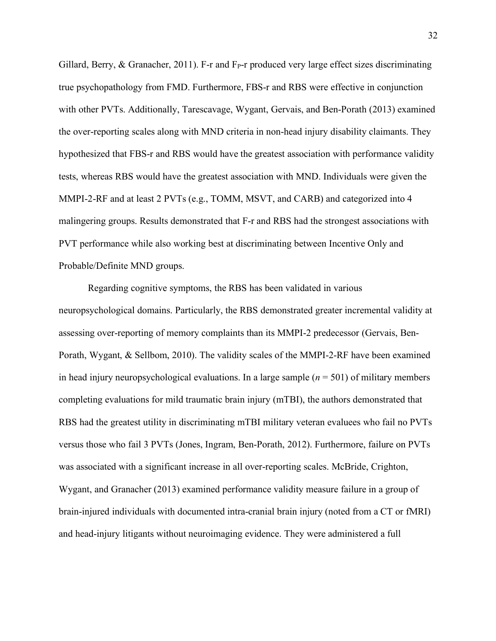Gillard, Berry,  $\&$  Granacher, 2011). F-r and F<sub>P</sub>-r produced very large effect sizes discriminating true psychopathology from FMD. Furthermore, FBS-r and RBS were effective in conjunction with other PVTs. Additionally, Tarescavage, Wygant, Gervais, and Ben-Porath (2013) examined the over-reporting scales along with MND criteria in non-head injury disability claimants. They hypothesized that FBS-r and RBS would have the greatest association with performance validity tests, whereas RBS would have the greatest association with MND. Individuals were given the MMPI-2-RF and at least 2 PVTs (e.g., TOMM, MSVT, and CARB) and categorized into 4 malingering groups. Results demonstrated that F-r and RBS had the strongest associations with PVT performance while also working best at discriminating between Incentive Only and Probable/Definite MND groups.

Regarding cognitive symptoms, the RBS has been validated in various neuropsychological domains. Particularly, the RBS demonstrated greater incremental validity at assessing over-reporting of memory complaints than its MMPI-2 predecessor (Gervais, Ben-Porath, Wygant, & Sellbom, 2010). The validity scales of the MMPI-2-RF have been examined in head injury neuropsychological evaluations. In a large sample (*n* = 501) of military members completing evaluations for mild traumatic brain injury (mTBI), the authors demonstrated that RBS had the greatest utility in discriminating mTBI military veteran evaluees who fail no PVTs versus those who fail 3 PVTs (Jones, Ingram, Ben-Porath, 2012). Furthermore, failure on PVTs was associated with a significant increase in all over-reporting scales. McBride, Crighton, Wygant, and Granacher (2013) examined performance validity measure failure in a group of brain-injured individuals with documented intra-cranial brain injury (noted from a CT or fMRI) and head-injury litigants without neuroimaging evidence. They were administered a full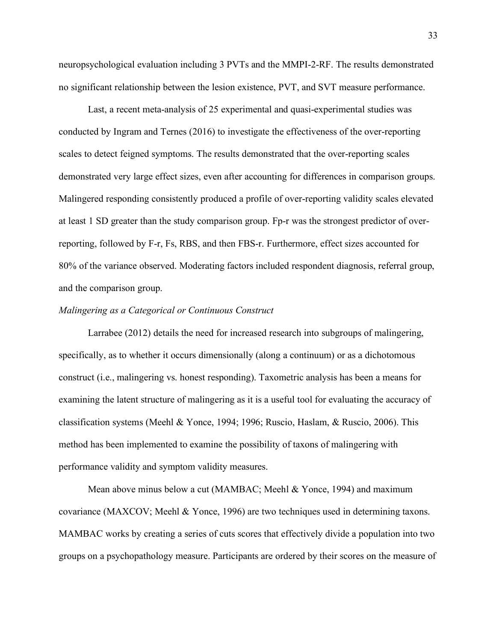neuropsychological evaluation including 3 PVTs and the MMPI-2-RF. The results demonstrated no significant relationship between the lesion existence, PVT, and SVT measure performance.

Last, a recent meta-analysis of 25 experimental and quasi-experimental studies was conducted by Ingram and Ternes (2016) to investigate the effectiveness of the over-reporting scales to detect feigned symptoms. The results demonstrated that the over-reporting scales demonstrated very large effect sizes, even after accounting for differences in comparison groups. Malingered responding consistently produced a profile of over-reporting validity scales elevated at least 1 SD greater than the study comparison group. Fp-r was the strongest predictor of overreporting, followed by F-r, Fs, RBS, and then FBS-r. Furthermore, effect sizes accounted for 80% of the variance observed. Moderating factors included respondent diagnosis, referral group, and the comparison group.

### *Malingering as a Categorical or Continuous Construct*

Larrabee (2012) details the need for increased research into subgroups of malingering, specifically, as to whether it occurs dimensionally (along a continuum) or as a dichotomous construct (i.e., malingering vs. honest responding). Taxometric analysis has been a means for examining the latent structure of malingering as it is a useful tool for evaluating the accuracy of classification systems (Meehl & Yonce, 1994; 1996; Ruscio, Haslam, & Ruscio, 2006). This method has been implemented to examine the possibility of taxons of malingering with performance validity and symptom validity measures.

Mean above minus below a cut (MAMBAC; Meehl & Yonce, 1994) and maximum covariance (MAXCOV; Meehl & Yonce, 1996) are two techniques used in determining taxons. MAMBAC works by creating a series of cuts scores that effectively divide a population into two groups on a psychopathology measure. Participants are ordered by their scores on the measure of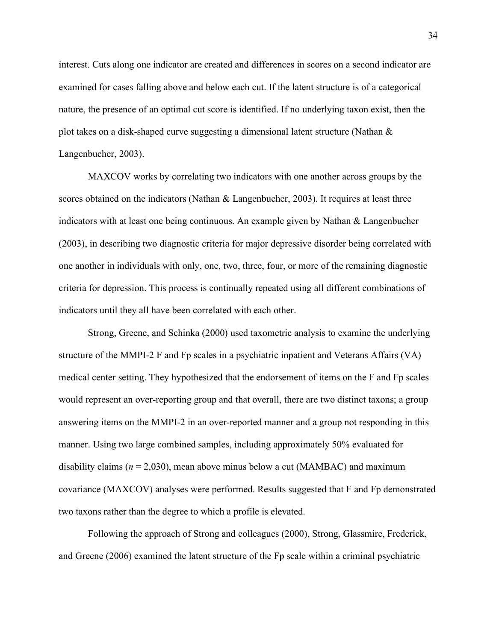interest. Cuts along one indicator are created and differences in scores on a second indicator are examined for cases falling above and below each cut. If the latent structure is of a categorical nature, the presence of an optimal cut score is identified. If no underlying taxon exist, then the plot takes on a disk-shaped curve suggesting a dimensional latent structure (Nathan & Langenbucher, 2003).

MAXCOV works by correlating two indicators with one another across groups by the scores obtained on the indicators (Nathan & Langenbucher, 2003). It requires at least three indicators with at least one being continuous. An example given by Nathan & Langenbucher (2003), in describing two diagnostic criteria for major depressive disorder being correlated with one another in individuals with only, one, two, three, four, or more of the remaining diagnostic criteria for depression. This process is continually repeated using all different combinations of indicators until they all have been correlated with each other.

Strong, Greene, and Schinka (2000) used taxometric analysis to examine the underlying structure of the MMPI-2 F and Fp scales in a psychiatric inpatient and Veterans Affairs (VA) medical center setting. They hypothesized that the endorsement of items on the F and Fp scales would represent an over-reporting group and that overall, there are two distinct taxons; a group answering items on the MMPI-2 in an over-reported manner and a group not responding in this manner. Using two large combined samples, including approximately 50% evaluated for disability claims ( $n = 2,030$ ), mean above minus below a cut (MAMBAC) and maximum covariance (MAXCOV) analyses were performed. Results suggested that F and Fp demonstrated two taxons rather than the degree to which a profile is elevated.

Following the approach of Strong and colleagues (2000), Strong, Glassmire, Frederick, and Greene (2006) examined the latent structure of the Fp scale within a criminal psychiatric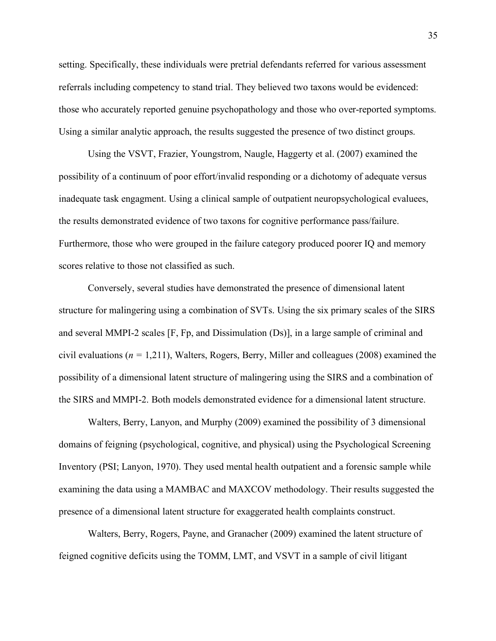setting. Specifically, these individuals were pretrial defendants referred for various assessment referrals including competency to stand trial. They believed two taxons would be evidenced: those who accurately reported genuine psychopathology and those who over-reported symptoms. Using a similar analytic approach, the results suggested the presence of two distinct groups.

Using the VSVT, Frazier, Youngstrom, Naugle, Haggerty et al. (2007) examined the possibility of a continuum of poor effort/invalid responding or a dichotomy of adequate versus inadequate task engagment. Using a clinical sample of outpatient neuropsychological evaluees, the results demonstrated evidence of two taxons for cognitive performance pass/failure. Furthermore, those who were grouped in the failure category produced poorer IQ and memory scores relative to those not classified as such.

Conversely, several studies have demonstrated the presence of dimensional latent structure for malingering using a combination of SVTs. Using the six primary scales of the SIRS and several MMPI-2 scales [F, Fp, and Dissimulation (Ds)], in a large sample of criminal and civil evaluations (*n =* 1,211), Walters, Rogers, Berry, Miller and colleagues (2008) examined the possibility of a dimensional latent structure of malingering using the SIRS and a combination of the SIRS and MMPI-2. Both models demonstrated evidence for a dimensional latent structure.

Walters, Berry, Lanyon, and Murphy (2009) examined the possibility of 3 dimensional domains of feigning (psychological, cognitive, and physical) using the Psychological Screening Inventory (PSI; Lanyon, 1970). They used mental health outpatient and a forensic sample while examining the data using a MAMBAC and MAXCOV methodology. Their results suggested the presence of a dimensional latent structure for exaggerated health complaints construct.

Walters, Berry, Rogers, Payne, and Granacher (2009) examined the latent structure of feigned cognitive deficits using the TOMM, LMT, and VSVT in a sample of civil litigant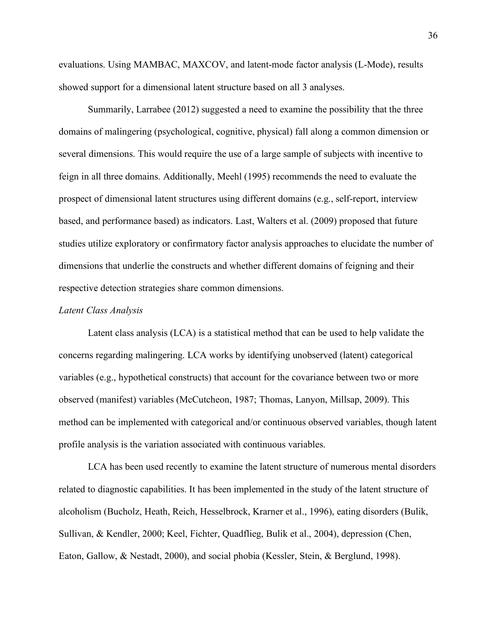evaluations. Using MAMBAC, MAXCOV, and latent-mode factor analysis (L-Mode), results showed support for a dimensional latent structure based on all 3 analyses.

Summarily, Larrabee (2012) suggested a need to examine the possibility that the three domains of malingering (psychological, cognitive, physical) fall along a common dimension or several dimensions. This would require the use of a large sample of subjects with incentive to feign in all three domains. Additionally, Meehl (1995) recommends the need to evaluate the prospect of dimensional latent structures using different domains (e.g., self-report, interview based, and performance based) as indicators. Last, Walters et al. (2009) proposed that future studies utilize exploratory or confirmatory factor analysis approaches to elucidate the number of dimensions that underlie the constructs and whether different domains of feigning and their respective detection strategies share common dimensions.

### *Latent Class Analysis*

Latent class analysis (LCA) is a statistical method that can be used to help validate the concerns regarding malingering. LCA works by identifying unobserved (latent) categorical variables (e.g., hypothetical constructs) that account for the covariance between two or more observed (manifest) variables (McCutcheon, 1987; Thomas, Lanyon, Millsap, 2009). This method can be implemented with categorical and/or continuous observed variables, though latent profile analysis is the variation associated with continuous variables.

LCA has been used recently to examine the latent structure of numerous mental disorders related to diagnostic capabilities. It has been implemented in the study of the latent structure of alcoholism (Bucholz, Heath, Reich, Hesselbrock, Krarner et al., 1996), eating disorders (Bulik, Sullivan, & Kendler, 2000; Keel, Fichter, Quadflieg, Bulik et al., 2004), depression (Chen, Eaton, Gallow, & Nestadt, 2000), and social phobia (Kessler, Stein, & Berglund, 1998).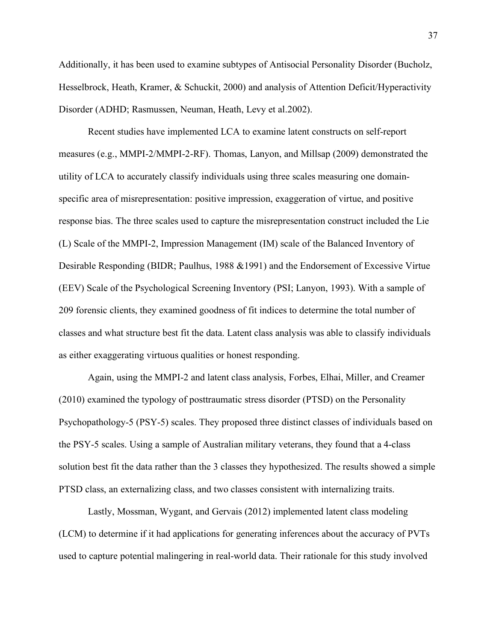Additionally, it has been used to examine subtypes of Antisocial Personality Disorder (Bucholz, Hesselbrock, Heath, Kramer, & Schuckit, 2000) and analysis of Attention Deficit/Hyperactivity Disorder (ADHD; Rasmussen, Neuman, Heath, Levy et al.2002).

Recent studies have implemented LCA to examine latent constructs on self-report measures (e.g., MMPI-2/MMPI-2-RF). Thomas, Lanyon, and Millsap (2009) demonstrated the utility of LCA to accurately classify individuals using three scales measuring one domainspecific area of misrepresentation: positive impression, exaggeration of virtue, and positive response bias. The three scales used to capture the misrepresentation construct included the Lie (L) Scale of the MMPI-2, Impression Management (IM) scale of the Balanced Inventory of Desirable Responding (BIDR; Paulhus, 1988 &1991) and the Endorsement of Excessive Virtue (EEV) Scale of the Psychological Screening Inventory (PSI; Lanyon, 1993). With a sample of 209 forensic clients, they examined goodness of fit indices to determine the total number of classes and what structure best fit the data. Latent class analysis was able to classify individuals as either exaggerating virtuous qualities or honest responding.

Again, using the MMPI-2 and latent class analysis, Forbes, Elhai, Miller, and Creamer (2010) examined the typology of posttraumatic stress disorder (PTSD) on the Personality Psychopathology-5 (PSY-5) scales. They proposed three distinct classes of individuals based on the PSY-5 scales. Using a sample of Australian military veterans, they found that a 4-class solution best fit the data rather than the 3 classes they hypothesized. The results showed a simple PTSD class, an externalizing class, and two classes consistent with internalizing traits.

Lastly, Mossman, Wygant, and Gervais (2012) implemented latent class modeling (LCM) to determine if it had applications for generating inferences about the accuracy of PVTs used to capture potential malingering in real-world data. Their rationale for this study involved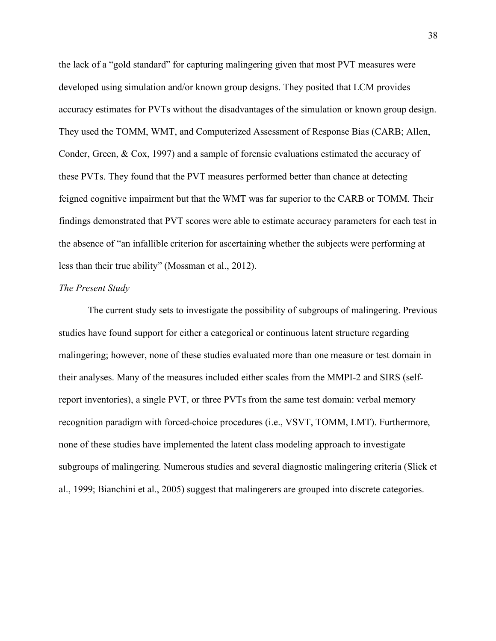the lack of a "gold standard" for capturing malingering given that most PVT measures were developed using simulation and/or known group designs. They posited that LCM provides accuracy estimates for PVTs without the disadvantages of the simulation or known group design. They used the TOMM, WMT, and Computerized Assessment of Response Bias (CARB; Allen, Conder, Green, & Cox, 1997) and a sample of forensic evaluations estimated the accuracy of these PVTs. They found that the PVT measures performed better than chance at detecting feigned cognitive impairment but that the WMT was far superior to the CARB or TOMM. Their findings demonstrated that PVT scores were able to estimate accuracy parameters for each test in the absence of "an infallible criterion for ascertaining whether the subjects were performing at less than their true ability" (Mossman et al., 2012).

#### *The Present Study*

The current study sets to investigate the possibility of subgroups of malingering. Previous studies have found support for either a categorical or continuous latent structure regarding malingering; however, none of these studies evaluated more than one measure or test domain in their analyses. Many of the measures included either scales from the MMPI-2 and SIRS (selfreport inventories), a single PVT, or three PVTs from the same test domain: verbal memory recognition paradigm with forced-choice procedures (i.e., VSVT, TOMM, LMT). Furthermore, none of these studies have implemented the latent class modeling approach to investigate subgroups of malingering. Numerous studies and several diagnostic malingering criteria (Slick et al., 1999; Bianchini et al., 2005) suggest that malingerers are grouped into discrete categories.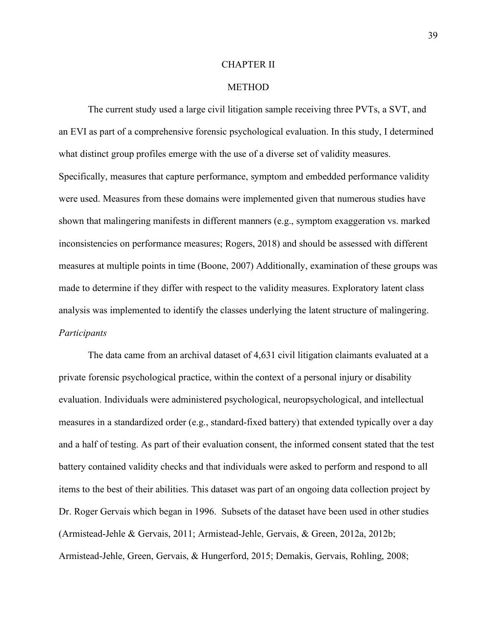#### CHAPTER II

#### METHOD

The current study used a large civil litigation sample receiving three PVTs, a SVT, and an EVI as part of a comprehensive forensic psychological evaluation. In this study, I determined what distinct group profiles emerge with the use of a diverse set of validity measures. Specifically, measures that capture performance, symptom and embedded performance validity were used. Measures from these domains were implemented given that numerous studies have shown that malingering manifests in different manners (e.g., symptom exaggeration vs. marked inconsistencies on performance measures; Rogers, 2018) and should be assessed with different measures at multiple points in time (Boone, 2007) Additionally, examination of these groups was made to determine if they differ with respect to the validity measures. Exploratory latent class analysis was implemented to identify the classes underlying the latent structure of malingering. *Participants*

The data came from an archival dataset of 4,631 civil litigation claimants evaluated at a private forensic psychological practice, within the context of a personal injury or disability evaluation. Individuals were administered psychological, neuropsychological, and intellectual measures in a standardized order (e.g., standard-fixed battery) that extended typically over a day and a half of testing. As part of their evaluation consent, the informed consent stated that the test battery contained validity checks and that individuals were asked to perform and respond to all items to the best of their abilities. This dataset was part of an ongoing data collection project by Dr. Roger Gervais which began in 1996. Subsets of the dataset have been used in other studies (Armistead-Jehle & Gervais, 2011; Armistead-Jehle, Gervais, & Green, 2012a, 2012b; Armistead-Jehle, Green, Gervais, & Hungerford, 2015; Demakis, Gervais, Rohling, 2008;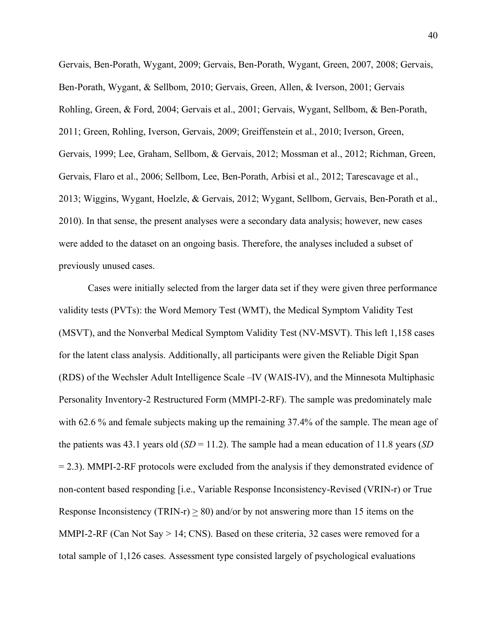Gervais, Ben-Porath, Wygant, 2009; Gervais, Ben-Porath, Wygant, Green, 2007, 2008; Gervais, Ben-Porath, Wygant, & Sellbom, 2010; Gervais, Green, Allen, & Iverson, 2001; Gervais Rohling, Green, & Ford, 2004; Gervais et al., 2001; Gervais, Wygant, Sellbom, & Ben-Porath, 2011; Green, Rohling, Iverson, Gervais, 2009; Greiffenstein et al., 2010; Iverson, Green, Gervais, 1999; Lee, Graham, Sellbom, & Gervais, 2012; Mossman et al., 2012; Richman, Green, Gervais, Flaro et al., 2006; Sellbom, Lee, Ben-Porath, Arbisi et al., 2012; Tarescavage et al., 2013; Wiggins, Wygant, Hoelzle, & Gervais, 2012; Wygant, Sellbom, Gervais, Ben-Porath et al., 2010). In that sense, the present analyses were a secondary data analysis; however, new cases were added to the dataset on an ongoing basis. Therefore, the analyses included a subset of previously unused cases.

Cases were initially selected from the larger data set if they were given three performance validity tests (PVTs): the Word Memory Test (WMT), the Medical Symptom Validity Test (MSVT), and the Nonverbal Medical Symptom Validity Test (NV-MSVT). This left 1,158 cases for the latent class analysis. Additionally, all participants were given the Reliable Digit Span (RDS) of the Wechsler Adult Intelligence Scale –IV (WAIS-IV), and the Minnesota Multiphasic Personality Inventory-2 Restructured Form (MMPI-2-RF). The sample was predominately male with 62.6 % and female subjects making up the remaining 37.4% of the sample. The mean age of the patients was 43.1 years old (*SD* = 11.2). The sample had a mean education of 11.8 years (*SD*  $= 2.3$ ). MMPI-2-RF protocols were excluded from the analysis if they demonstrated evidence of non-content based responding [i.e., Variable Response Inconsistency-Revised (VRIN-r) or True Response Inconsistency (TRIN-r)  $\geq$  80) and/or by not answering more than 15 items on the MMPI-2-RF (Can Not Say > 14; CNS). Based on these criteria, 32 cases were removed for a total sample of 1,126 cases. Assessment type consisted largely of psychological evaluations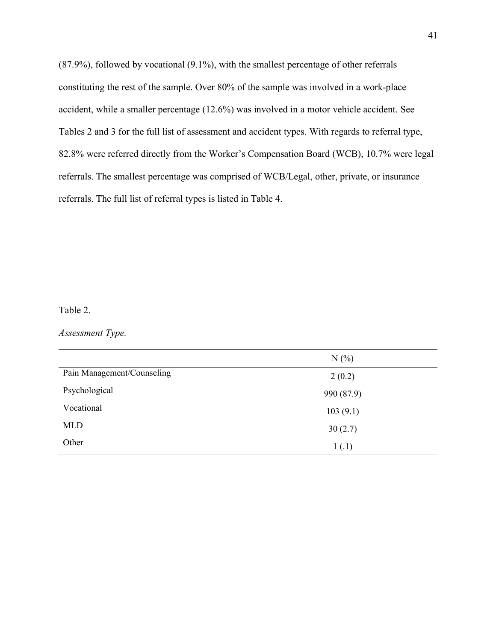(87.9%), followed by vocational (9.1%), with the smallest percentage of other referrals constituting the rest of the sample. Over 80% of the sample was involved in a work-place accident, while a smaller percentage (12.6%) was involved in a motor vehicle accident. See Tables 2 and 3 for the full list of assessment and accident types. With regards to referral type, 82.8% were referred directly from the Worker's Compensation Board (WCB), 10.7% were legal referrals. The smallest percentage was comprised of WCB/Legal, other, private, or insurance referrals. The full list of referral types is listed in Table 4.

# Table 2.

*Assessment Type.*

|                            | N(%        |
|----------------------------|------------|
| Pain Management/Counseling | 2(0.2)     |
| Psychological              | 990 (87.9) |
| Vocational                 | 103(9.1)   |
| <b>MLD</b>                 | 30(2.7)    |
| Other                      | 1(.1)      |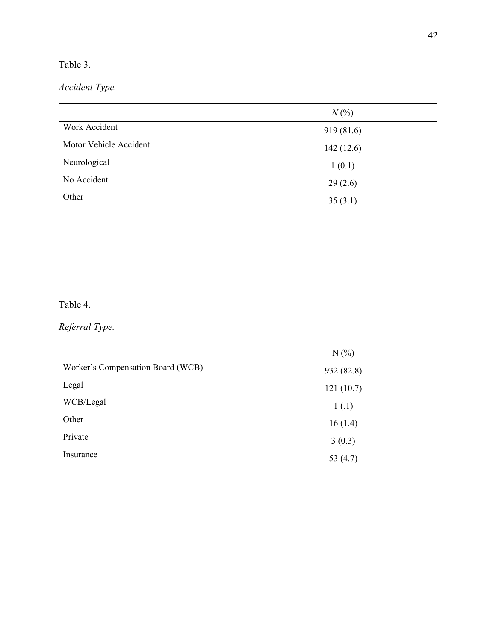# Table 3.

*Accident Type.*

|                        | $N(\%)$    |
|------------------------|------------|
| Work Accident          | 919 (81.6) |
| Motor Vehicle Accident | 142(12.6)  |
| Neurological           | 1(0.1)     |
| No Accident            | 29(2.6)    |
| Other                  | 35(3.1)    |

# Table 4.

# *Referral Type.*

|                                   | N(%        |
|-----------------------------------|------------|
| Worker's Compensation Board (WCB) | 932 (82.8) |
| Legal                             | 121(10.7)  |
| WCB/Legal                         | 1(.1)      |
| Other                             | 16(1.4)    |
| Private                           | 3(0.3)     |
| Insurance                         | 53 $(4.7)$ |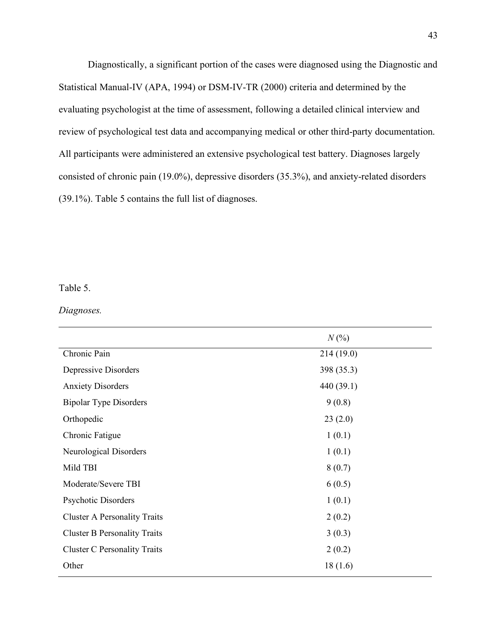Diagnostically, a significant portion of the cases were diagnosed using the Diagnostic and Statistical Manual-IV (APA, 1994) or DSM-IV-TR (2000) criteria and determined by the evaluating psychologist at the time of assessment, following a detailed clinical interview and review of psychological test data and accompanying medical or other third-party documentation. All participants were administered an extensive psychological test battery. Diagnoses largely consisted of chronic pain (19.0%), depressive disorders (35.3%), and anxiety-related disorders (39.1%). Table 5 contains the full list of diagnoses.

# Table 5.

### *Diagnoses.*

|                                     | $N(\%)$    |
|-------------------------------------|------------|
| Chronic Pain                        | 214(19.0)  |
| Depressive Disorders                | 398 (35.3) |
| <b>Anxiety Disorders</b>            | 440 (39.1) |
| <b>Bipolar Type Disorders</b>       | 9(0.8)     |
| Orthopedic                          | 23(2.0)    |
| Chronic Fatigue                     | 1(0.1)     |
| Neurological Disorders              | 1(0.1)     |
| Mild TBI                            | 8(0.7)     |
| Moderate/Severe TBI                 | 6(0.5)     |
| <b>Psychotic Disorders</b>          | 1(0.1)     |
| <b>Cluster A Personality Traits</b> | 2(0.2)     |
| <b>Cluster B Personality Traits</b> | 3(0.3)     |
| <b>Cluster C Personality Traits</b> | 2(0.2)     |
| Other                               | 18(1.6)    |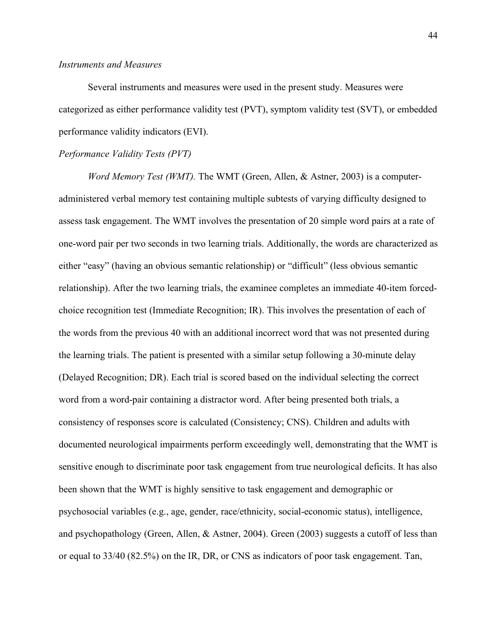## *Instruments and Measures*

Several instruments and measures were used in the present study. Measures were categorized as either performance validity test (PVT), symptom validity test (SVT), or embedded performance validity indicators (EVI).

# *Performance Validity Tests (PVT)*

*Word Memory Test (WMT).* The WMT (Green, Allen, & Astner, 2003) is a computeradministered verbal memory test containing multiple subtests of varying difficulty designed to assess task engagement. The WMT involves the presentation of 20 simple word pairs at a rate of one-word pair per two seconds in two learning trials. Additionally, the words are characterized as either "easy" (having an obvious semantic relationship) or "difficult" (less obvious semantic relationship). After the two learning trials, the examinee completes an immediate 40-item forcedchoice recognition test (Immediate Recognition; IR). This involves the presentation of each of the words from the previous 40 with an additional incorrect word that was not presented during the learning trials. The patient is presented with a similar setup following a 30-minute delay (Delayed Recognition; DR). Each trial is scored based on the individual selecting the correct word from a word-pair containing a distractor word. After being presented both trials, a consistency of responses score is calculated (Consistency; CNS). Children and adults with documented neurological impairments perform exceedingly well, demonstrating that the WMT is sensitive enough to discriminate poor task engagement from true neurological deficits. It has also been shown that the WMT is highly sensitive to task engagement and demographic or psychosocial variables (e.g., age, gender, race/ethnicity, social-economic status), intelligence, and psychopathology (Green, Allen, & Astner, 2004). Green (2003) suggests a cutoff of less than or equal to 33/40 (82.5%) on the IR, DR, or CNS as indicators of poor task engagement. Tan,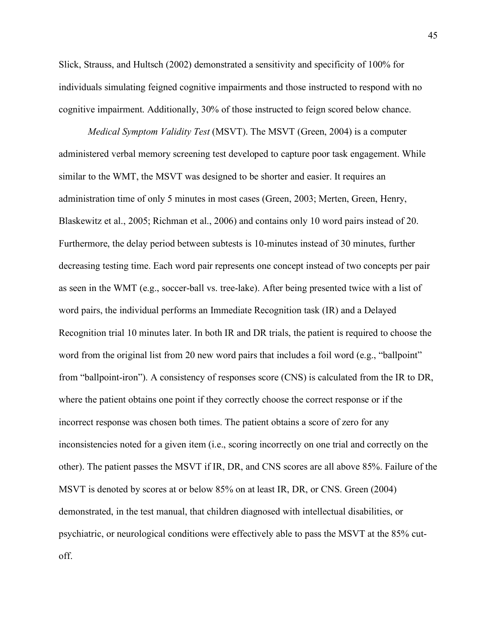Slick, Strauss, and Hultsch (2002) demonstrated a sensitivity and specificity of 100% for individuals simulating feigned cognitive impairments and those instructed to respond with no cognitive impairment. Additionally, 30% of those instructed to feign scored below chance.

*Medical Symptom Validity Test* (MSVT). The MSVT (Green, 2004) is a computer administered verbal memory screening test developed to capture poor task engagement. While similar to the WMT, the MSVT was designed to be shorter and easier. It requires an administration time of only 5 minutes in most cases (Green, 2003; Merten, Green, Henry, Blaskewitz et al., 2005; Richman et al., 2006) and contains only 10 word pairs instead of 20. Furthermore, the delay period between subtests is 10-minutes instead of 30 minutes, further decreasing testing time. Each word pair represents one concept instead of two concepts per pair as seen in the WMT (e.g., soccer-ball vs. tree-lake). After being presented twice with a list of word pairs, the individual performs an Immediate Recognition task (IR) and a Delayed Recognition trial 10 minutes later. In both IR and DR trials, the patient is required to choose the word from the original list from 20 new word pairs that includes a foil word (e.g., "ballpoint" from "ballpoint-iron"). A consistency of responses score (CNS) is calculated from the IR to DR, where the patient obtains one point if they correctly choose the correct response or if the incorrect response was chosen both times. The patient obtains a score of zero for any inconsistencies noted for a given item (i.e., scoring incorrectly on one trial and correctly on the other). The patient passes the MSVT if IR, DR, and CNS scores are all above 85%. Failure of the MSVT is denoted by scores at or below 85% on at least IR, DR, or CNS. Green (2004) demonstrated, in the test manual, that children diagnosed with intellectual disabilities, or psychiatric, or neurological conditions were effectively able to pass the MSVT at the 85% cutoff.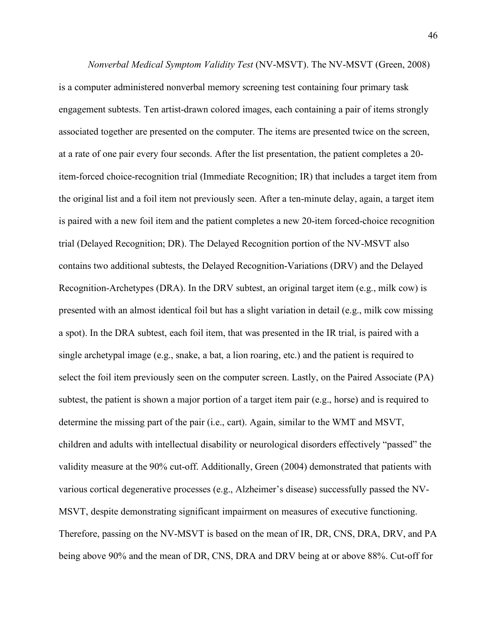*Nonverbal Medical Symptom Validity Test* (NV-MSVT). The NV-MSVT (Green, 2008) is a computer administered nonverbal memory screening test containing four primary task engagement subtests. Ten artist-drawn colored images, each containing a pair of items strongly associated together are presented on the computer. The items are presented twice on the screen, at a rate of one pair every four seconds. After the list presentation, the patient completes a 20 item-forced choice-recognition trial (Immediate Recognition; IR) that includes a target item from the original list and a foil item not previously seen. After a ten-minute delay, again, a target item is paired with a new foil item and the patient completes a new 20-item forced-choice recognition trial (Delayed Recognition; DR). The Delayed Recognition portion of the NV-MSVT also contains two additional subtests, the Delayed Recognition-Variations (DRV) and the Delayed Recognition-Archetypes (DRA). In the DRV subtest, an original target item (e.g., milk cow) is presented with an almost identical foil but has a slight variation in detail (e.g., milk cow missing a spot). In the DRA subtest, each foil item, that was presented in the IR trial, is paired with a single archetypal image (e.g., snake, a bat, a lion roaring, etc.) and the patient is required to select the foil item previously seen on the computer screen. Lastly, on the Paired Associate (PA) subtest, the patient is shown a major portion of a target item pair (e.g., horse) and is required to determine the missing part of the pair (i.e., cart). Again, similar to the WMT and MSVT, children and adults with intellectual disability or neurological disorders effectively "passed" the validity measure at the 90% cut-off. Additionally, Green (2004) demonstrated that patients with various cortical degenerative processes (e.g., Alzheimer's disease) successfully passed the NV-MSVT, despite demonstrating significant impairment on measures of executive functioning. Therefore, passing on the NV-MSVT is based on the mean of IR, DR, CNS, DRA, DRV, and PA being above 90% and the mean of DR, CNS, DRA and DRV being at or above 88%. Cut-off for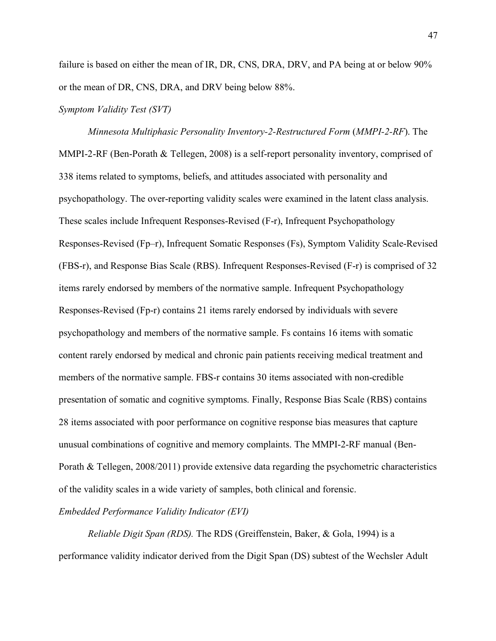failure is based on either the mean of IR, DR, CNS, DRA, DRV, and PA being at or below 90% or the mean of DR, CNS, DRA, and DRV being below 88%.

## *Symptom Validity Test (SVT)*

*Minnesota Multiphasic Personality Inventory-2-Restructured Form* (*MMPI-2-RF*). The MMPI-2-RF (Ben-Porath & Tellegen, 2008) is a self-report personality inventory, comprised of 338 items related to symptoms, beliefs, and attitudes associated with personality and psychopathology. The over-reporting validity scales were examined in the latent class analysis. These scales include Infrequent Responses-Revised (F-r), Infrequent Psychopathology Responses-Revised (Fp–r), Infrequent Somatic Responses (Fs), Symptom Validity Scale-Revised (FBS-r), and Response Bias Scale (RBS). Infrequent Responses-Revised (F-r) is comprised of 32 items rarely endorsed by members of the normative sample. Infrequent Psychopathology Responses-Revised (Fp-r) contains 21 items rarely endorsed by individuals with severe psychopathology and members of the normative sample. Fs contains 16 items with somatic content rarely endorsed by medical and chronic pain patients receiving medical treatment and members of the normative sample. FBS-r contains 30 items associated with non-credible presentation of somatic and cognitive symptoms. Finally, Response Bias Scale (RBS) contains 28 items associated with poor performance on cognitive response bias measures that capture unusual combinations of cognitive and memory complaints. The MMPI-2-RF manual (Ben-Porath & Tellegen, 2008/2011) provide extensive data regarding the psychometric characteristics of the validity scales in a wide variety of samples, both clinical and forensic.

# *Embedded Performance Validity Indicator (EVI)*

*Reliable Digit Span (RDS).* The RDS (Greiffenstein, Baker, & Gola, 1994) is a performance validity indicator derived from the Digit Span (DS) subtest of the Wechsler Adult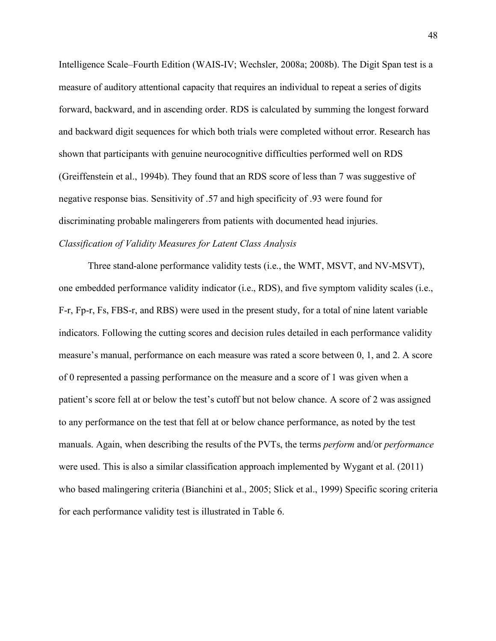Intelligence Scale–Fourth Edition (WAIS-IV; Wechsler, 2008a; 2008b). The Digit Span test is a measure of auditory attentional capacity that requires an individual to repeat a series of digits forward, backward, and in ascending order. RDS is calculated by summing the longest forward and backward digit sequences for which both trials were completed without error. Research has shown that participants with genuine neurocognitive difficulties performed well on RDS (Greiffenstein et al., 1994b). They found that an RDS score of less than 7 was suggestive of negative response bias. Sensitivity of .57 and high specificity of .93 were found for discriminating probable malingerers from patients with documented head injuries. *Classification of Validity Measures for Latent Class Analysis*

Three stand-alone performance validity tests (i.e., the WMT, MSVT, and NV-MSVT), one embedded performance validity indicator (i.e., RDS), and five symptom validity scales (i.e., F-r, Fp-r, Fs, FBS-r, and RBS) were used in the present study, for a total of nine latent variable indicators. Following the cutting scores and decision rules detailed in each performance validity measure's manual, performance on each measure was rated a score between 0, 1, and 2. A score of 0 represented a passing performance on the measure and a score of 1 was given when a patient's score fell at or below the test's cutoff but not below chance. A score of 2 was assigned to any performance on the test that fell at or below chance performance, as noted by the test manuals. Again, when describing the results of the PVTs, the terms *perform* and/or *performance* were used. This is also a similar classification approach implemented by Wygant et al. (2011) who based malingering criteria (Bianchini et al., 2005; Slick et al., 1999) Specific scoring criteria for each performance validity test is illustrated in Table 6.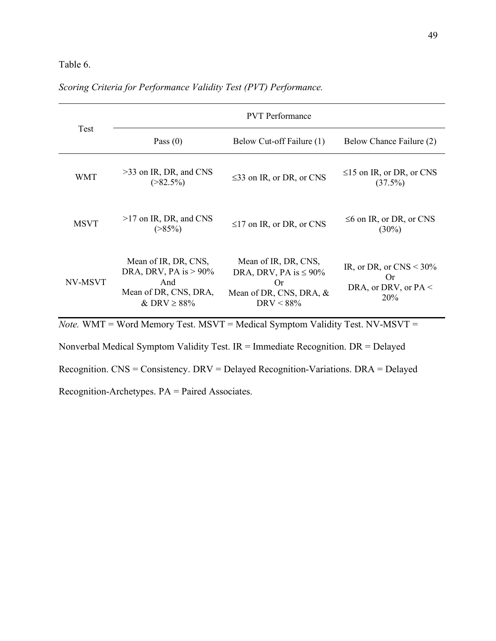# Table 6.

|             | <b>PVT</b> Performance                                                                               |                                                                                                             |                                                                          |  |  |
|-------------|------------------------------------------------------------------------------------------------------|-------------------------------------------------------------------------------------------------------------|--------------------------------------------------------------------------|--|--|
| Test        | Pass $(0)$                                                                                           | Below Cut-off Failure (1)                                                                                   | Below Chance Failure (2)                                                 |  |  |
| <b>WMT</b>  | $>33$ on IR, DR, and CNS<br>$( > 82.5\%)$                                                            | $\leq$ 33 on IR, or DR, or CNS                                                                              | $\leq$ 15 on IR, or DR, or CNS<br>(37.5%)                                |  |  |
| <b>MSVT</b> | >17 on IR, DR, and CNS<br>$( > 85\%)$                                                                | $\leq$ 17 on IR, or DR, or CNS                                                                              | $\leq 6$ on IR, or DR, or CNS<br>$(30\%)$                                |  |  |
| NV-MSVT     | Mean of IR, DR, CNS,<br>DRA, DRV, PA is $> 90\%$<br>And<br>Mean of DR, CNS, DRA,<br>& DRV $\geq$ 88% | Mean of IR, DR, CNS,<br>DRA, DRV, PA is $\leq 90\%$<br><b>Or</b><br>Mean of DR, CNS, DRA, &<br>$DRV < 88\%$ | IR, or DR, or $CNS < 30\%$<br><b>Or</b><br>DRA, or DRV, or $PA <$<br>20% |  |  |

# *Scoring Criteria for Performance Validity Test (PVT) Performance.*

*Note.* WMT = Word Memory Test. MSVT = Medical Symptom Validity Test. NV-MSVT =

Nonverbal Medical Symptom Validity Test. IR = Immediate Recognition. DR = Delayed

Recognition. CNS = Consistency. DRV = Delayed Recognition-Variations. DRA = Delayed

Recognition-Archetypes. PA = Paired Associates.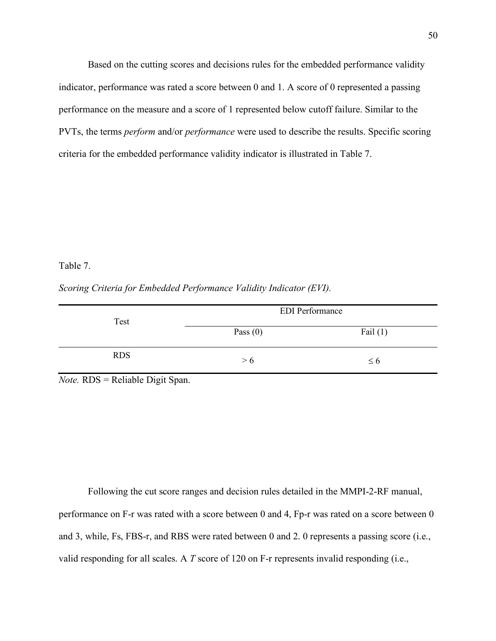Based on the cutting scores and decisions rules for the embedded performance validity indicator, performance was rated a score between 0 and 1. A score of 0 represented a passing performance on the measure and a score of 1 represented below cutoff failure. Similar to the PVTs, the terms *perform* and/or *performance* were used to describe the results. Specific scoring criteria for the embedded performance validity indicator is illustrated in Table 7.

#### Table 7.

*Scoring Criteria for Embedded Performance Validity Indicator (EVI).*

| Test       | <b>EDI</b> Performance |            |
|------------|------------------------|------------|
|            | Pass $(0)$             | Fail $(1)$ |
| <b>RDS</b> | > 6                    | $\leq 6$   |

*Note.* RDS = Reliable Digit Span.

Following the cut score ranges and decision rules detailed in the MMPI-2-RF manual, performance on F-r was rated with a score between 0 and 4, Fp-r was rated on a score between 0 and 3, while, Fs, FBS-r, and RBS were rated between 0 and 2. 0 represents a passing score (i.e., valid responding for all scales. A *T* score of 120 on F-r represents invalid responding (i.e.,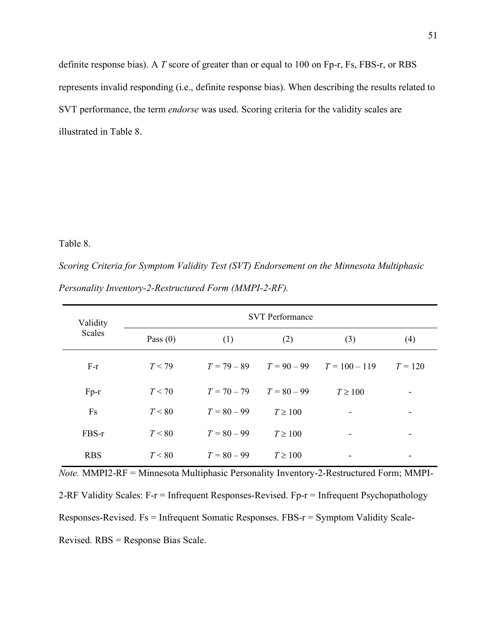definite response bias). A *T* score of greater than or equal to 100 on Fp-r, Fs, FBS-r, or RBS represents invalid responding (i.e., definite response bias). When describing the results related to SVT performance, the term *endorse* was used. Scoring criteria for the validity scales are illustrated in Table 8.

# Table 8.

*Scoring Criteria for Symptom Validity Test (SVT) Endorsement on the Minnesota Multiphasic Personality Inventory-2-Restructured Form (MMPI-2-RF).*

| Validity   | <b>SVT</b> Performance |                             |              |                                             |                          |  |
|------------|------------------------|-----------------------------|--------------|---------------------------------------------|--------------------------|--|
| Scales     | Pass $(0)$             | (1)                         | (2)          | (3)                                         | (4)                      |  |
| $F-r$      | T < 79                 |                             |              | $T = 79 - 89$ $T = 90 - 99$ $T = 100 - 119$ | $T = 120$                |  |
| $Fp-r$     | T < 70                 | $T = 70 - 79$ $T = 80 - 99$ |              | $T \geq 100$                                | $\overline{\phantom{a}}$ |  |
| Fs         | T < 80                 | $T = 80 - 99$               | $T \geq 100$ |                                             |                          |  |
| FBS-r      | T < 80                 | $T = 80 - 99$               | $T \geq 100$ | -                                           | ۰                        |  |
| <b>RBS</b> | T < 80                 | $T = 80 - 99$               | $T \geq 100$ |                                             | ۰                        |  |

*Note.* MMPI2-RF = Minnesota Multiphasic Personality Inventory-2-Restructured Form; MMPI-2-RF Validity Scales: F-r = Infrequent Responses-Revised. Fp-r = Infrequent Psychopathology Responses-Revised. Fs = Infrequent Somatic Responses. FBS-r = Symptom Validity Scale-Revised. RBS = Response Bias Scale.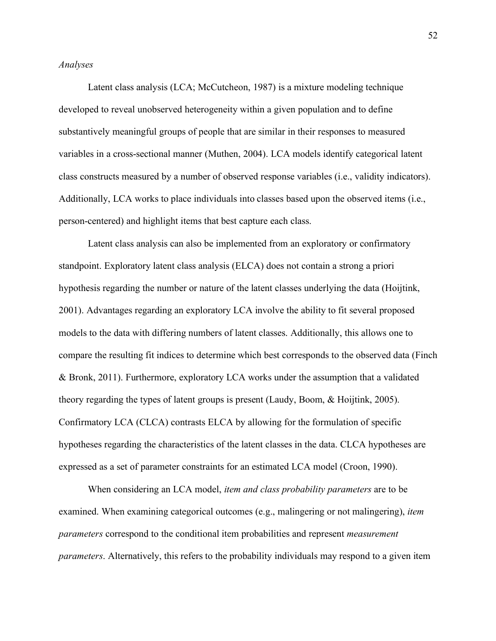### *Analyses*

Latent class analysis (LCA; McCutcheon, 1987) is a mixture modeling technique developed to reveal unobserved heterogeneity within a given population and to define substantively meaningful groups of people that are similar in their responses to measured variables in a cross-sectional manner (Muthen, 2004). LCA models identify categorical latent class constructs measured by a number of observed response variables (i.e., validity indicators). Additionally, LCA works to place individuals into classes based upon the observed items (i.e., person-centered) and highlight items that best capture each class.

Latent class analysis can also be implemented from an exploratory or confirmatory standpoint. Exploratory latent class analysis (ELCA) does not contain a strong a priori hypothesis regarding the number or nature of the latent classes underlying the data (Hoijtink, 2001). Advantages regarding an exploratory LCA involve the ability to fit several proposed models to the data with differing numbers of latent classes. Additionally, this allows one to compare the resulting fit indices to determine which best corresponds to the observed data (Finch & Bronk, 2011). Furthermore, exploratory LCA works under the assumption that a validated theory regarding the types of latent groups is present (Laudy, Boom, & Hoijtink, 2005). Confirmatory LCA (CLCA) contrasts ELCA by allowing for the formulation of specific hypotheses regarding the characteristics of the latent classes in the data. CLCA hypotheses are expressed as a set of parameter constraints for an estimated LCA model (Croon, 1990).

When considering an LCA model, *item and class probability parameters* are to be examined. When examining categorical outcomes (e.g., malingering or not malingering), *item parameters* correspond to the conditional item probabilities and represent *measurement parameters*. Alternatively, this refers to the probability individuals may respond to a given item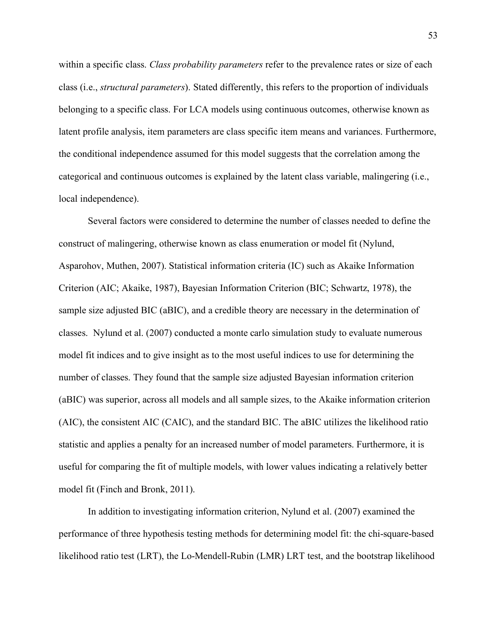within a specific class. *Class probability parameters* refer to the prevalence rates or size of each class (i.e., *structural parameters*). Stated differently, this refers to the proportion of individuals belonging to a specific class. For LCA models using continuous outcomes, otherwise known as latent profile analysis, item parameters are class specific item means and variances. Furthermore, the conditional independence assumed for this model suggests that the correlation among the categorical and continuous outcomes is explained by the latent class variable, malingering (i.e., local independence).

Several factors were considered to determine the number of classes needed to define the construct of malingering, otherwise known as class enumeration or model fit (Nylund, Asparohov, Muthen, 2007). Statistical information criteria (IC) such as Akaike Information Criterion (AIC; Akaike, 1987), Bayesian Information Criterion (BIC; Schwartz, 1978), the sample size adjusted BIC (aBIC), and a credible theory are necessary in the determination of classes. Nylund et al. (2007) conducted a monte carlo simulation study to evaluate numerous model fit indices and to give insight as to the most useful indices to use for determining the number of classes. They found that the sample size adjusted Bayesian information criterion (aBIC) was superior, across all models and all sample sizes, to the Akaike information criterion (AIC), the consistent AIC (CAIC), and the standard BIC. The aBIC utilizes the likelihood ratio statistic and applies a penalty for an increased number of model parameters. Furthermore, it is useful for comparing the fit of multiple models, with lower values indicating a relatively better model fit (Finch and Bronk, 2011).

In addition to investigating information criterion, Nylund et al. (2007) examined the performance of three hypothesis testing methods for determining model fit: the chi-square-based likelihood ratio test (LRT), the Lo-Mendell-Rubin (LMR) LRT test, and the bootstrap likelihood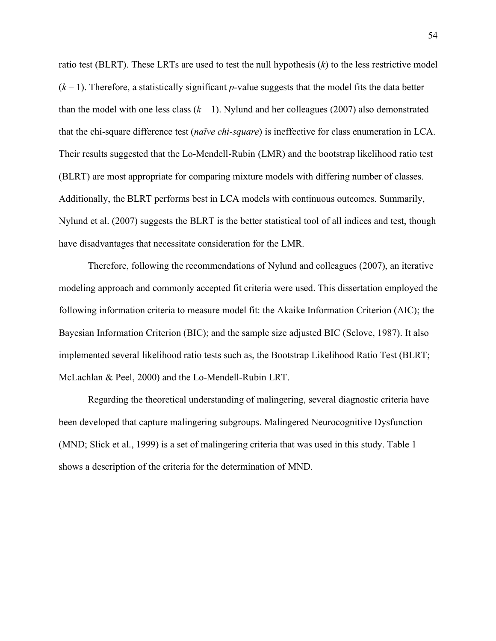ratio test (BLRT). These LRTs are used to test the null hypothesis (*k*) to the less restrictive model (*k* – 1). Therefore, a statistically significant *p-*value suggests that the model fits the data better than the model with one less class  $(k - 1)$ . Nylund and her colleagues (2007) also demonstrated that the chi-square difference test (*naïve chi-square*) is ineffective for class enumeration in LCA. Their results suggested that the Lo-Mendell-Rubin (LMR) and the bootstrap likelihood ratio test (BLRT) are most appropriate for comparing mixture models with differing number of classes. Additionally, the BLRT performs best in LCA models with continuous outcomes. Summarily, Nylund et al. (2007) suggests the BLRT is the better statistical tool of all indices and test, though have disadvantages that necessitate consideration for the LMR.

Therefore, following the recommendations of Nylund and colleagues (2007), an iterative modeling approach and commonly accepted fit criteria were used. This dissertation employed the following information criteria to measure model fit: the Akaike Information Criterion (AIC); the Bayesian Information Criterion (BIC); and the sample size adjusted BIC (Sclove, 1987). It also implemented several likelihood ratio tests such as, the Bootstrap Likelihood Ratio Test (BLRT; McLachlan & Peel, 2000) and the Lo-Mendell-Rubin LRT.

Regarding the theoretical understanding of malingering, several diagnostic criteria have been developed that capture malingering subgroups. Malingered Neurocognitive Dysfunction (MND; Slick et al., 1999) is a set of malingering criteria that was used in this study. Table 1 shows a description of the criteria for the determination of MND.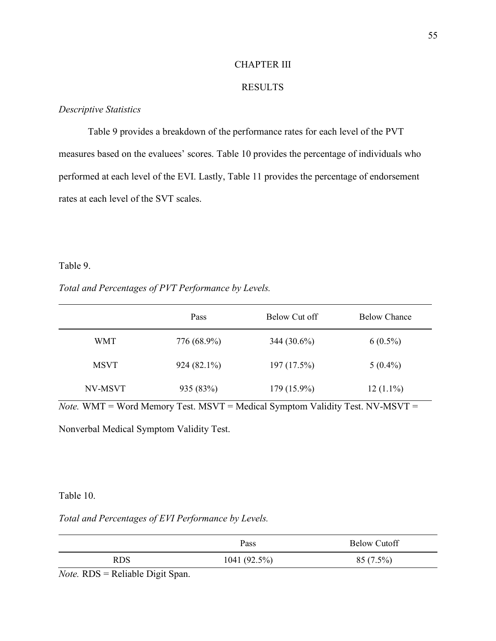# CHAPTER III

# RESULTS

# *Descriptive Statistics*

Table 9 provides a breakdown of the performance rates for each level of the PVT measures based on the evaluees' scores. Table 10 provides the percentage of individuals who performed at each level of the EVI. Lastly, Table 11 provides the percentage of endorsement rates at each level of the SVT scales.

### Table 9.

### *Total and Percentages of PVT Performance by Levels.*

|             | Pass        | Below Cut off | <b>Below Chance</b> |
|-------------|-------------|---------------|---------------------|
| <b>WMT</b>  | 776 (68.9%) | $344(30.6\%)$ | $6(0.5\%)$          |
| <b>MSVT</b> | 924 (82.1%) | 197(17.5%)    | $5(0.4\%)$          |
| NV-MSVT     | 935 (83%)   | $179(15.9\%)$ | $12(1.1\%)$         |

 $\overline{Note. WMT}$  = Word Memory Test. MSVT = Medical Symptom Validity Test. NV-MSVT =

Nonverbal Medical Symptom Validity Test.

# Table 10.

# *Total and Percentages of EVI Performance by Levels.*

|                                | Pass            | <b>Below Cutoff</b> |
|--------------------------------|-----------------|---------------------|
| <b>RDS</b>                     | 1041 $(92.5\%)$ | $85(7.5\%)$         |
| ______________________<br>$ -$ |                 |                     |

*Note.* RDS = Reliable Digit Span.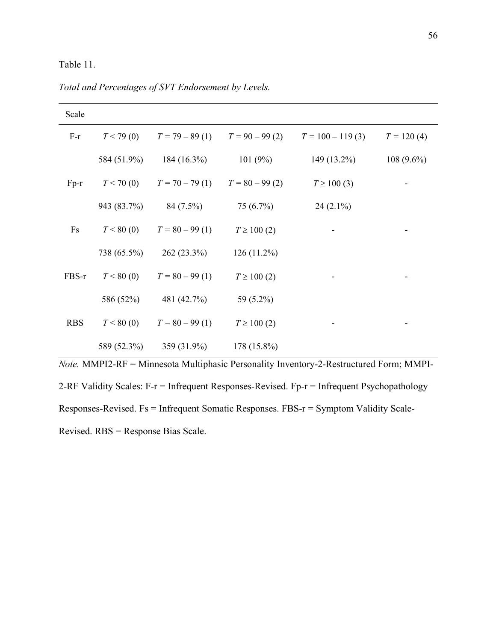# Table 11.

| Scale      |             |                  |                  |                    |              |
|------------|-------------|------------------|------------------|--------------------|--------------|
| $F-r$      | T < 79(0)   | $T = 79 - 89(1)$ | $T = 90 - 99(2)$ | $T = 100 - 119(3)$ | $T = 120(4)$ |
|            | 584 (51.9%) | $184(16.3\%)$    | 101(9%)          | $149(13.2\%)$      | $108(9.6\%)$ |
| $Fp-r$     | T < 70(0)   | $T = 70 - 79(1)$ | $T = 80 - 99(2)$ | $T \ge 100(3)$     |              |
|            | 943 (83.7%) | 84 (7.5%)        | 75(6.7%)         | $24(2.1\%)$        |              |
| Fs         | T < 80(0)   | $T = 80 - 99(1)$ | $T \ge 100(2)$   |                    |              |
|            | 738 (65.5%) | $262(23.3\%)$    | $126(11.2\%)$    |                    |              |
| FBS-r      | T < 80(0)   | $T = 80 - 99(1)$ | $T \ge 100(2)$   |                    |              |
|            | 586 (52%)   | 481 (42.7%)      | 59 (5.2%)        |                    |              |
| <b>RBS</b> | T < 80(0)   | $T = 80 - 99(1)$ | $T \ge 100(2)$   |                    |              |
|            | 589 (52.3%) | 359 (31.9%)      | 178 (15.8%)      |                    |              |

*Total and Percentages of SVT Endorsement by Levels.*

*Note.* MMPI2-RF = Minnesota Multiphasic Personality Inventory-2-Restructured Form; MMPI-2-RF Validity Scales: F-r = Infrequent Responses-Revised. Fp-r = Infrequent Psychopathology Responses-Revised. Fs = Infrequent Somatic Responses. FBS-r = Symptom Validity Scale-Revised. RBS = Response Bias Scale.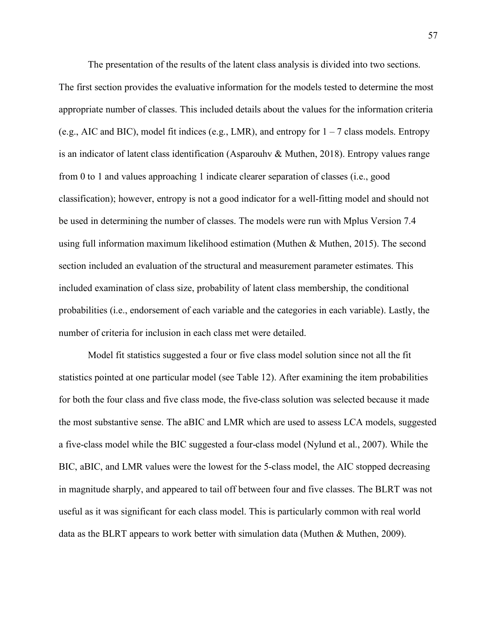The presentation of the results of the latent class analysis is divided into two sections. The first section provides the evaluative information for the models tested to determine the most appropriate number of classes. This included details about the values for the information criteria (e.g., AIC and BIC), model fit indices (e.g., LMR), and entropy for  $1 - 7$  class models. Entropy is an indicator of latent class identification (Asparouhv & Muthen, 2018). Entropy values range from 0 to 1 and values approaching 1 indicate clearer separation of classes (i.e., good classification); however, entropy is not a good indicator for a well-fitting model and should not be used in determining the number of classes. The models were run with Mplus Version 7.4 using full information maximum likelihood estimation (Muthen & Muthen, 2015). The second section included an evaluation of the structural and measurement parameter estimates. This included examination of class size, probability of latent class membership, the conditional probabilities (i.e., endorsement of each variable and the categories in each variable). Lastly, the number of criteria for inclusion in each class met were detailed.

Model fit statistics suggested a four or five class model solution since not all the fit statistics pointed at one particular model (see Table 12). After examining the item probabilities for both the four class and five class mode, the five-class solution was selected because it made the most substantive sense. The aBIC and LMR which are used to assess LCA models, suggested a five-class model while the BIC suggested a four-class model (Nylund et al., 2007). While the BIC, aBIC, and LMR values were the lowest for the 5-class model, the AIC stopped decreasing in magnitude sharply, and appeared to tail off between four and five classes. The BLRT was not useful as it was significant for each class model. This is particularly common with real world data as the BLRT appears to work better with simulation data (Muthen  $\&$  Muthen, 2009).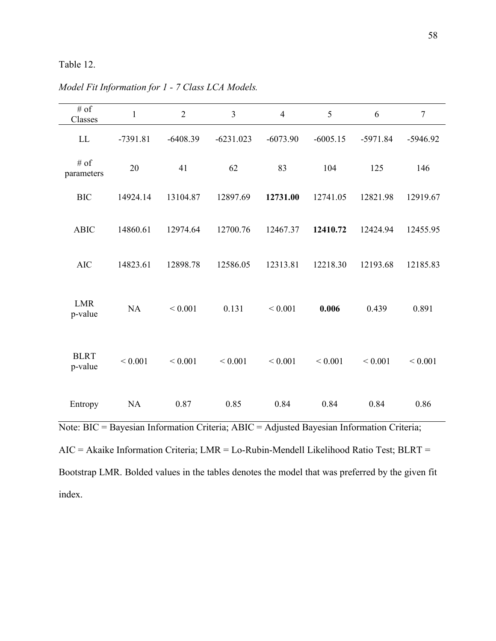# Table 12.

| # of<br>Classes                                                                                                                                                                        | 1           | $\overline{2}$ | $\overline{3}$                                                                                                              | $\overline{4}$ | 5           | 6           | $\overline{7}$ |
|----------------------------------------------------------------------------------------------------------------------------------------------------------------------------------------|-------------|----------------|-----------------------------------------------------------------------------------------------------------------------------|----------------|-------------|-------------|----------------|
| $\mathbf{L}\mathbf{L}$                                                                                                                                                                 | $-7391.81$  | $-6408.39$     | $-6231.023$                                                                                                                 | $-6073.90$     | $-6005.15$  | $-5971.84$  | $-5946.92$     |
| $\#$ of<br>parameters                                                                                                                                                                  | 20          | 41             | 62                                                                                                                          | 83             | 104         | 125         | 146            |
| <b>BIC</b>                                                                                                                                                                             | 14924.14    | 13104.87       | 12897.69                                                                                                                    | 12731.00       | 12741.05    | 12821.98    | 12919.67       |
| <b>ABIC</b>                                                                                                                                                                            | 14860.61    | 12974.64       | 12700.76                                                                                                                    | 12467.37       | 12410.72    | 12424.94    | 12455.95       |
| <b>AIC</b>                                                                                                                                                                             | 14823.61    | 12898.78       | 12586.05                                                                                                                    | 12313.81       | 12218.30    | 12193.68    | 12185.83       |
| <b>LMR</b><br>p-value                                                                                                                                                                  | NA          | ${}< 0.001$    | 0.131                                                                                                                       | ${}< 0.001$    | 0.006       | 0.439       | 0.891          |
| <b>BLRT</b><br>p-value                                                                                                                                                                 | ${}< 0.001$ | ${}< 0.001$    | ${}< 0.001$                                                                                                                 | ${}< 0.001$    | ${}< 0.001$ | ${}< 0.001$ | ${}< 0.001$    |
| Entropy                                                                                                                                                                                | NA          | 0.87           | 0.85                                                                                                                        | 0.84           | 0.84        | 0.84        | 0.86           |
| Note: BIC = Bayesian Information Criteria; ABIC = Adjusted Bayesian Information Criteria;<br>$AIC = Akaike Information Criteria; LMR = Lo-Rubin-Mendell Likelihood Ratio Test; BLRT =$ |             |                | $D_{1,1,1}$ (Time $D_{1,1,1,1}$ ) $1 \tbinom{1}{1}$ (11 ) $1 \tbinom{1}{1}$ (11 ) $1 \tbinom{1}{1}$ (11 ) $1 \tbinom{1}{1}$ |                |             |             |                |

*Model Fit Information for 1 - 7 Class LCA Models.*

Bootstrap LMR. Bolded values in the tables denotes the model that was preferred by the given fit index.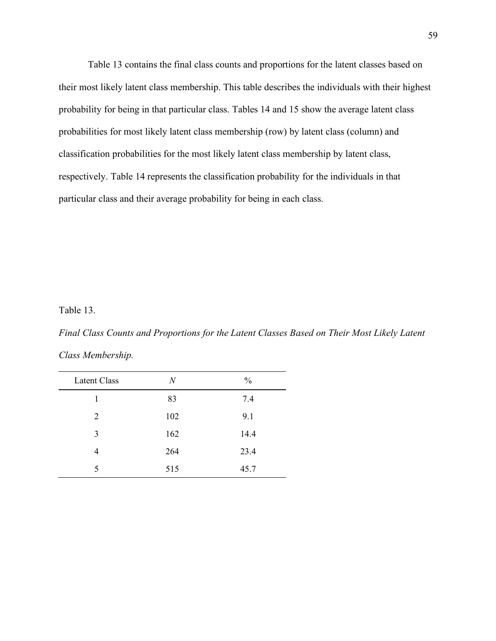Table 13 contains the final class counts and proportions for the latent classes based on their most likely latent class membership. This table describes the individuals with their highest probability for being in that particular class. Tables 14 and 15 show the average latent class probabilities for most likely latent class membership (row) by latent class (column) and classification probabilities for the most likely latent class membership by latent class, respectively. Table 14 represents the classification probability for the individuals in that particular class and their average probability for being in each class.

Table 13.

*Final Class Counts and Proportions for the Latent Classes Based on Their Most Likely Latent Class Membership.*

| Latent Class | N   | $\frac{0}{0}$ |
|--------------|-----|---------------|
| 1            | 83  | 7.4           |
| 2            | 102 | 9.1           |
| 3            | 162 | 14.4          |
| 4            | 264 | 23.4          |
| 5            | 515 | 45.7          |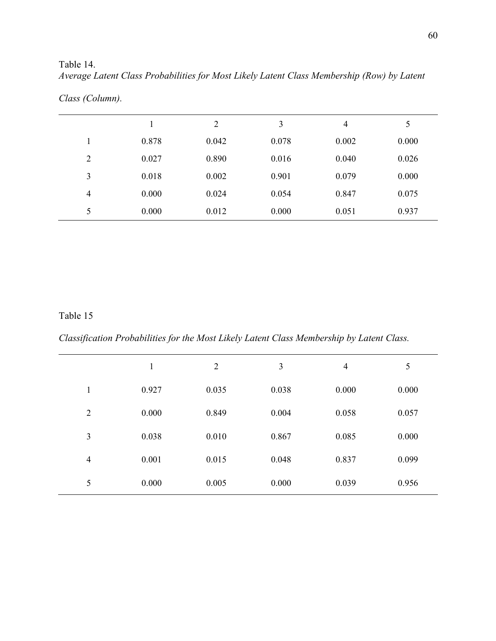| Average Latent Class Probabilities for Most Likely Latent Class Membership (Row) by Latent |  |
|--------------------------------------------------------------------------------------------|--|
| Class (Column).                                                                            |  |

|                |       | $\overline{2}$ | 3     | 4     | 5     |
|----------------|-------|----------------|-------|-------|-------|
|                | 0.878 | 0.042          | 0.078 | 0.002 | 0.000 |
| $\overline{2}$ | 0.027 | 0.890          | 0.016 | 0.040 | 0.026 |
| 3              | 0.018 | 0.002          | 0.901 | 0.079 | 0.000 |
| 4              | 0.000 | 0.024          | 0.054 | 0.847 | 0.075 |
| 5              | 0.000 | 0.012          | 0.000 | 0.051 | 0.937 |

# Table 15

Table 14.

*Classification Probabilities for the Most Likely Latent Class Membership by Latent Class.*

|                | $\mathbf{1}$ | $\overline{2}$ | 3     | $\overline{4}$ | 5     |
|----------------|--------------|----------------|-------|----------------|-------|
| 1              | 0.927        | 0.035          | 0.038 | 0.000          | 0.000 |
| $\overline{2}$ | 0.000        | 0.849          | 0.004 | 0.058          | 0.057 |
| 3              | 0.038        | 0.010          | 0.867 | 0.085          | 0.000 |
| $\overline{4}$ | 0.001        | 0.015          | 0.048 | 0.837          | 0.099 |
| 5              | 0.000        | 0.005          | 0.000 | 0.039          | 0.956 |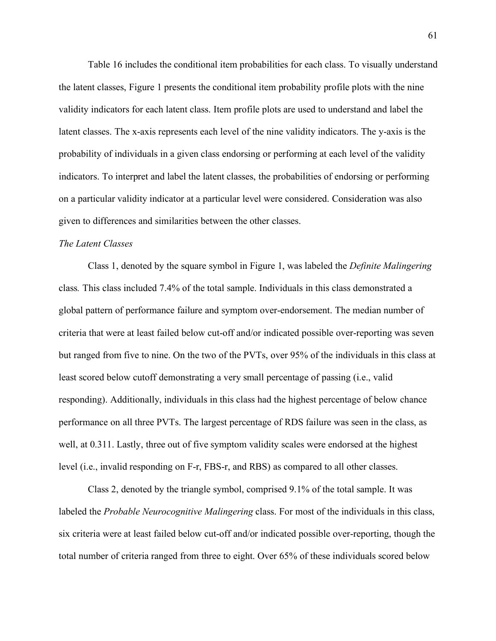Table 16 includes the conditional item probabilities for each class. To visually understand the latent classes, Figure 1 presents the conditional item probability profile plots with the nine validity indicators for each latent class. Item profile plots are used to understand and label the latent classes. The x-axis represents each level of the nine validity indicators. The y-axis is the probability of individuals in a given class endorsing or performing at each level of the validity indicators. To interpret and label the latent classes, the probabilities of endorsing or performing on a particular validity indicator at a particular level were considered. Consideration was also given to differences and similarities between the other classes.

### *The Latent Classes*

Class 1, denoted by the square symbol in Figure 1, was labeled the *Definite Malingering* class*.* This class included 7.4% of the total sample. Individuals in this class demonstrated a global pattern of performance failure and symptom over-endorsement. The median number of criteria that were at least failed below cut-off and/or indicated possible over-reporting was seven but ranged from five to nine. On the two of the PVTs, over 95% of the individuals in this class at least scored below cutoff demonstrating a very small percentage of passing (i.e., valid responding). Additionally, individuals in this class had the highest percentage of below chance performance on all three PVTs. The largest percentage of RDS failure was seen in the class, as well, at 0.311. Lastly, three out of five symptom validity scales were endorsed at the highest level (i.e., invalid responding on F-r, FBS-r, and RBS) as compared to all other classes.

Class 2, denoted by the triangle symbol, comprised 9.1% of the total sample. It was labeled the *Probable Neurocognitive Malingering* class. For most of the individuals in this class, six criteria were at least failed below cut-off and/or indicated possible over-reporting, though the total number of criteria ranged from three to eight. Over 65% of these individuals scored below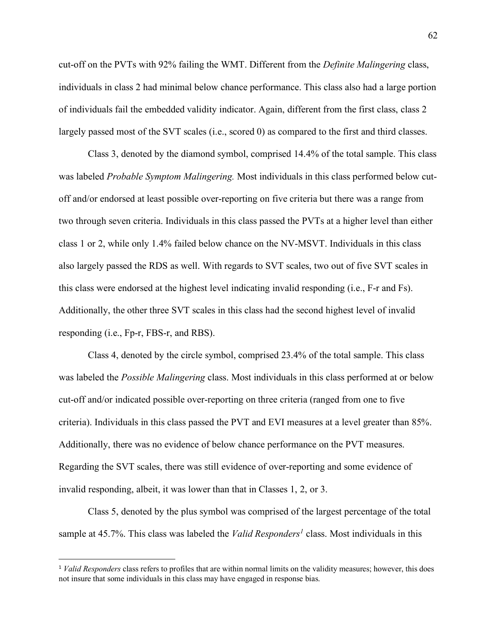cut-off on the PVTs with 92% failing the WMT. Different from the *Definite Malingering* class, individuals in class 2 had minimal below chance performance. This class also had a large portion of individuals fail the embedded validity indicator. Again, different from the first class, class 2 largely passed most of the SVT scales (i.e., scored 0) as compared to the first and third classes.

Class 3, denoted by the diamond symbol, comprised 14.4% of the total sample. This class was labeled *Probable Symptom Malingering.* Most individuals in this class performed below cutoff and/or endorsed at least possible over-reporting on five criteria but there was a range from two through seven criteria. Individuals in this class passed the PVTs at a higher level than either class 1 or 2, while only 1.4% failed below chance on the NV-MSVT. Individuals in this class also largely passed the RDS as well. With regards to SVT scales, two out of five SVT scales in this class were endorsed at the highest level indicating invalid responding (i.e., F-r and Fs). Additionally, the other three SVT scales in this class had the second highest level of invalid responding (i.e., Fp-r, FBS-r, and RBS).

Class 4, denoted by the circle symbol, comprised 23.4% of the total sample. This class was labeled the *Possible Malingering* class. Most individuals in this class performed at or below cut-off and/or indicated possible over-reporting on three criteria (ranged from one to five criteria). Individuals in this class passed the PVT and EVI measures at a level greater than 85%. Additionally, there was no evidence of below chance performance on the PVT measures. Regarding the SVT scales, there was still evidence of over-reporting and some evidence of invalid responding, albeit, it was lower than that in Classes 1, 2, or 3.

Class 5, denoted by the plus symbol was comprised of the largest percentage of the total sample at 45.7%. This class was labeled the *Valid Responders<sup>1</sup>* class. Most individuals in this

 <sup>1</sup> *Valid Responders* class refers to profiles that are within normal limits on the validity measures; however, this does not insure that some individuals in this class may have engaged in response bias.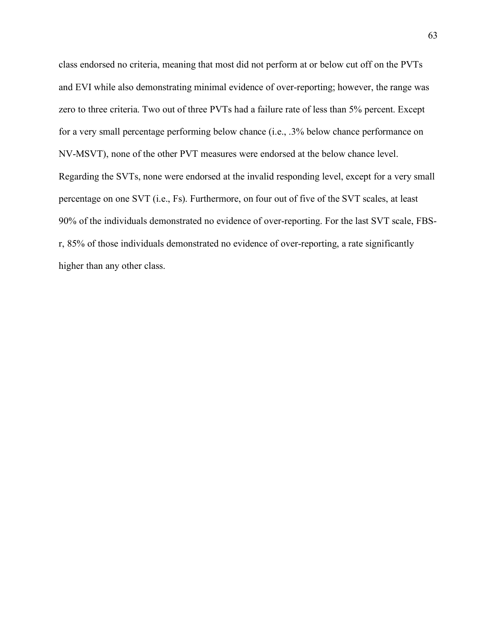class endorsed no criteria, meaning that most did not perform at or below cut off on the PVTs and EVI while also demonstrating minimal evidence of over-reporting; however, the range was zero to three criteria. Two out of three PVTs had a failure rate of less than 5% percent. Except for a very small percentage performing below chance (i.e., .3% below chance performance on NV-MSVT), none of the other PVT measures were endorsed at the below chance level. Regarding the SVTs, none were endorsed at the invalid responding level, except for a very small percentage on one SVT (i.e., Fs). Furthermore, on four out of five of the SVT scales, at least 90% of the individuals demonstrated no evidence of over-reporting. For the last SVT scale, FBSr, 85% of those individuals demonstrated no evidence of over-reporting, a rate significantly higher than any other class.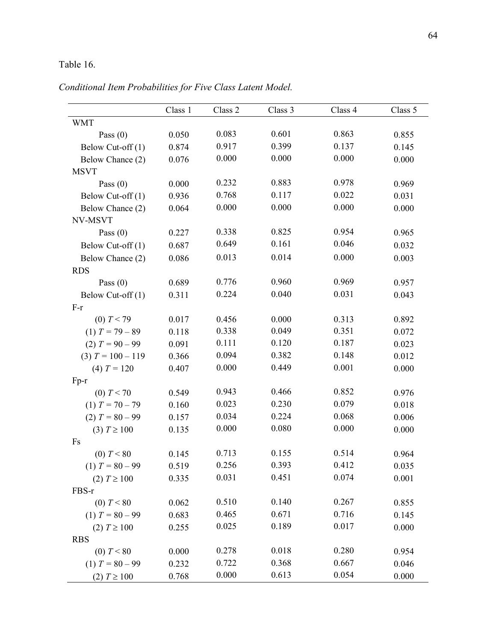# Table 16.

*Conditional Item Probabilities for Five Class Latent Model.*

|                     | Class 1 | Class 2 | Class 3 | Class 4 | Class 5 |
|---------------------|---------|---------|---------|---------|---------|
| <b>WMT</b>          |         |         |         |         |         |
| Pass $(0)$          | 0.050   | 0.083   | 0.601   | 0.863   | 0.855   |
| Below Cut-off (1)   | 0.874   | 0.917   | 0.399   | 0.137   | 0.145   |
| Below Chance (2)    | 0.076   | 0.000   | 0.000   | 0.000   | 0.000   |
| <b>MSVT</b>         |         |         |         |         |         |
| Pass $(0)$          | 0.000   | 0.232   | 0.883   | 0.978   | 0.969   |
| Below Cut-off (1)   | 0.936   | 0.768   | 0.117   | 0.022   | 0.031   |
| Below Chance (2)    | 0.064   | 0.000   | 0.000   | 0.000   | 0.000   |
| NV-MSVT             |         |         |         |         |         |
| Pass $(0)$          | 0.227   | 0.338   | 0.825   | 0.954   | 0.965   |
| Below Cut-off (1)   | 0.687   | 0.649   | 0.161   | 0.046   | 0.032   |
| Below Chance (2)    | 0.086   | 0.013   | 0.014   | 0.000   | 0.003   |
| <b>RDS</b>          |         |         |         |         |         |
| Pass $(0)$          | 0.689   | 0.776   | 0.960   | 0.969   | 0.957   |
| Below Cut-off $(1)$ | 0.311   | 0.224   | 0.040   | 0.031   | 0.043   |
| $F-r$               |         |         |         |         |         |
| (0) $T < 79$        | 0.017   | 0.456   | 0.000   | 0.313   | 0.892   |
| $(1) T = 79 - 89$   | 0.118   | 0.338   | 0.049   | 0.351   | 0.072   |
| $(2) T = 90 - 99$   | 0.091   | 0.111   | 0.120   | 0.187   | 0.023   |
| $(3) T = 100 - 119$ | 0.366   | 0.094   | 0.382   | 0.148   | 0.012   |
| (4) $T = 120$       | 0.407   | 0.000   | 0.449   | 0.001   | 0.000   |
| $Fp-r$              |         |         |         |         |         |
| (0) $T < 70$        | 0.549   | 0.943   | 0.466   | 0.852   | 0.976   |
| $(1) T = 70 - 79$   | 0.160   | 0.023   | 0.230   | 0.079   | 0.018   |
| $(2) T = 80 - 99$   | 0.157   | 0.034   | 0.224   | 0.068   | 0.006   |
| (3) $T \ge 100$     | 0.135   | 0.000   | 0.080   | 0.000   | 0.000   |
| Fs                  |         |         |         |         |         |
| (0) T < 80          | 0.145   | 0.713   | 0.155   | 0.514   | 0.964   |
| $(1) T = 80 - 99$   | 0.519   | 0.256   | 0.393   | 0.412   | 0.035   |
| $(2)$ $T \ge 100$   | 0.335   | 0.031   | 0.451   | 0.074   | 0.001   |
| FBS-r               |         |         |         |         |         |
| (0) $T < 80$        | 0.062   | 0.510   | 0.140   | 0.267   | 0.855   |
| $(1) T = 80 - 99$   | 0.683   | 0.465   | 0.671   | 0.716   | 0.145   |
| $(2)$ $T \ge 100$   | 0.255   | 0.025   | 0.189   | 0.017   | 0.000   |
| <b>RBS</b>          |         |         |         |         |         |
| (0) $T < 80$        | 0.000   | 0.278   | 0.018   | 0.280   | 0.954   |
| $(1) T = 80 - 99$   | 0.232   | 0.722   | 0.368   | 0.667   | 0.046   |
| $(2)$ $T \ge 100$   | 0.768   | 0.000   | 0.613   | 0.054   | 0.000   |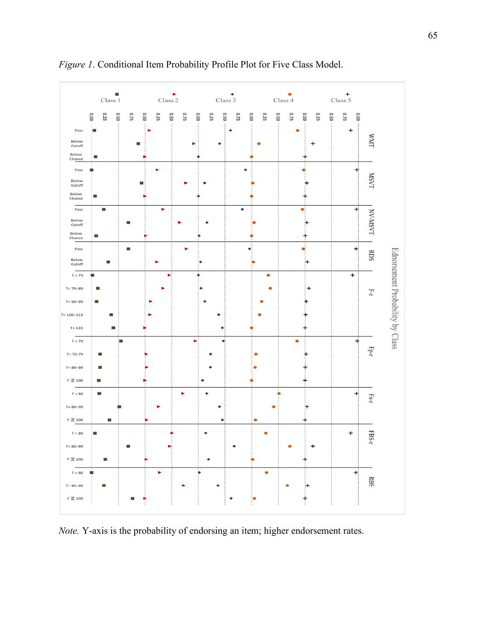

*Figure 1*. Conditional Item Probability Profile Plot for Five Class Model.

*Note.* Y-axis is the probability of endorsing an item; higher endorsement rates.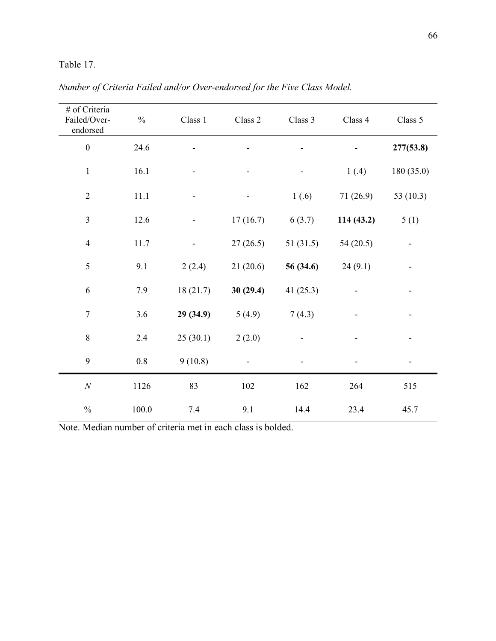# Table 17.

| # of Criteria<br>Failed/Over-<br>endorsed | $\frac{0}{0}$ | Class 1  | Class 2  | Class 3     | Class 4   | Class 5     |
|-------------------------------------------|---------------|----------|----------|-------------|-----------|-------------|
| $\boldsymbol{0}$                          | 24.6          |          |          |             |           | 277(53.8)   |
| $\mathbf{1}$                              | 16.1          |          |          |             | 1(.4)     | 180 (35.0)  |
| $\overline{2}$                            | 11.1          |          |          | 1(.6)       | 71 (26.9) | 53 $(10.3)$ |
| $\mathfrak{Z}$                            | 12.6          |          | 17(16.7) | 6(3.7)      | 114(43.2) | 5(1)        |
| $\overline{4}$                            | 11.7          |          | 27(26.5) | 51(31.5)    | 54(20.5)  |             |
| $\sqrt{5}$                                | 9.1           | 2(2.4)   | 21(20.6) | 56 (34.6)   | 24(9.1)   |             |
| $\sqrt{6}$                                | 7.9           | 18(21.7) | 30(29.4) | 41 $(25.3)$ |           |             |
| $\boldsymbol{7}$                          | 3.6           | 29(34.9) | 5(4.9)   | 7(4.3)      |           |             |
| $8\,$                                     | 2.4           | 25(30.1) | 2(2.0)   |             |           |             |
| 9                                         | $0.8\,$       | 9(10.8)  |          |             |           |             |
| $\cal N$                                  | 1126          | 83       | 102      | 162         | 264       | 515         |
| $\frac{0}{0}$                             | 100.0         | 7.4      | 9.1      | 14.4        | 23.4      | 45.7        |

*Number of Criteria Failed and/or Over-endorsed for the Five Class Model.*

Note. Median number of criteria met in each class is bolded.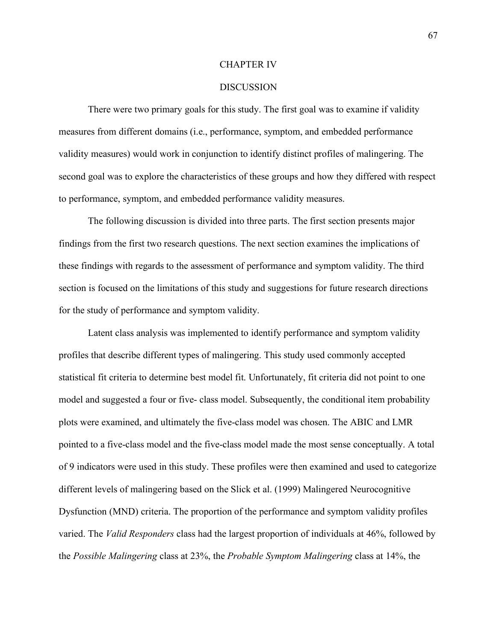#### CHAPTER IV

#### DISCUSSION

There were two primary goals for this study. The first goal was to examine if validity measures from different domains (i.e., performance, symptom, and embedded performance validity measures) would work in conjunction to identify distinct profiles of malingering. The second goal was to explore the characteristics of these groups and how they differed with respect to performance, symptom, and embedded performance validity measures.

The following discussion is divided into three parts. The first section presents major findings from the first two research questions. The next section examines the implications of these findings with regards to the assessment of performance and symptom validity. The third section is focused on the limitations of this study and suggestions for future research directions for the study of performance and symptom validity.

Latent class analysis was implemented to identify performance and symptom validity profiles that describe different types of malingering. This study used commonly accepted statistical fit criteria to determine best model fit. Unfortunately, fit criteria did not point to one model and suggested a four or five- class model. Subsequently, the conditional item probability plots were examined, and ultimately the five-class model was chosen. The ABIC and LMR pointed to a five-class model and the five-class model made the most sense conceptually. A total of 9 indicators were used in this study. These profiles were then examined and used to categorize different levels of malingering based on the Slick et al. (1999) Malingered Neurocognitive Dysfunction (MND) criteria. The proportion of the performance and symptom validity profiles varied. The *Valid Responders* class had the largest proportion of individuals at 46%, followed by the *Possible Malingering* class at 23%, the *Probable Symptom Malingering* class at 14%, the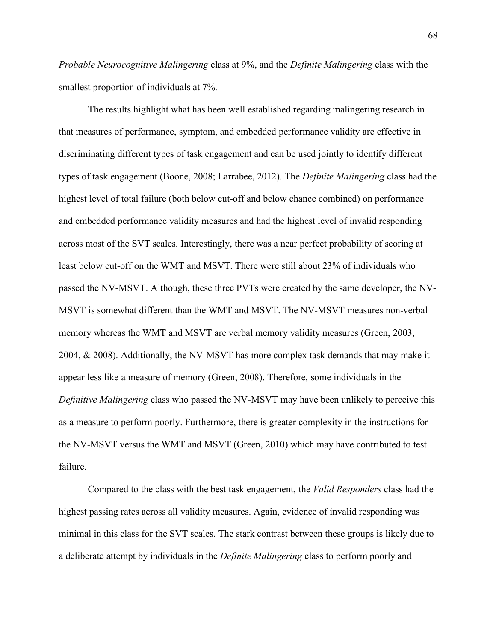*Probable Neurocognitive Malingering* class at 9%, and the *Definite Malingering* class with the smallest proportion of individuals at 7%.

The results highlight what has been well established regarding malingering research in that measures of performance, symptom, and embedded performance validity are effective in discriminating different types of task engagement and can be used jointly to identify different types of task engagement (Boone, 2008; Larrabee, 2012). The *Definite Malingering* class had the highest level of total failure (both below cut-off and below chance combined) on performance and embedded performance validity measures and had the highest level of invalid responding across most of the SVT scales. Interestingly, there was a near perfect probability of scoring at least below cut-off on the WMT and MSVT. There were still about 23% of individuals who passed the NV-MSVT. Although, these three PVTs were created by the same developer, the NV-MSVT is somewhat different than the WMT and MSVT. The NV-MSVT measures non-verbal memory whereas the WMT and MSVT are verbal memory validity measures (Green, 2003, 2004, & 2008). Additionally, the NV-MSVT has more complex task demands that may make it appear less like a measure of memory (Green, 2008). Therefore, some individuals in the *Definitive Malingering* class who passed the NV-MSVT may have been unlikely to perceive this as a measure to perform poorly. Furthermore, there is greater complexity in the instructions for the NV-MSVT versus the WMT and MSVT (Green, 2010) which may have contributed to test failure.

Compared to the class with the best task engagement, the *Valid Responders* class had the highest passing rates across all validity measures. Again, evidence of invalid responding was minimal in this class for the SVT scales. The stark contrast between these groups is likely due to a deliberate attempt by individuals in the *Definite Malingering* class to perform poorly and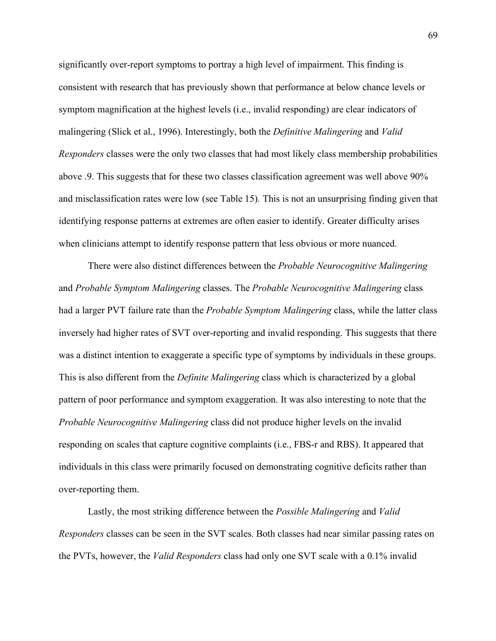significantly over-report symptoms to portray a high level of impairment. This finding is consistent with research that has previously shown that performance at below chance levels or symptom magnification at the highest levels (i.e., invalid responding) are clear indicators of malingering (Slick et al., 1996). Interestingly, both the *Definitive Malingering* and *Valid Responders* classes were the only two classes that had most likely class membership probabilities above .9. This suggests that for these two classes classification agreement was well above 90% and misclassification rates were low (see Table 15). This is not an unsurprising finding given that identifying response patterns at extremes are often easier to identify. Greater difficulty arises when clinicians attempt to identify response pattern that less obvious or more nuanced.

There were also distinct differences between the *Probable Neurocognitive Malingering*  and *Probable Symptom Malingering* classes. The *Probable Neurocognitive Malingering* class had a larger PVT failure rate than the *Probable Symptom Malingering* class, while the latter class inversely had higher rates of SVT over-reporting and invalid responding. This suggests that there was a distinct intention to exaggerate a specific type of symptoms by individuals in these groups. This is also different from the *Definite Malingering* class which is characterized by a global pattern of poor performance and symptom exaggeration. It was also interesting to note that the *Probable Neurocognitive Malingering* class did not produce higher levels on the invalid responding on scales that capture cognitive complaints (i.e., FBS-r and RBS). It appeared that individuals in this class were primarily focused on demonstrating cognitive deficits rather than over-reporting them.

Lastly, the most striking difference between the *Possible Malingering* and *Valid Responders* classes can be seen in the SVT scales. Both classes had near similar passing rates on the PVTs, however, the *Valid Responders* class had only one SVT scale with a 0.1% invalid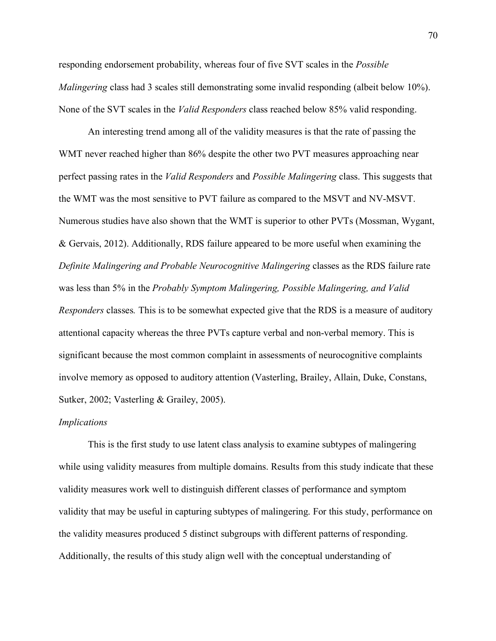responding endorsement probability, whereas four of five SVT scales in the *Possible Malingering class had 3 scales still demonstrating some invalid responding (albeit below 10%).* None of the SVT scales in the *Valid Responders* class reached below 85% valid responding.

An interesting trend among all of the validity measures is that the rate of passing the WMT never reached higher than 86% despite the other two PVT measures approaching near perfect passing rates in the *Valid Responders* and *Possible Malingering* class. This suggests that the WMT was the most sensitive to PVT failure as compared to the MSVT and NV-MSVT. Numerous studies have also shown that the WMT is superior to other PVTs (Mossman, Wygant, & Gervais, 2012). Additionally, RDS failure appeared to be more useful when examining the *Definite Malingering and Probable Neurocognitive Malingering* classes as the RDS failure rate was less than 5% in the *Probably Symptom Malingering, Possible Malingering, and Valid Responders* classes*.* This is to be somewhat expected give that the RDS is a measure of auditory attentional capacity whereas the three PVTs capture verbal and non-verbal memory. This is significant because the most common complaint in assessments of neurocognitive complaints involve memory as opposed to auditory attention (Vasterling, Brailey, Allain, Duke, Constans, Sutker, 2002; Vasterling & Grailey, 2005).

#### *Implications*

This is the first study to use latent class analysis to examine subtypes of malingering while using validity measures from multiple domains. Results from this study indicate that these validity measures work well to distinguish different classes of performance and symptom validity that may be useful in capturing subtypes of malingering. For this study, performance on the validity measures produced 5 distinct subgroups with different patterns of responding. Additionally, the results of this study align well with the conceptual understanding of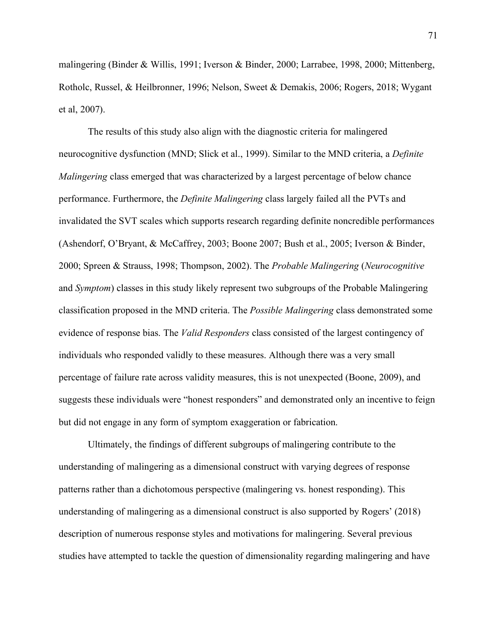malingering (Binder & Willis, 1991; Iverson & Binder, 2000; Larrabee, 1998, 2000; Mittenberg, Rotholc, Russel, & Heilbronner, 1996; Nelson, Sweet & Demakis, 2006; Rogers, 2018; Wygant et al, 2007).

The results of this study also align with the diagnostic criteria for malingered neurocognitive dysfunction (MND; Slick et al., 1999). Similar to the MND criteria, a *Definite Malingering* class emerged that was characterized by a largest percentage of below chance performance. Furthermore, the *Definite Malingering* class largely failed all the PVTs and invalidated the SVT scales which supports research regarding definite noncredible performances (Ashendorf, O'Bryant, & McCaffrey, 2003; Boone 2007; Bush et al., 2005; Iverson & Binder, 2000; Spreen & Strauss, 1998; Thompson, 2002). The *Probable Malingering* (*Neurocognitive*  and *Symptom*) classes in this study likely represent two subgroups of the Probable Malingering classification proposed in the MND criteria. The *Possible Malingering* class demonstrated some evidence of response bias. The *Valid Responders* class consisted of the largest contingency of individuals who responded validly to these measures. Although there was a very small percentage of failure rate across validity measures, this is not unexpected (Boone, 2009), and suggests these individuals were "honest responders" and demonstrated only an incentive to feign but did not engage in any form of symptom exaggeration or fabrication.

Ultimately, the findings of different subgroups of malingering contribute to the understanding of malingering as a dimensional construct with varying degrees of response patterns rather than a dichotomous perspective (malingering vs. honest responding). This understanding of malingering as a dimensional construct is also supported by Rogers' (2018) description of numerous response styles and motivations for malingering. Several previous studies have attempted to tackle the question of dimensionality regarding malingering and have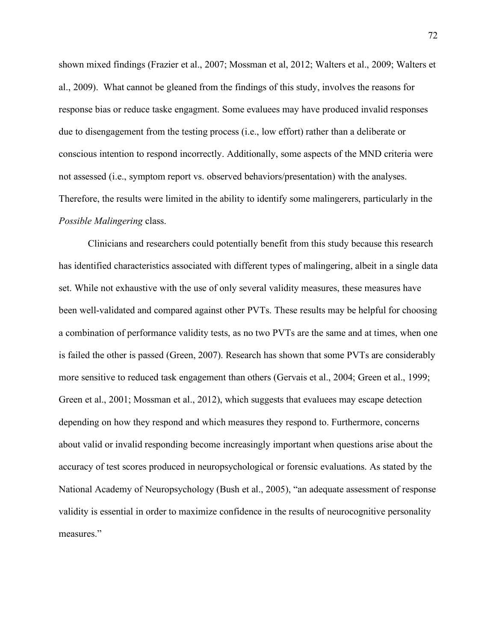shown mixed findings (Frazier et al., 2007; Mossman et al, 2012; Walters et al., 2009; Walters et al., 2009). What cannot be gleaned from the findings of this study, involves the reasons for response bias or reduce taske engagment. Some evaluees may have produced invalid responses due to disengagement from the testing process (i.e., low effort) rather than a deliberate or conscious intention to respond incorrectly. Additionally, some aspects of the MND criteria were not assessed (i.e., symptom report vs. observed behaviors/presentation) with the analyses. Therefore, the results were limited in the ability to identify some malingerers, particularly in the *Possible Malingering* class.

Clinicians and researchers could potentially benefit from this study because this research has identified characteristics associated with different types of malingering, albeit in a single data set. While not exhaustive with the use of only several validity measures, these measures have been well-validated and compared against other PVTs. These results may be helpful for choosing a combination of performance validity tests, as no two PVTs are the same and at times, when one is failed the other is passed (Green, 2007). Research has shown that some PVTs are considerably more sensitive to reduced task engagement than others (Gervais et al., 2004; Green et al., 1999; Green et al., 2001; Mossman et al., 2012), which suggests that evaluees may escape detection depending on how they respond and which measures they respond to. Furthermore, concerns about valid or invalid responding become increasingly important when questions arise about the accuracy of test scores produced in neuropsychological or forensic evaluations. As stated by the National Academy of Neuropsychology (Bush et al., 2005), "an adequate assessment of response validity is essential in order to maximize confidence in the results of neurocognitive personality measures."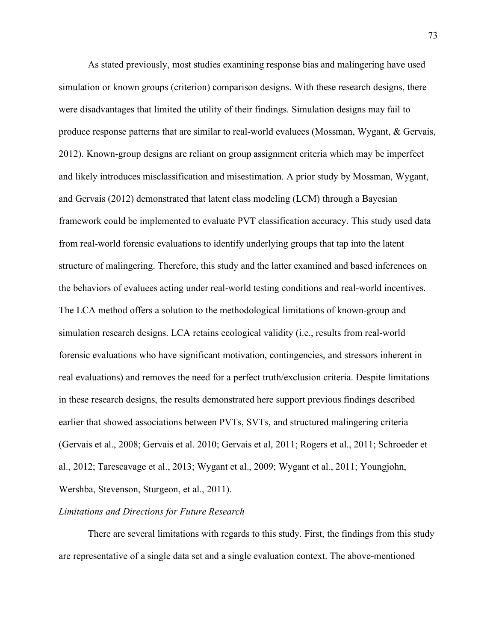As stated previously, most studies examining response bias and malingering have used simulation or known groups (criterion) comparison designs. With these research designs, there were disadvantages that limited the utility of their findings. Simulation designs may fail to produce response patterns that are similar to real-world evaluees (Mossman, Wygant, & Gervais, 2012). Known-group designs are reliant on group assignment criteria which may be imperfect and likely introduces misclassification and misestimation. A prior study by Mossman, Wygant, and Gervais (2012) demonstrated that latent class modeling (LCM) through a Bayesian framework could be implemented to evaluate PVT classification accuracy. This study used data from real-world forensic evaluations to identify underlying groups that tap into the latent structure of malingering. Therefore, this study and the latter examined and based inferences on the behaviors of evaluees acting under real-world testing conditions and real-world incentives. The LCA method offers a solution to the methodological limitations of known-group and simulation research designs. LCA retains ecological validity (i.e., results from real-world forensic evaluations who have significant motivation, contingencies, and stressors inherent in real evaluations) and removes the need for a perfect truth/exclusion criteria. Despite limitations in these research designs, the results demonstrated here support previous findings described earlier that showed associations between PVTs, SVTs, and structured malingering criteria (Gervais et al., 2008; Gervais et al. 2010; Gervais et al, 2011; Rogers et al., 2011; Schroeder et al., 2012; Tarescavage et al., 2013; Wygant et al., 2009; Wygant et al., 2011; Youngjohn, Wershba, Stevenson, Sturgeon, et al., 2011).

### *Limitations and Directions for Future Research*

There are several limitations with regards to this study. First, the findings from this study are representative of a single data set and a single evaluation context. The above-mentioned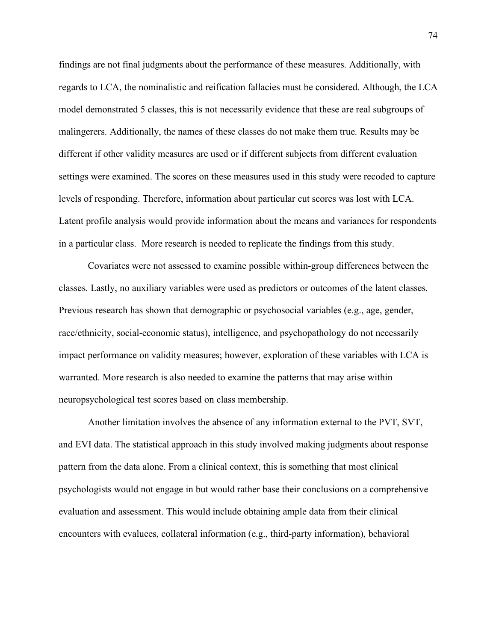findings are not final judgments about the performance of these measures. Additionally, with regards to LCA, the nominalistic and reification fallacies must be considered. Although, the LCA model demonstrated 5 classes, this is not necessarily evidence that these are real subgroups of malingerers. Additionally, the names of these classes do not make them true. Results may be different if other validity measures are used or if different subjects from different evaluation settings were examined. The scores on these measures used in this study were recoded to capture levels of responding. Therefore, information about particular cut scores was lost with LCA. Latent profile analysis would provide information about the means and variances for respondents in a particular class. More research is needed to replicate the findings from this study.

Covariates were not assessed to examine possible within-group differences between the classes. Lastly, no auxiliary variables were used as predictors or outcomes of the latent classes. Previous research has shown that demographic or psychosocial variables (e.g., age, gender, race/ethnicity, social-economic status), intelligence, and psychopathology do not necessarily impact performance on validity measures; however, exploration of these variables with LCA is warranted. More research is also needed to examine the patterns that may arise within neuropsychological test scores based on class membership.

Another limitation involves the absence of any information external to the PVT, SVT, and EVI data. The statistical approach in this study involved making judgments about response pattern from the data alone. From a clinical context, this is something that most clinical psychologists would not engage in but would rather base their conclusions on a comprehensive evaluation and assessment. This would include obtaining ample data from their clinical encounters with evaluees, collateral information (e.g., third-party information), behavioral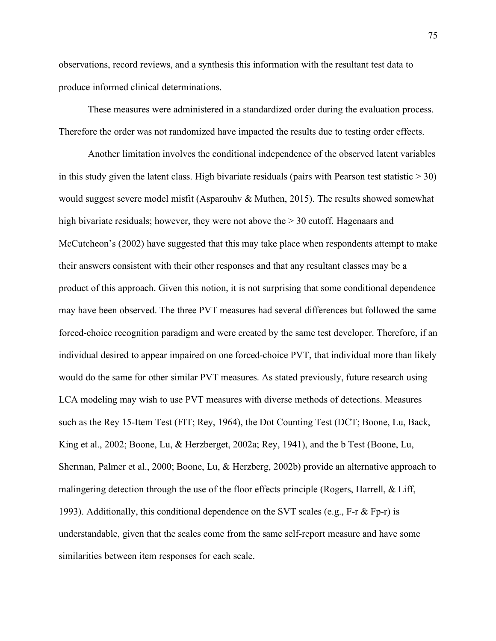observations, record reviews, and a synthesis this information with the resultant test data to produce informed clinical determinations.

These measures were administered in a standardized order during the evaluation process. Therefore the order was not randomized have impacted the results due to testing order effects.

Another limitation involves the conditional independence of the observed latent variables in this study given the latent class. High bivariate residuals (pairs with Pearson test statistic  $>$  30) would suggest severe model misfit (Asparouhv  $\&$  Muthen, 2015). The results showed somewhat high bivariate residuals; however, they were not above the  $> 30$  cutoff. Hagenaars and McCutcheon's (2002) have suggested that this may take place when respondents attempt to make their answers consistent with their other responses and that any resultant classes may be a product of this approach. Given this notion, it is not surprising that some conditional dependence may have been observed. The three PVT measures had several differences but followed the same forced-choice recognition paradigm and were created by the same test developer. Therefore, if an individual desired to appear impaired on one forced-choice PVT, that individual more than likely would do the same for other similar PVT measures. As stated previously, future research using LCA modeling may wish to use PVT measures with diverse methods of detections. Measures such as the Rey 15-Item Test (FIT; Rey, 1964), the Dot Counting Test (DCT; Boone, Lu, Back, King et al., 2002; Boone, Lu, & Herzberget, 2002a; Rey, 1941), and the b Test (Boone, Lu, Sherman, Palmer et al., 2000; Boone, Lu, & Herzberg, 2002b) provide an alternative approach to malingering detection through the use of the floor effects principle (Rogers, Harrell, & Liff, 1993). Additionally, this conditional dependence on the SVT scales (e.g., F-r  $\&$  Fp-r) is understandable, given that the scales come from the same self-report measure and have some similarities between item responses for each scale.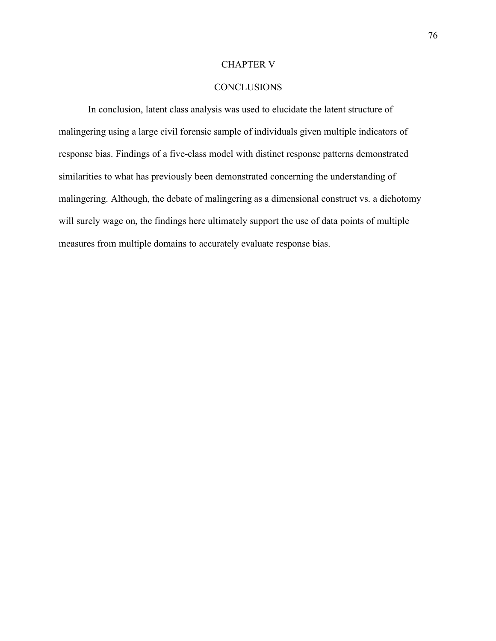### CHAPTER V

## **CONCLUSIONS**

In conclusion, latent class analysis was used to elucidate the latent structure of malingering using a large civil forensic sample of individuals given multiple indicators of response bias. Findings of a five-class model with distinct response patterns demonstrated similarities to what has previously been demonstrated concerning the understanding of malingering. Although, the debate of malingering as a dimensional construct vs. a dichotomy will surely wage on, the findings here ultimately support the use of data points of multiple measures from multiple domains to accurately evaluate response bias.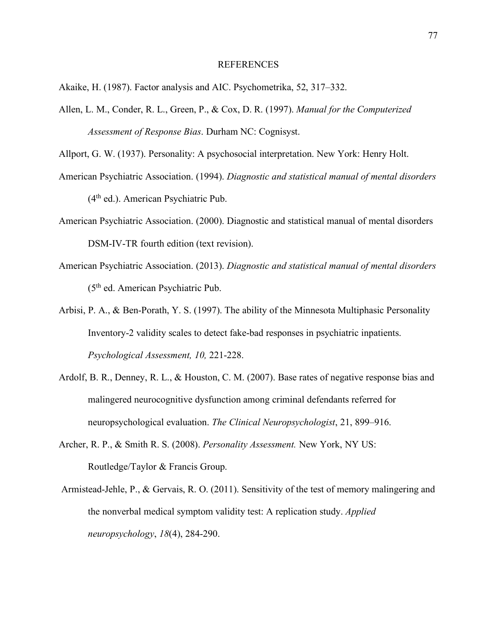#### REFERENCES

Akaike, H. (1987). Factor analysis and AIC. Psychometrika, 52, 317–332.

Allen, L. M., Conder, R. L., Green, P., & Cox, D. R. (1997). *Manual for the Computerized Assessment of Response Bias*. Durham NC: Cognisyst.

Allport, G. W. (1937). Personality: A psychosocial interpretation. New York: Henry Holt.

- American Psychiatric Association. (1994). *Diagnostic and statistical manual of mental disorders*  (4th ed.). American Psychiatric Pub.
- American Psychiatric Association. (2000). Diagnostic and statistical manual of mental disorders DSM-IV-TR fourth edition (text revision).
- American Psychiatric Association. (2013). *Diagnostic and statistical manual of mental disorders*  (5th ed. American Psychiatric Pub.
- Arbisi, P. A., & Ben-Porath, Y. S. (1997). The ability of the Minnesota Multiphasic Personality Inventory-2 validity scales to detect fake-bad responses in psychiatric inpatients. *Psychological Assessment, 10,* 221-228.
- Ardolf, B. R., Denney, R. L., & Houston, C. M. (2007). Base rates of negative response bias and malingered neurocognitive dysfunction among criminal defendants referred for neuropsychological evaluation. *The Clinical Neuropsychologist*, 21, 899–916.
- Archer, R. P., & Smith R. S. (2008). *Personality Assessment.* New York, NY US: Routledge/Taylor & Francis Group.
- Armistead-Jehle, P., & Gervais, R. O. (2011). Sensitivity of the test of memory malingering and the nonverbal medical symptom validity test: A replication study. *Applied neuropsychology*, *18*(4), 284-290.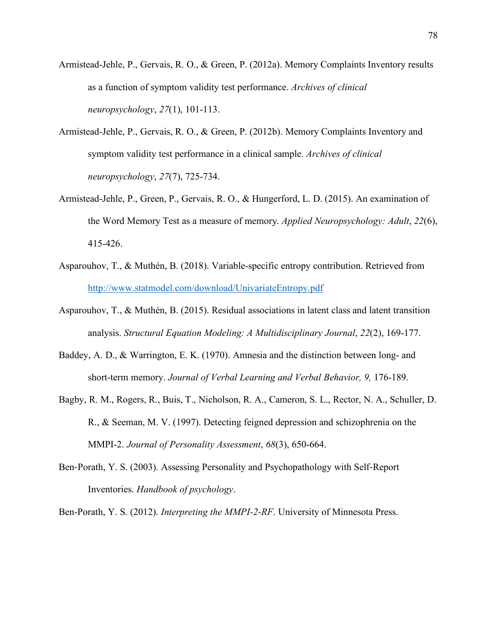- Armistead-Jehle, P., Gervais, R. O., & Green, P. (2012a). Memory Complaints Inventory results as a function of symptom validity test performance. *Archives of clinical neuropsychology*, *27*(1), 101-113.
- Armistead-Jehle, P., Gervais, R. O., & Green, P. (2012b). Memory Complaints Inventory and symptom validity test performance in a clinical sample. *Archives of clinical neuropsychology*, *27*(7), 725-734.
- Armistead-Jehle, P., Green, P., Gervais, R. O., & Hungerford, L. D. (2015). An examination of the Word Memory Test as a measure of memory. *Applied Neuropsychology: Adult*, *22*(6), 415-426.
- Asparouhov, T., & Muthén, B. (2018). Variable-specific entropy contribution. Retrieved from http://www.statmodel.com/download/UnivariateEntropy.pdf
- Asparouhov, T., & Muthén, B. (2015). Residual associations in latent class and latent transition analysis. *Structural Equation Modeling: A Multidisciplinary Journal*, *22*(2), 169-177.
- Baddey, A. D., & Warrington, E. K. (1970). Amnesia and the distinction between long- and short-term memory. *Journal of Verbal Learning and Verbal Behavior, 9,* 176-189.
- Bagby, R. M., Rogers, R., Buis, T., Nicholson, R. A., Cameron, S. L., Rector, N. A., Schuller, D. R., & Seeman, M. V. (1997). Detecting feigned depression and schizophrenia on the MMPI-2. *Journal of Personality Assessment*, *68*(3), 650-664.
- Ben-Porath, Y. S. (2003). Assessing Personality and Psychopathology with Self-Report Inventories. *Handbook of psychology*.

Ben-Porath, Y. S. (2012). *Interpreting the MMPI-2-RF*. University of Minnesota Press.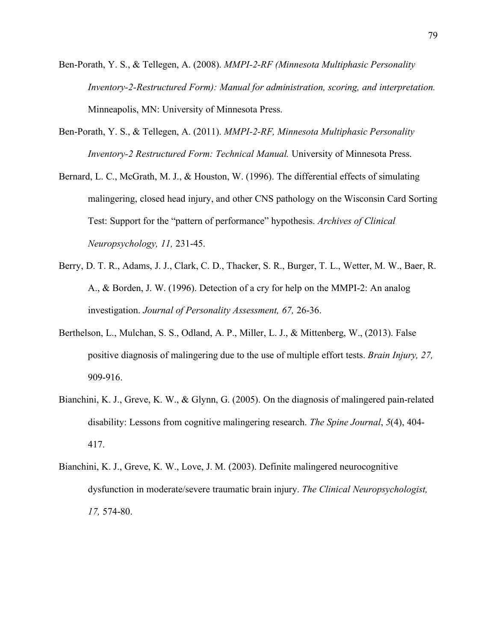- Ben-Porath, Y. S., & Tellegen, A. (2008). *MMPI-2-RF (Minnesota Multiphasic Personality Inventory-2-Restructured Form): Manual for administration, scoring, and interpretation.*  Minneapolis, MN: University of Minnesota Press.
- Ben-Porath, Y. S., & Tellegen, A. (2011). *MMPI-2-RF, Minnesota Multiphasic Personality Inventory-2 Restructured Form: Technical Manual.* University of Minnesota Press.
- Bernard, L. C., McGrath, M. J., & Houston, W. (1996). The differential effects of simulating malingering, closed head injury, and other CNS pathology on the Wisconsin Card Sorting Test: Support for the "pattern of performance" hypothesis. *Archives of Clinical Neuropsychology, 11,* 231-45.
- Berry, D. T. R., Adams, J. J., Clark, C. D., Thacker, S. R., Burger, T. L., Wetter, M. W., Baer, R. A., & Borden, J. W. (1996). Detection of a cry for help on the MMPI-2: An analog investigation. *Journal of Personality Assessment, 67,* 26-36.
- Berthelson, L., Mulchan, S. S., Odland, A. P., Miller, L. J., & Mittenberg, W., (2013). False positive diagnosis of malingering due to the use of multiple effort tests. *Brain Injury, 27,*  909-916.
- Bianchini, K. J., Greve, K. W., & Glynn, G. (2005). On the diagnosis of malingered pain-related disability: Lessons from cognitive malingering research. *The Spine Journal*, *5*(4), 404- 417.
- Bianchini, K. J., Greve, K. W., Love, J. M. (2003). Definite malingered neurocognitive dysfunction in moderate/severe traumatic brain injury. *The Clinical Neuropsychologist, 17,* 574-80.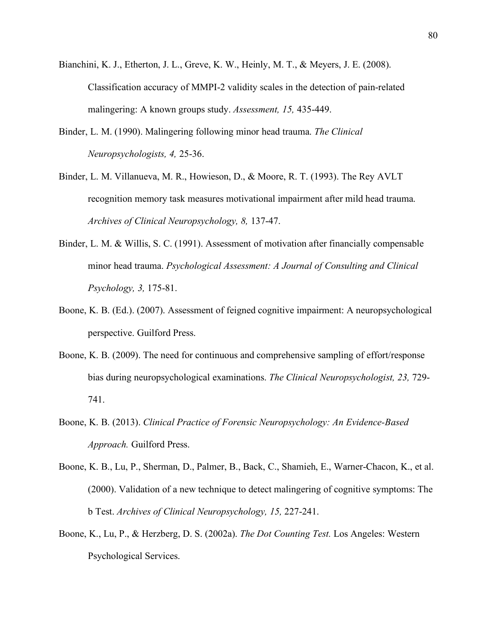- Bianchini, K. J., Etherton, J. L., Greve, K. W., Heinly, M. T., & Meyers, J. E. (2008). Classification accuracy of MMPI-2 validity scales in the detection of pain-related malingering: A known groups study. *Assessment, 15,* 435-449.
- Binder, L. M. (1990). Malingering following minor head trauma. *The Clinical Neuropsychologists, 4,* 25-36.
- Binder, L. M. Villanueva, M. R., Howieson, D., & Moore, R. T. (1993). The Rey AVLT recognition memory task measures motivational impairment after mild head trauma. *Archives of Clinical Neuropsychology, 8,* 137-47.
- Binder, L. M. & Willis, S. C. (1991). Assessment of motivation after financially compensable minor head trauma. *Psychological Assessment: A Journal of Consulting and Clinical Psychology, 3,* 175-81.
- Boone, K. B. (Ed.). (2007). Assessment of feigned cognitive impairment: A neuropsychological perspective. Guilford Press.
- Boone, K. B. (2009). The need for continuous and comprehensive sampling of effort/response bias during neuropsychological examinations. *The Clinical Neuropsychologist, 23,* 729- 741.
- Boone, K. B. (2013). *Clinical Practice of Forensic Neuropsychology: An Evidence-Based Approach.* Guilford Press.
- Boone, K. B., Lu, P., Sherman, D., Palmer, B., Back, C., Shamieh, E., Warner-Chacon, K., et al. (2000). Validation of a new technique to detect malingering of cognitive symptoms: The b Test. *Archives of Clinical Neuropsychology, 15,* 227-241.
- Boone, K., Lu, P., & Herzberg, D. S. (2002a). *The Dot Counting Test.* Los Angeles: Western Psychological Services.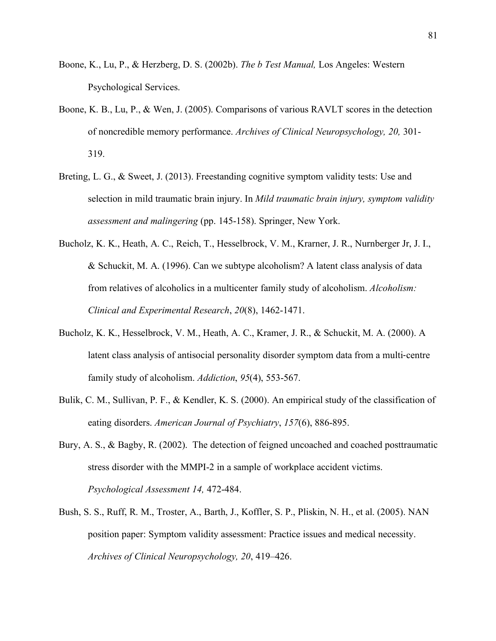- Boone, K., Lu, P., & Herzberg, D. S. (2002b). *The b Test Manual,* Los Angeles: Western Psychological Services.
- Boone, K. B., Lu, P., & Wen, J. (2005). Comparisons of various RAVLT scores in the detection of noncredible memory performance. *Archives of Clinical Neuropsychology, 20,* 301- 319.
- Breting, L. G., & Sweet, J. (2013). Freestanding cognitive symptom validity tests: Use and selection in mild traumatic brain injury. In *Mild traumatic brain injury, symptom validity assessment and malingering* (pp. 145-158). Springer, New York.
- Bucholz, K. K., Heath, A. C., Reich, T., Hesselbrock, V. M., Krarner, J. R., Nurnberger Jr, J. I., & Schuckit, M. A. (1996). Can we subtype alcoholism? A latent class analysis of data from relatives of alcoholics in a multicenter family study of alcoholism. *Alcoholism: Clinical and Experimental Research*, *20*(8), 1462-1471.
- Bucholz, K. K., Hesselbrock, V. M., Heath, A. C., Kramer, J. R., & Schuckit, M. A. (2000). A latent class analysis of antisocial personality disorder symptom data from a multi-centre family study of alcoholism. *Addiction*, *95*(4), 553-567.
- Bulik, C. M., Sullivan, P. F., & Kendler, K. S. (2000). An empirical study of the classification of eating disorders. *American Journal of Psychiatry*, *157*(6), 886-895.
- Bury, A. S., & Bagby, R. (2002). The detection of feigned uncoached and coached posttraumatic stress disorder with the MMPI-2 in a sample of workplace accident victims. *Psychological Assessment 14,* 472-484.
- Bush, S. S., Ruff, R. M., Troster, A., Barth, J., Koffler, S. P., Pliskin, N. H., et al. (2005). NAN position paper: Symptom validity assessment: Practice issues and medical necessity. *Archives of Clinical Neuropsychology, 20*, 419–426.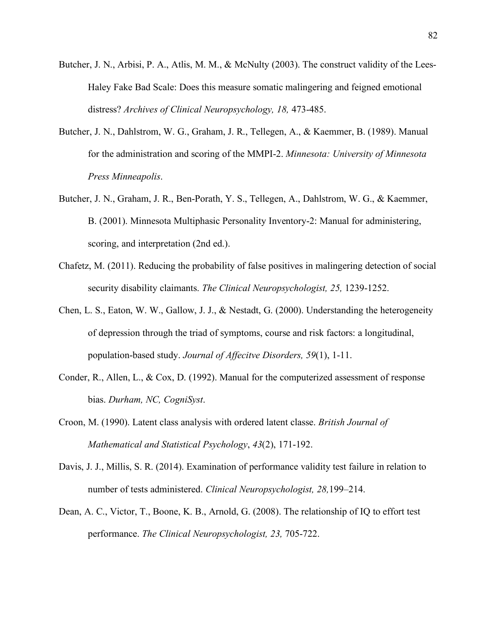- Butcher, J. N., Arbisi, P. A., Atlis, M. M., & McNulty (2003). The construct validity of the Lees-Haley Fake Bad Scale: Does this measure somatic malingering and feigned emotional distress? *Archives of Clinical Neuropsychology, 18,* 473-485.
- Butcher, J. N., Dahlstrom, W. G., Graham, J. R., Tellegen, A., & Kaemmer, B. (1989). Manual for the administration and scoring of the MMPI-2. *Minnesota: University of Minnesota Press Minneapolis*.
- Butcher, J. N., Graham, J. R., Ben-Porath, Y. S., Tellegen, A., Dahlstrom, W. G., & Kaemmer, B. (2001). Minnesota Multiphasic Personality Inventory-2: Manual for administering, scoring, and interpretation (2nd ed.).
- Chafetz, M. (2011). Reducing the probability of false positives in malingering detection of social security disability claimants. *The Clinical Neuropsychologist, 25,* 1239-1252.
- Chen, L. S., Eaton, W. W., Gallow, J. J., & Nestadt, G. (2000). Understanding the heterogeneity of depression through the triad of symptoms, course and risk factors: a longitudinal, population-based study. *Journal of Affecitve Disorders, 59*(1), 1-11.
- Conder, R., Allen, L., & Cox, D. (1992). Manual for the computerized assessment of response bias. *Durham, NC, CogniSyst*.
- Croon, M. (1990). Latent class analysis with ordered latent classe. *British Journal of Mathematical and Statistical Psychology*, *43*(2), 171-192.
- Davis, J. J., Millis, S. R. (2014). Examination of performance validity test failure in relation to number of tests administered. *Clinical Neuropsychologist, 28,*199–214.
- Dean, A. C., Victor, T., Boone, K. B., Arnold, G. (2008). The relationship of IQ to effort test performance. *The Clinical Neuropsychologist, 23,* 705-722.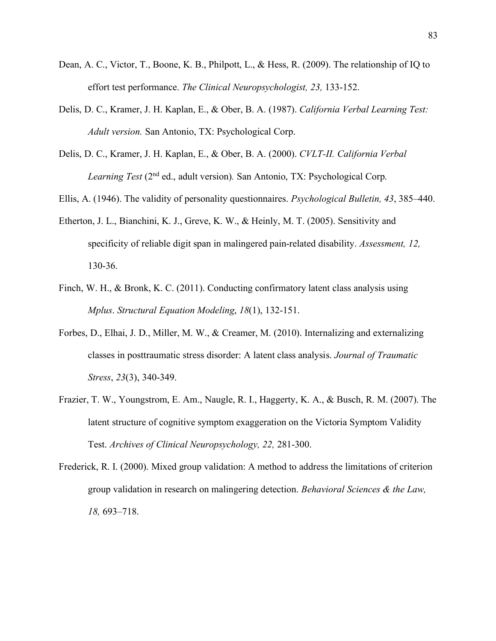- Dean, A. C., Victor, T., Boone, K. B., Philpott, L., & Hess, R. (2009). The relationship of IQ to effort test performance. *The Clinical Neuropsychologist, 23,* 133-152.
- Delis, D. C., Kramer, J. H. Kaplan, E., & Ober, B. A. (1987). *California Verbal Learning Test: Adult version.* San Antonio, TX: Psychological Corp.
- Delis, D. C., Kramer, J. H. Kaplan, E., & Ober, B. A. (2000). *CVLT-II. California Verbal Learning Test (2<sup>nd</sup> ed., adult version). San Antonio, TX: Psychological Corp.*
- Ellis, A. (1946). The validity of personality questionnaires. *Psychological Bulletin, 43*, 385–440.
- Etherton, J. L., Bianchini, K. J., Greve, K. W., & Heinly, M. T. (2005). Sensitivity and specificity of reliable digit span in malingered pain-related disability. *Assessment, 12,*  130-36.
- Finch, W. H., & Bronk, K. C. (2011). Conducting confirmatory latent class analysis using *Mplus*. *Structural Equation Modeling*, *18*(1), 132-151.
- Forbes, D., Elhai, J. D., Miller, M. W., & Creamer, M. (2010). Internalizing and externalizing classes in posttraumatic stress disorder: A latent class analysis. *Journal of Traumatic Stress*, *23*(3), 340-349.
- Frazier, T. W., Youngstrom, E. Am., Naugle, R. I., Haggerty, K. A., & Busch, R. M. (2007). The latent structure of cognitive symptom exaggeration on the Victoria Symptom Validity Test. *Archives of Clinical Neuropsychology, 22,* 281-300.
- Frederick, R. I. (2000). Mixed group validation: A method to address the limitations of criterion group validation in research on malingering detection. *Behavioral Sciences & the Law, 18,* 693–718.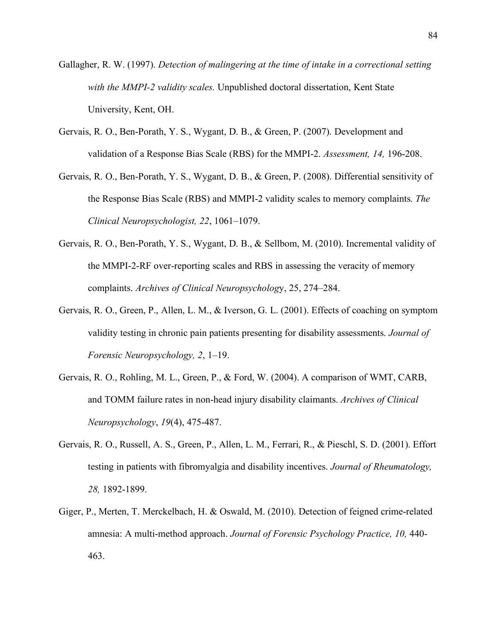- Gallagher, R. W. (1997). *Detection of malingering at the time of intake in a correctional setting with the MMPI-2 validity scales.* Unpublished doctoral dissertation, Kent State University, Kent, OH.
- Gervais, R. O., Ben-Porath, Y. S., Wygant, D. B., & Green, P. (2007). Development and validation of a Response Bias Scale (RBS) for the MMPI-2. *Assessment, 14,* 196-208.
- Gervais, R. O., Ben-Porath, Y. S., Wygant, D. B., & Green, P. (2008). Differential sensitivity of the Response Bias Scale (RBS) and MMPI-2 validity scales to memory complaints. *The Clinical Neuropsychologist, 22*, 1061–1079.
- Gervais, R. O., Ben-Porath, Y. S., Wygant, D. B., & Sellbom, M. (2010). Incremental validity of the MMPI-2-RF over-reporting scales and RBS in assessing the veracity of memory complaints. *Archives of Clinical Neuropsycholog*y, 25, 274–284.
- Gervais, R. O., Green, P., Allen, L. M., & Iverson, G. L. (2001). Effects of coaching on symptom validity testing in chronic pain patients presenting for disability assessments. *Journal of Forensic Neuropsychology, 2*, 1–19.
- Gervais, R. O., Rohling, M. L., Green, P., & Ford, W. (2004). A comparison of WMT, CARB, and TOMM failure rates in non-head injury disability claimants. *Archives of Clinical Neuropsychology*, *19*(4), 475-487.
- Gervais, R. O., Russell, A. S., Green, P., Allen, L. M., Ferrari, R., & Pieschl, S. D. (2001). Effort testing in patients with fibromyalgia and disability incentives. *Journal of Rheumatology, 28,* 1892-1899.
- Giger, P., Merten, T. Merckelbach, H. & Oswald, M. (2010). Detection of feigned crime-related amnesia: A multi-method approach. *Journal of Forensic Psychology Practice, 10,* 440- 463.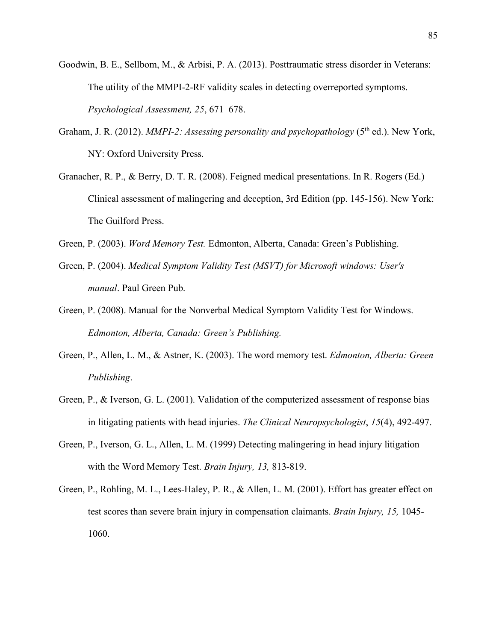- Goodwin, B. E., Sellbom, M., & Arbisi, P. A. (2013). Posttraumatic stress disorder in Veterans: The utility of the MMPI-2-RF validity scales in detecting overreported symptoms. *Psychological Assessment, 25*, 671–678.
- Graham, J. R. (2012). *MMPI-2: Assessing personality and psychopathology* (5<sup>th</sup> ed.). New York, NY: Oxford University Press.
- Granacher, R. P., & Berry, D. T. R. (2008). Feigned medical presentations. In R. Rogers (Ed.) Clinical assessment of malingering and deception, 3rd Edition (pp. 145-156). New York: The Guilford Press.
- Green, P. (2003). *Word Memory Test.* Edmonton, Alberta, Canada: Green's Publishing.
- Green, P. (2004). *Medical Symptom Validity Test (MSVT) for Microsoft windows: User's manual*. Paul Green Pub.
- Green, P. (2008). Manual for the Nonverbal Medical Symptom Validity Test for Windows. *Edmonton, Alberta, Canada: Green's Publishing.*
- Green, P., Allen, L. M., & Astner, K. (2003). The word memory test. *Edmonton, Alberta: Green Publishing*.
- Green, P., & Iverson, G. L. (2001). Validation of the computerized assessment of response bias in litigating patients with head injuries. *The Clinical Neuropsychologist*, *15*(4), 492-497.
- Green, P., Iverson, G. L., Allen, L. M. (1999) Detecting malingering in head injury litigation with the Word Memory Test. *Brain Injury, 13,* 813-819.
- Green, P., Rohling, M. L., Lees-Haley, P. R., & Allen, L. M. (2001). Effort has greater effect on test scores than severe brain injury in compensation claimants. *Brain Injury, 15,* 1045- 1060.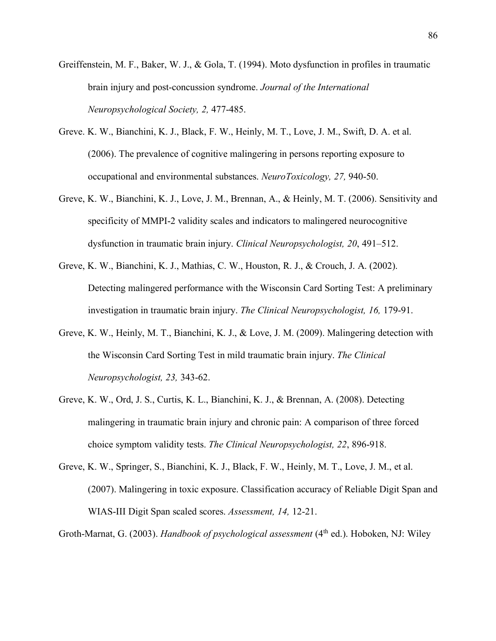- Greiffenstein, M. F., Baker, W. J., & Gola, T. (1994). Moto dysfunction in profiles in traumatic brain injury and post-concussion syndrome. *Journal of the International Neuropsychological Society, 2,* 477-485.
- Greve. K. W., Bianchini, K. J., Black, F. W., Heinly, M. T., Love, J. M., Swift, D. A. et al. (2006). The prevalence of cognitive malingering in persons reporting exposure to occupational and environmental substances. *NeuroToxicology, 27,* 940-50.
- Greve, K. W., Bianchini, K. J., Love, J. M., Brennan, A., & Heinly, M. T. (2006). Sensitivity and specificity of MMPI-2 validity scales and indicators to malingered neurocognitive dysfunction in traumatic brain injury. *Clinical Neuropsychologist, 20*, 491–512.
- Greve, K. W., Bianchini, K. J., Mathias, C. W., Houston, R. J., & Crouch, J. A. (2002). Detecting malingered performance with the Wisconsin Card Sorting Test: A preliminary investigation in traumatic brain injury. *The Clinical Neuropsychologist, 16,* 179-91.
- Greve, K. W., Heinly, M. T., Bianchini, K. J., & Love, J. M. (2009). Malingering detection with the Wisconsin Card Sorting Test in mild traumatic brain injury. *The Clinical Neuropsychologist, 23,* 343-62.
- Greve, K. W., Ord, J. S., Curtis, K. L., Bianchini, K. J., & Brennan, A. (2008). Detecting malingering in traumatic brain injury and chronic pain: A comparison of three forced choice symptom validity tests. *The Clinical Neuropsychologist, 22*, 896-918.
- Greve, K. W., Springer, S., Bianchini, K. J., Black, F. W., Heinly, M. T., Love, J. M., et al. (2007). Malingering in toxic exposure. Classification accuracy of Reliable Digit Span and WIAS-III Digit Span scaled scores. *Assessment, 14,* 12-21.

Groth-Marnat, G. (2003). *Handbook of psychological assessment* (4<sup>th</sup> ed.). Hoboken, NJ: Wiley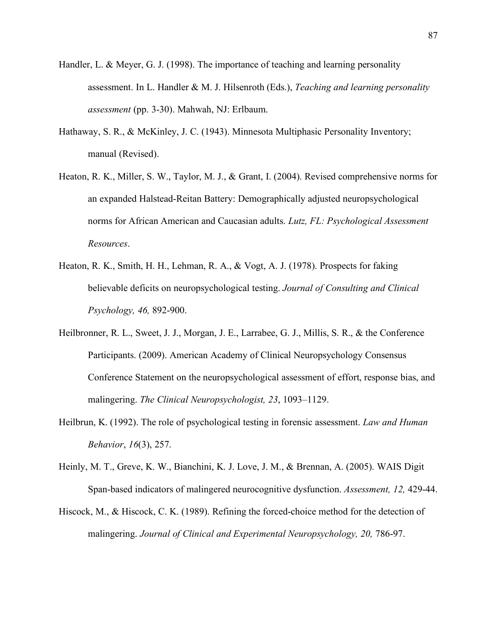- Handler, L. & Meyer, G. J. (1998). The importance of teaching and learning personality assessment. In L. Handler & M. J. Hilsenroth (Eds.), *Teaching and learning personality assessment* (pp. 3-30). Mahwah, NJ: Erlbaum.
- Hathaway, S. R., & McKinley, J. C. (1943). Minnesota Multiphasic Personality Inventory; manual (Revised).
- Heaton, R. K., Miller, S. W., Taylor, M. J., & Grant, I. (2004). Revised comprehensive norms for an expanded Halstead-Reitan Battery: Demographically adjusted neuropsychological norms for African American and Caucasian adults. *Lutz, FL: Psychological Assessment Resources*.
- Heaton, R. K., Smith, H. H., Lehman, R. A., & Vogt, A. J. (1978). Prospects for faking believable deficits on neuropsychological testing. *Journal of Consulting and Clinical Psychology, 46,* 892-900.
- Heilbronner, R. L., Sweet, J. J., Morgan, J. E., Larrabee, G. J., Millis, S. R., & the Conference Participants. (2009). American Academy of Clinical Neuropsychology Consensus Conference Statement on the neuropsychological assessment of effort, response bias, and malingering. *The Clinical Neuropsychologist, 23*, 1093–1129.
- Heilbrun, K. (1992). The role of psychological testing in forensic assessment. *Law and Human Behavior*, *16*(3), 257.
- Heinly, M. T., Greve, K. W., Bianchini, K. J. Love, J. M., & Brennan, A. (2005). WAIS Digit Span-based indicators of malingered neurocognitive dysfunction. *Assessment, 12,* 429-44.
- Hiscock, M., & Hiscock, C. K. (1989). Refining the forced-choice method for the detection of malingering. *Journal of Clinical and Experimental Neuropsychology, 20, 786-97.*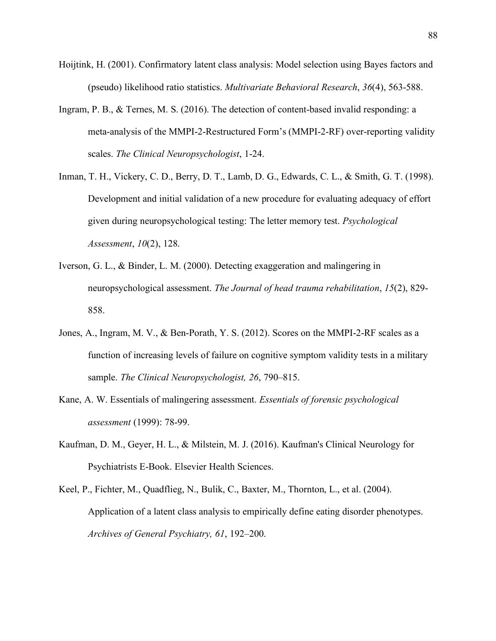- Hoijtink, H. (2001). Confirmatory latent class analysis: Model selection using Bayes factors and (pseudo) likelihood ratio statistics. *Multivariate Behavioral Research*, *36*(4), 563-588.
- Ingram, P. B., & Ternes, M. S. (2016). The detection of content-based invalid responding: a meta-analysis of the MMPI-2-Restructured Form's (MMPI-2-RF) over-reporting validity scales. *The Clinical Neuropsychologist*, 1-24.
- Inman, T. H., Vickery, C. D., Berry, D. T., Lamb, D. G., Edwards, C. L., & Smith, G. T. (1998). Development and initial validation of a new procedure for evaluating adequacy of effort given during neuropsychological testing: The letter memory test. *Psychological Assessment*, *10*(2), 128.
- Iverson, G. L., & Binder, L. M. (2000). Detecting exaggeration and malingering in neuropsychological assessment. *The Journal of head trauma rehabilitation*, *15*(2), 829- 858.
- Jones, A., Ingram, M. V., & Ben-Porath, Y. S. (2012). Scores on the MMPI-2-RF scales as a function of increasing levels of failure on cognitive symptom validity tests in a military sample. *The Clinical Neuropsychologist, 26*, 790–815.
- Kane, A. W. Essentials of malingering assessment. *Essentials of forensic psychological assessment* (1999): 78-99.
- Kaufman, D. M., Geyer, H. L., & Milstein, M. J. (2016). Kaufman's Clinical Neurology for Psychiatrists E-Book. Elsevier Health Sciences.
- Keel, P., Fichter, M., Quadflieg, N., Bulik, C., Baxter, M., Thornton, L., et al. (2004). Application of a latent class analysis to empirically define eating disorder phenotypes. *Archives of General Psychiatry, 61*, 192–200.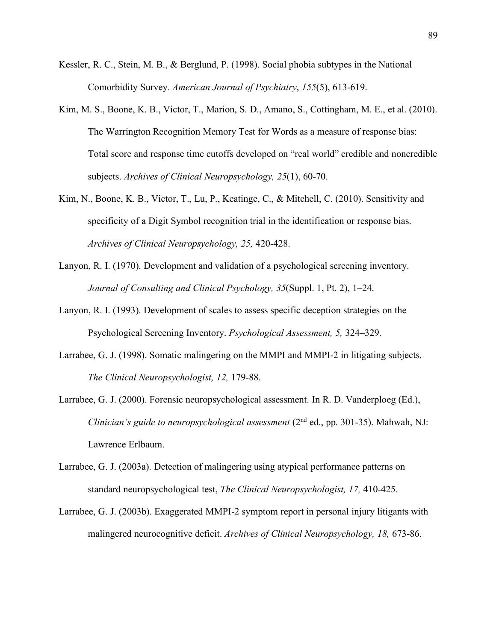- Kessler, R. C., Stein, M. B., & Berglund, P. (1998). Social phobia subtypes in the National Comorbidity Survey. *American Journal of Psychiatry*, *155*(5), 613-619.
- Kim, M. S., Boone, K. B., Victor, T., Marion, S. D., Amano, S., Cottingham, M. E., et al. (2010). The Warrington Recognition Memory Test for Words as a measure of response bias: Total score and response time cutoffs developed on "real world" credible and noncredible subjects. *Archives of Clinical Neuropsychology, 25*(1), 60-70.
- Kim, N., Boone, K. B., Victor, T., Lu, P., Keatinge, C., & Mitchell, C. (2010). Sensitivity and specificity of a Digit Symbol recognition trial in the identification or response bias. *Archives of Clinical Neuropsychology, 25,* 420-428.
- Lanyon, R. I. (1970). Development and validation of a psychological screening inventory. *Journal of Consulting and Clinical Psychology, 35*(Suppl. 1, Pt. 2), 1–24.
- Lanyon, R. I. (1993). Development of scales to assess specific deception strategies on the Psychological Screening Inventory. *Psychological Assessment, 5,* 324–329.
- Larrabee, G. J. (1998). Somatic malingering on the MMPI and MMPI-2 in litigating subjects. *The Clinical Neuropsychologist, 12,* 179-88.
- Larrabee, G. J. (2000). Forensic neuropsychological assessment. In R. D. Vanderploeg (Ed.), *Clinician's guide to neuropsychological assessment* (2nd ed., pp. 301-35). Mahwah, NJ: Lawrence Erlbaum.
- Larrabee, G. J. (2003a). Detection of malingering using atypical performance patterns on standard neuropsychological test, *The Clinical Neuropsychologist, 17,* 410-425.
- Larrabee, G. J. (2003b). Exaggerated MMPI-2 symptom report in personal injury litigants with malingered neurocognitive deficit. *Archives of Clinical Neuropsychology, 18,* 673-86.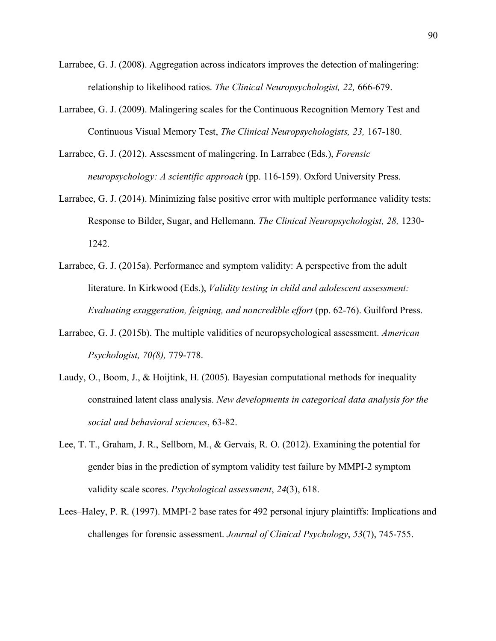- Larrabee, G. J. (2008). Aggregation across indicators improves the detection of malingering: relationship to likelihood ratios. *The Clinical Neuropsychologist, 22,* 666-679.
- Larrabee, G. J. (2009). Malingering scales for the Continuous Recognition Memory Test and Continuous Visual Memory Test, *The Clinical Neuropsychologists, 23,* 167-180.
- Larrabee, G. J. (2012). Assessment of malingering. In Larrabee (Eds.), *Forensic neuropsychology: A scientific approach* (pp. 116-159). Oxford University Press.
- Larrabee, G. J. (2014). Minimizing false positive error with multiple performance validity tests: Response to Bilder, Sugar, and Hellemann. *The Clinical Neuropsychologist, 28,* 1230- 1242.
- Larrabee, G. J. (2015a). Performance and symptom validity: A perspective from the adult literature. In Kirkwood (Eds.), *Validity testing in child and adolescent assessment: Evaluating exaggeration, feigning, and noncredible effort* (pp. 62-76). Guilford Press.
- Larrabee, G. J. (2015b). The multiple validities of neuropsychological assessment. *American Psychologist, 70(8),* 779-778.
- Laudy, O., Boom, J., & Hoijtink, H. (2005). Bayesian computational methods for inequality constrained latent class analysis. *New developments in categorical data analysis for the social and behavioral sciences*, 63-82.
- Lee, T. T., Graham, J. R., Sellbom, M., & Gervais, R. O. (2012). Examining the potential for gender bias in the prediction of symptom validity test failure by MMPI-2 symptom validity scale scores. *Psychological assessment*, *24*(3), 618.
- Lees–Haley, P. R. (1997). MMPI-2 base rates for 492 personal injury plaintiffs: Implications and challenges for forensic assessment. *Journal of Clinical Psychology*, *53*(7), 745-755.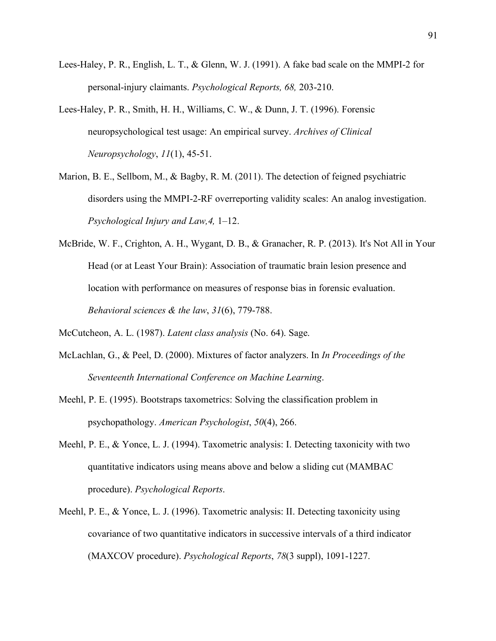- Lees-Haley, P. R., English, L. T., & Glenn, W. J. (1991). A fake bad scale on the MMPI-2 for personal-injury claimants. *Psychological Reports, 68,* 203-210.
- Lees-Haley, P. R., Smith, H. H., Williams, C. W., & Dunn, J. T. (1996). Forensic neuropsychological test usage: An empirical survey. *Archives of Clinical Neuropsychology*, *11*(1), 45-51.
- Marion, B. E., Sellbom, M., & Bagby, R. M. (2011). The detection of feigned psychiatric disorders using the MMPI-2-RF overreporting validity scales: An analog investigation. *Psychological Injury and Law,4,* 1–12.
- McBride, W. F., Crighton, A. H., Wygant, D. B., & Granacher, R. P. (2013). It's Not All in Your Head (or at Least Your Brain): Association of traumatic brain lesion presence and location with performance on measures of response bias in forensic evaluation. *Behavioral sciences & the law*, *31*(6), 779-788.
- McCutcheon, A. L. (1987). *Latent class analysis* (No. 64). Sage.
- McLachlan, G., & Peel, D. (2000). Mixtures of factor analyzers. In *In Proceedings of the Seventeenth International Conference on Machine Learning*.
- Meehl, P. E. (1995). Bootstraps taxometrics: Solving the classification problem in psychopathology. *American Psychologist*, *50*(4), 266.
- Meehl, P. E., & Yonce, L. J. (1994). Taxometric analysis: I. Detecting taxonicity with two quantitative indicators using means above and below a sliding cut (MAMBAC procedure). *Psychological Reports*.
- Meehl, P. E., & Yonce, L. J. (1996). Taxometric analysis: II. Detecting taxonicity using covariance of two quantitative indicators in successive intervals of a third indicator (MAXCOV procedure). *Psychological Reports*, *78*(3 suppl), 1091-1227.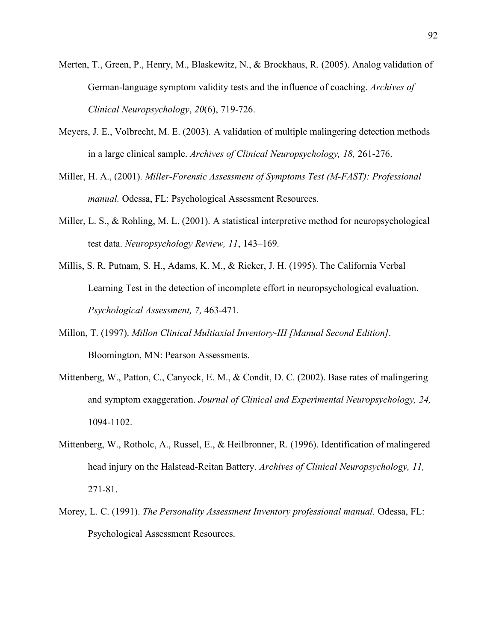- Merten, T., Green, P., Henry, M., Blaskewitz, N., & Brockhaus, R. (2005). Analog validation of German-language symptom validity tests and the influence of coaching. *Archives of Clinical Neuropsychology*, *20*(6), 719-726.
- Meyers, J. E., Volbrecht, M. E. (2003). A validation of multiple malingering detection methods in a large clinical sample. *Archives of Clinical Neuropsychology, 18,* 261-276.
- Miller, H. A., (2001). *Miller-Forensic Assessment of Symptoms Test (M-FAST): Professional manual.* Odessa, FL: Psychological Assessment Resources.
- Miller, L. S., & Rohling, M. L. (2001). A statistical interpretive method for neuropsychological test data. *Neuropsychology Review, 11*, 143–169.
- Millis, S. R. Putnam, S. H., Adams, K. M., & Ricker, J. H. (1995). The California Verbal Learning Test in the detection of incomplete effort in neuropsychological evaluation. *Psychological Assessment, 7,* 463-471.
- Millon, T. (1997). *Millon Clinical Multiaxial Inventory-III [Manual Second Edition]*. Bloomington, MN: Pearson Assessments.
- Mittenberg, W., Patton, C., Canyock, E. M., & Condit, D. C. (2002). Base rates of malingering and symptom exaggeration. *Journal of Clinical and Experimental Neuropsychology, 24,*  1094-1102.
- Mittenberg, W., Rotholc, A., Russel, E., & Heilbronner, R. (1996). Identification of malingered head injury on the Halstead-Reitan Battery. *Archives of Clinical Neuropsychology, 11,*  271-81.
- Morey, L. C. (1991). *The Personality Assessment Inventory professional manual.* Odessa, FL: Psychological Assessment Resources.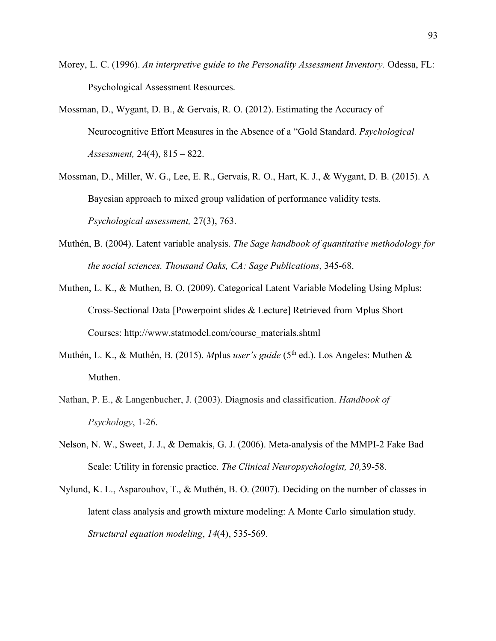- Morey, L. C. (1996). *An interpretive guide to the Personality Assessment Inventory.* Odessa, FL: Psychological Assessment Resources.
- Mossman, D., Wygant, D. B., & Gervais, R. O. (2012). Estimating the Accuracy of Neurocognitive Effort Measures in the Absence of a "Gold Standard. *Psychological Assessment,* 24(4), 815 – 822.
- Mossman, D., Miller, W. G., Lee, E. R., Gervais, R. O., Hart, K. J., & Wygant, D. B. (2015). A Bayesian approach to mixed group validation of performance validity tests. *Psychological assessment,* 27(3), 763.
- Muthén, B. (2004). Latent variable analysis. *The Sage handbook of quantitative methodology for the social sciences. Thousand Oaks, CA: Sage Publications*, 345-68.
- Muthen, L. K., & Muthen, B. O. (2009). Categorical Latent Variable Modeling Using Mplus: Cross-Sectional Data [Powerpoint slides & Lecture] Retrieved from Mplus Short Courses: http://www.statmodel.com/course\_materials.shtml
- Muthén, L. K., & Muthén, B. (2015). *M*plus *user's guide* (5th ed.). Los Angeles: Muthen & Muthen.
- Nathan, P. E., & Langenbucher, J. (2003). Diagnosis and classification. *Handbook of Psychology*, 1-26.
- Nelson, N. W., Sweet, J. J., & Demakis, G. J. (2006). Meta-analysis of the MMPI-2 Fake Bad Scale: Utility in forensic practice. *The Clinical Neuropsychologist, 20,*39-58.
- Nylund, K. L., Asparouhov, T., & Muthén, B. O. (2007). Deciding on the number of classes in latent class analysis and growth mixture modeling: A Monte Carlo simulation study. *Structural equation modeling*, *14*(4), 535-569.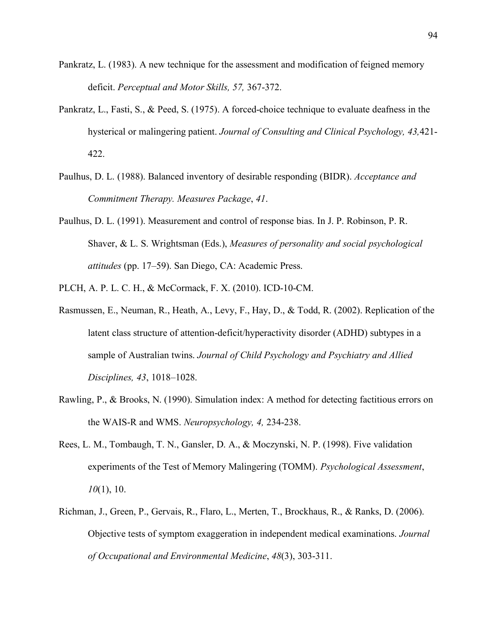- Pankratz, L. (1983). A new technique for the assessment and modification of feigned memory deficit. *Perceptual and Motor Skills, 57,* 367-372.
- Pankratz, L., Fasti, S., & Peed, S. (1975). A forced-choice technique to evaluate deafness in the hysterical or malingering patient. *Journal of Consulting and Clinical Psychology, 43,*421- 422.
- Paulhus, D. L. (1988). Balanced inventory of desirable responding (BIDR). *Acceptance and Commitment Therapy. Measures Package*, *41*.
- Paulhus, D. L. (1991). Measurement and control of response bias. In J. P. Robinson, P. R. Shaver, & L. S. Wrightsman (Eds.), *Measures of personality and social psychological attitudes* (pp. 17–59). San Diego, CA: Academic Press.
- PLCH, A. P. L. C. H., & McCormack, F. X. (2010). ICD-10-CM.
- Rasmussen, E., Neuman, R., Heath, A., Levy, F., Hay, D., & Todd, R. (2002). Replication of the latent class structure of attention-deficit/hyperactivity disorder (ADHD) subtypes in a sample of Australian twins. *Journal of Child Psychology and Psychiatry and Allied Disciplines, 43*, 1018–1028.
- Rawling, P., & Brooks, N. (1990). Simulation index: A method for detecting factitious errors on the WAIS-R and WMS. *Neuropsychology, 4,* 234-238.
- Rees, L. M., Tombaugh, T. N., Gansler, D. A., & Moczynski, N. P. (1998). Five validation experiments of the Test of Memory Malingering (TOMM). *Psychological Assessment*, *10*(1), 10.
- Richman, J., Green, P., Gervais, R., Flaro, L., Merten, T., Brockhaus, R., & Ranks, D. (2006). Objective tests of symptom exaggeration in independent medical examinations. *Journal of Occupational and Environmental Medicine*, *48*(3), 303-311.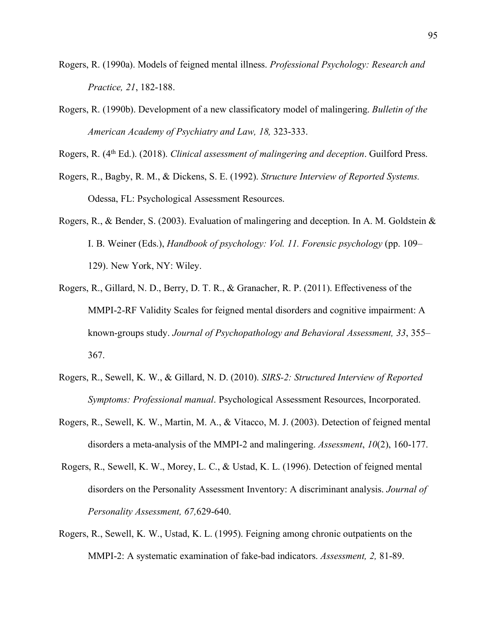- Rogers, R. (1990a). Models of feigned mental illness. *Professional Psychology: Research and Practice, 21*, 182-188.
- Rogers, R. (1990b). Development of a new classificatory model of malingering. *Bulletin of the American Academy of Psychiatry and Law, 18,* 323-333.

Rogers, R. (4th Ed.). (2018). *Clinical assessment of malingering and deception*. Guilford Press.

- Rogers, R., Bagby, R. M., & Dickens, S. E. (1992). *Structure Interview of Reported Systems.*  Odessa, FL: Psychological Assessment Resources.
- Rogers, R., & Bender, S. (2003). Evaluation of malingering and deception. In A. M. Goldstein & I. B. Weiner (Eds.), *Handbook of psychology: Vol. 11. Forensic psychology* (pp. 109– 129). New York, NY: Wiley.
- Rogers, R., Gillard, N. D., Berry, D. T. R., & Granacher, R. P. (2011). Effectiveness of the MMPI-2-RF Validity Scales for feigned mental disorders and cognitive impairment: A known-groups study. *Journal of Psychopathology and Behavioral Assessment, 33*, 355– 367.
- Rogers, R., Sewell, K. W., & Gillard, N. D. (2010). *SIRS-2: Structured Interview of Reported Symptoms: Professional manual*. Psychological Assessment Resources, Incorporated.
- Rogers, R., Sewell, K. W., Martin, M. A., & Vitacco, M. J. (2003). Detection of feigned mental disorders a meta-analysis of the MMPI-2 and malingering. *Assessment*, *10*(2), 160-177.
- Rogers, R., Sewell, K. W., Morey, L. C., & Ustad, K. L. (1996). Detection of feigned mental disorders on the Personality Assessment Inventory: A discriminant analysis. *Journal of Personality Assessment, 67,*629-640.
- Rogers, R., Sewell, K. W., Ustad, K. L. (1995). Feigning among chronic outpatients on the MMPI-2: A systematic examination of fake-bad indicators. *Assessment, 2,* 81-89.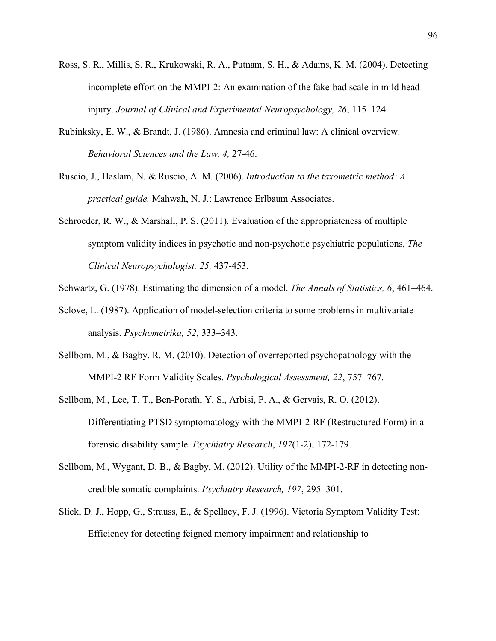- Ross, S. R., Millis, S. R., Krukowski, R. A., Putnam, S. H., & Adams, K. M. (2004). Detecting incomplete effort on the MMPI-2: An examination of the fake-bad scale in mild head injury. *Journal of Clinical and Experimental Neuropsychology, 26*, 115–124.
- Rubinksky, E. W., & Brandt, J. (1986). Amnesia and criminal law: A clinical overview. *Behavioral Sciences and the Law, 4,* 27-46.
- Ruscio, J., Haslam, N. & Ruscio, A. M. (2006). *Introduction to the taxometric method: A practical guide.* Mahwah, N. J.: Lawrence Erlbaum Associates.
- Schroeder, R. W., & Marshall, P. S. (2011). Evaluation of the appropriateness of multiple symptom validity indices in psychotic and non-psychotic psychiatric populations, *The Clinical Neuropsychologist, 25,* 437-453.
- Schwartz, G. (1978). Estimating the dimension of a model. *The Annals of Statistics, 6*, 461–464.
- Sclove, L. (1987). Application of model-selection criteria to some problems in multivariate analysis. *Psychometrika, 52,* 333–343.
- Sellbom, M., & Bagby, R. M. (2010). Detection of overreported psychopathology with the MMPI-2 RF Form Validity Scales. *Psychological Assessment, 22*, 757–767.
- Sellbom, M., Lee, T. T., Ben-Porath, Y. S., Arbisi, P. A., & Gervais, R. O. (2012). Differentiating PTSD symptomatology with the MMPI-2-RF (Restructured Form) in a forensic disability sample. *Psychiatry Research*, *197*(1-2), 172-179.
- Sellbom, M., Wygant, D. B., & Bagby, M. (2012). Utility of the MMPI-2-RF in detecting noncredible somatic complaints. *Psychiatry Research, 197*, 295–301.
- Slick, D. J., Hopp, G., Strauss, E., & Spellacy, F. J. (1996). Victoria Symptom Validity Test: Efficiency for detecting feigned memory impairment and relationship to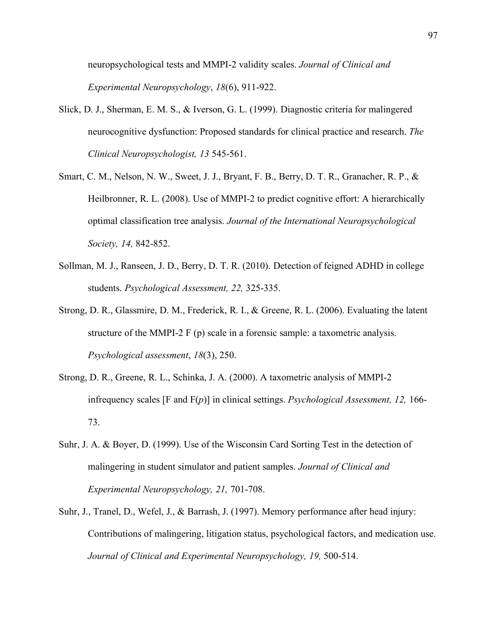neuropsychological tests and MMPI-2 validity scales. *Journal of Clinical and Experimental Neuropsychology*, *18*(6), 911-922.

- Slick, D. J., Sherman, E. M. S., & Iverson, G. L. (1999). Diagnostic criteria for malingered neurocognitive dysfunction: Proposed standards for clinical practice and research. *The Clinical Neuropsychologist, 13* 545-561.
- Smart, C. M., Nelson, N. W., Sweet, J. J., Bryant, F. B., Berry, D. T. R., Granacher, R. P., & Heilbronner, R. L. (2008). Use of MMPI-2 to predict cognitive effort: A hierarchically optimal classification tree analysis. *Journal of the International Neuropsychological Society, 14,* 842-852.
- Sollman, M. J., Ranseen, J. D., Berry, D. T. R. (2010). Detection of feigned ADHD in college students. *Psychological Assessment, 22,* 325-335.
- Strong, D. R., Glassmire, D. M., Frederick, R. I., & Greene, R. L. (2006). Evaluating the latent structure of the MMPI-2 F (p) scale in a forensic sample: a taxometric analysis. *Psychological assessment*, *18*(3), 250.
- Strong, D. R., Greene, R. L., Schinka, J. A. (2000). A taxometric analysis of MMPI-2 infrequency scales [F and F(*p*)] in clinical settings. *Psychological Assessment, 12,* 166- 73.
- Suhr, J. A. & Boyer, D. (1999). Use of the Wisconsin Card Sorting Test in the detection of malingering in student simulator and patient samples. *Journal of Clinical and Experimental Neuropsychology, 21,* 701-708.
- Suhr, J., Tranel, D., Wefel, J., & Barrash, J. (1997). Memory performance after head injury: Contributions of malingering, litigation status, psychological factors, and medication use. *Journal of Clinical and Experimental Neuropsychology, 19,* 500-514.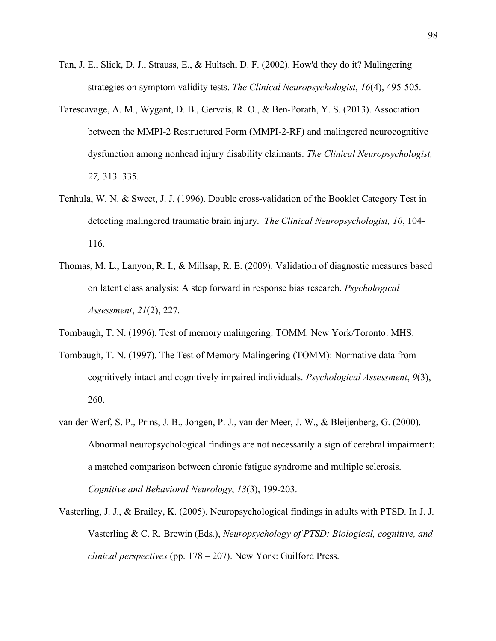- Tan, J. E., Slick, D. J., Strauss, E., & Hultsch, D. F. (2002). How'd they do it? Malingering strategies on symptom validity tests. *The Clinical Neuropsychologist*, *16*(4), 495-505.
- Tarescavage, A. M., Wygant, D. B., Gervais, R. O., & Ben-Porath, Y. S. (2013). Association between the MMPI-2 Restructured Form (MMPI-2-RF) and malingered neurocognitive dysfunction among nonhead injury disability claimants. *The Clinical Neuropsychologist, 27,* 313–335.
- Tenhula, W. N. & Sweet, J. J. (1996). Double cross-validation of the Booklet Category Test in detecting malingered traumatic brain injury. *The Clinical Neuropsychologist, 10*, 104- 116.
- Thomas, M. L., Lanyon, R. I., & Millsap, R. E. (2009). Validation of diagnostic measures based on latent class analysis: A step forward in response bias research. *Psychological Assessment*, *21*(2), 227.
- Tombaugh, T. N. (1996). Test of memory malingering: TOMM. New York/Toronto: MHS.
- Tombaugh, T. N. (1997). The Test of Memory Malingering (TOMM): Normative data from cognitively intact and cognitively impaired individuals. *Psychological Assessment*, *9*(3), 260.
- van der Werf, S. P., Prins, J. B., Jongen, P. J., van der Meer, J. W., & Bleijenberg, G. (2000). Abnormal neuropsychological findings are not necessarily a sign of cerebral impairment: a matched comparison between chronic fatigue syndrome and multiple sclerosis. *Cognitive and Behavioral Neurology*, *13*(3), 199-203.
- Vasterling, J. J., & Brailey, K. (2005). Neuropsychological findings in adults with PTSD. In J. J. Vasterling & C. R. Brewin (Eds.), *Neuropsychology of PTSD: Biological, cognitive, and clinical perspectives* (pp. 178 – 207). New York: Guilford Press.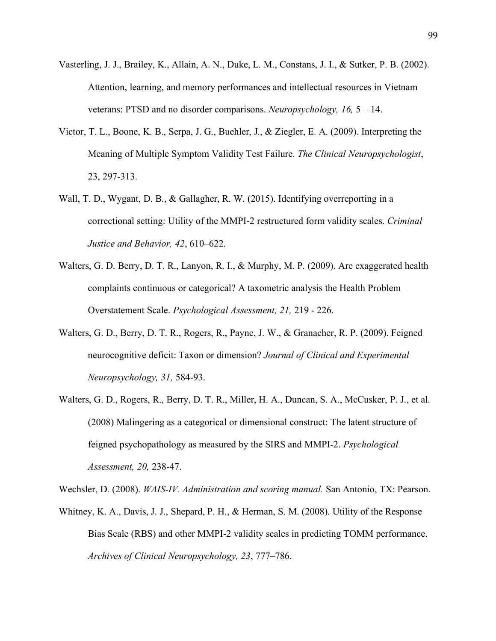- Vasterling, J. J., Brailey, K., Allain, A. N., Duke, L. M., Constans, J. I., & Sutker, P. B. (2002). Attention, learning, and memory performances and intellectual resources in Vietnam veterans: PTSD and no disorder comparisons. *Neuropsychology, 16,* 5 – 14.
- Victor, T. L., Boone, K. B., Serpa, J. G., Buehler, J., & Ziegler, E. A. (2009). Interpreting the Meaning of Multiple Symptom Validity Test Failure. *The Clinical Neuropsychologist*, 23, 297-313.
- Wall, T. D., Wygant, D. B., & Gallagher, R. W. (2015). Identifying overreporting in a correctional setting: Utility of the MMPI-2 restructured form validity scales. *Criminal Justice and Behavior, 42*, 610–622.
- Walters, G. D. Berry, D. T. R., Lanyon, R. I., & Murphy, M. P. (2009). Are exaggerated health complaints continuous or categorical? A taxometric analysis the Health Problem Overstatement Scale. *Psychological Assessment, 21,* 219 - 226.
- Walters, G. D., Berry, D. T. R., Rogers, R., Payne, J. W., & Granacher, R. P. (2009). Feigned neurocognitive deficit: Taxon or dimension? *Journal of Clinical and Experimental Neuropsychology, 31,* 584-93.
- Walters, G. D., Rogers, R., Berry, D. T. R., Miller, H. A., Duncan, S. A., McCusker, P. J., et al. (2008) Malingering as a categorical or dimensional construct: The latent structure of feigned psychopathology as measured by the SIRS and MMPI-2. *Psychological Assessment, 20,* 238-47.

Wechsler, D. (2008). *WAIS-IV. Administration and scoring manual.* San Antonio, TX: Pearson.

Whitney, K. A., Davis, J. J., Shepard, P. H., & Herman, S. M. (2008). Utility of the Response Bias Scale (RBS) and other MMPI-2 validity scales in predicting TOMM performance. *Archives of Clinical Neuropsychology, 23*, 777–786.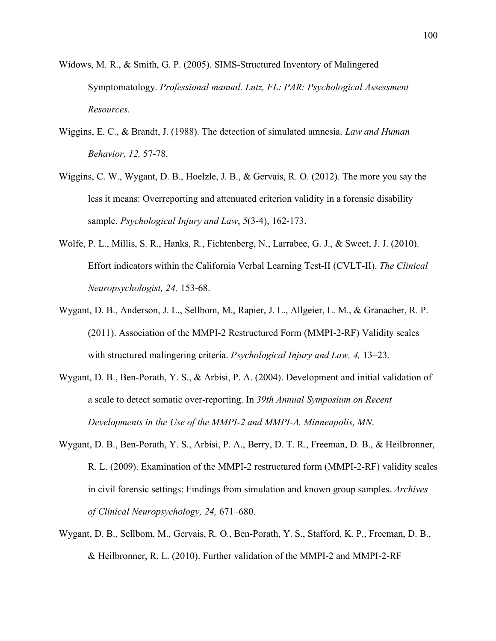- Widows, M. R., & Smith, G. P. (2005). SIMS-Structured Inventory of Malingered Symptomatology. *Professional manual. Lutz, FL: PAR: Psychological Assessment Resources*.
- Wiggins, E. C., & Brandt, J. (1988). The detection of simulated amnesia. *Law and Human Behavior, 12,* 57-78.
- Wiggins, C. W., Wygant, D. B., Hoelzle, J. B., & Gervais, R. O. (2012). The more you say the less it means: Overreporting and attenuated criterion validity in a forensic disability sample. *Psychological Injury and Law*, *5*(3-4), 162-173.
- Wolfe, P. L., Millis, S. R., Hanks, R., Fichtenberg, N., Larrabee, G. J., & Sweet, J. J. (2010). Effort indicators within the California Verbal Learning Test-II (CVLT-II). *The Clinical Neuropsychologist, 24,* 153-68.
- Wygant, D. B., Anderson, J. L., Sellbom, M., Rapier, J. L., Allgeier, L. M., & Granacher, R. P. (2011). Association of the MMPI-2 Restructured Form (MMPI-2-RF) Validity scales with structured malingering criteria. *Psychological Injury and Law, 4,* 13–23.
- Wygant, D. B., Ben-Porath, Y. S., & Arbisi, P. A. (2004). Development and initial validation of a scale to detect somatic over-reporting. In *39th Annual Symposium on Recent Developments in the Use of the MMPI-2 and MMPI-A, Minneapolis, MN*.
- Wygant, D. B., Ben-Porath, Y. S., Arbisi, P. A., Berry, D. T. R., Freeman, D. B., & Heilbronner, R. L. (2009). Examination of the MMPI-2 restructured form (MMPI-2-RF) validity scales in civil forensic settings: Findings from simulation and known group samples. *Archives of Clinical Neuropsychology, 24,* 671–680.
- Wygant, D. B., Sellbom, M., Gervais, R. O., Ben-Porath, Y. S., Stafford, K. P., Freeman, D. B., & Heilbronner, R. L. (2010). Further validation of the MMPI-2 and MMPI-2-RF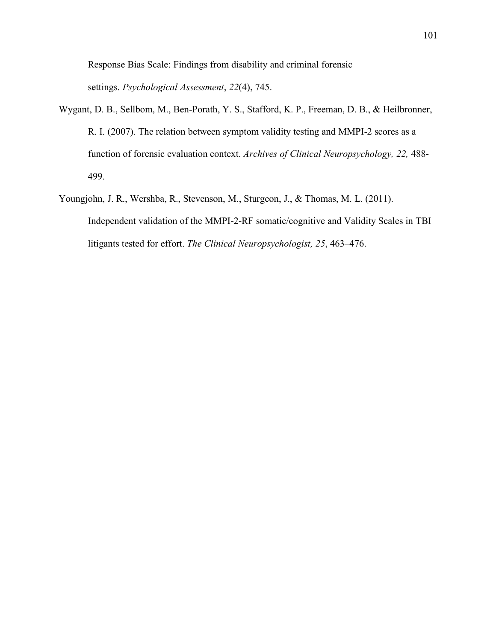Response Bias Scale: Findings from disability and criminal forensic settings. *Psychological Assessment*, *22*(4), 745.

- Wygant, D. B., Sellbom, M., Ben-Porath, Y. S., Stafford, K. P., Freeman, D. B., & Heilbronner, R. I. (2007). The relation between symptom validity testing and MMPI-2 scores as a function of forensic evaluation context. *Archives of Clinical Neuropsychology, 22,* 488- 499.
- Youngjohn, J. R., Wershba, R., Stevenson, M., Sturgeon, J., & Thomas, M. L. (2011). Independent validation of the MMPI-2-RF somatic/cognitive and Validity Scales in TBI litigants tested for effort. *The Clinical Neuropsychologist, 25*, 463–476.